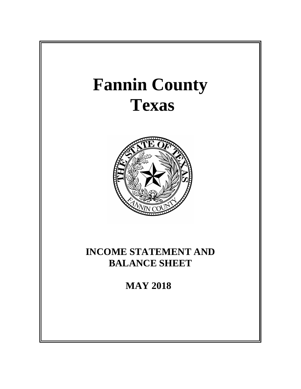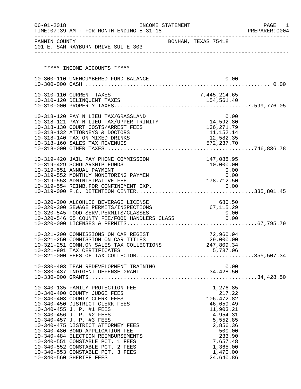| $06 - 01 - 2018$ | TIME: 07:39 AM - FOR MONTH ENDING 5-31-18                                                       | INCOME STATEMENT    |              |                          |      | PAGE<br>1<br>PREPARER: 0004 |
|------------------|-------------------------------------------------------------------------------------------------|---------------------|--------------|--------------------------|------|-----------------------------|
|                  | FANNIN COUNTY<br>101 E. SAM RAYBURN DRIVE SUITE 303                                             | BONHAM, TEXAS 75418 |              |                          |      |                             |
|                  |                                                                                                 |                     |              |                          |      |                             |
|                  |                                                                                                 |                     |              |                          |      |                             |
|                  | ***** INCOME ACCOUNTS *****                                                                     |                     |              |                          |      |                             |
|                  | 10-300-110 UNENCUMBERED FUND BALANCE                                                            |                     |              |                          | 0.00 |                             |
|                  |                                                                                                 |                     |              |                          |      |                             |
|                  | 10-310-110 CURRENT TAXES                                                                        |                     | 7,445,214.65 |                          |      |                             |
|                  |                                                                                                 |                     |              |                          |      |                             |
|                  |                                                                                                 |                     |              |                          |      |                             |
|                  | 10-318-120 PAY N LIEU TAX/GRASSLAND                                                             |                     |              | 0.00                     |      |                             |
|                  | 10-318-121 PAY N LIEU TAX/UPPER TRINITY $14,592.80$                                             |                     |              |                          |      |                             |
|                  | 10-318-130 COURT COSTS/ARREST FEES                                                              |                     | 136,271.79   |                          |      |                             |
|                  | 10-318-132 ATTORNEYS & DOCTORS                                                                  |                     |              | 11,152.14                |      |                             |
|                  | 10-318-140 TAX ON MIXED DRINKS<br>10-318-160 SALES TAX REVENUES                                 |                     |              | 12,582.35<br>572, 237.70 |      |                             |
|                  |                                                                                                 |                     |              |                          |      |                             |
|                  |                                                                                                 |                     |              |                          |      |                             |
|                  | 10-319-420 JAIL PAY PHONE COMMISSION                                                            |                     |              | 147,088.95               |      |                             |
|                  | 10-319-429 SCHOLARSHIP FUNDS<br>10-319-551 ANNUAL PAYMENT                                       |                     |              | 10,000.00<br>0.00        |      |                             |
|                  | 10-319-552 MONTHLY MONITORING PAYMEN                                                            |                     |              | 0.00                     |      |                             |
|                  | 10-319-553 ADMINISTRATIVE FEE                                                                   |                     | 178,712.50   |                          |      |                             |
|                  |                                                                                                 |                     |              |                          |      |                             |
|                  |                                                                                                 |                     |              |                          |      |                             |
|                  | 10-320-200 ALCOHLIC BEVERAGE LICENSE                                                            |                     |              | 680.50                   |      |                             |
|                  | 10-320-300 SEWAGE PERMITS/INSPECTIONS                                                           |                     | 67, 115.29   |                          |      |                             |
|                  | 10-320-545 FOOD SERV.PERMITS/CLASSES 0.00<br>10-320-546 \$5 COUNTY FEE/FOOD HANDLERS CLASS 0.00 |                     |              | 0.00                     |      |                             |
|                  |                                                                                                 |                     |              |                          |      |                             |
|                  |                                                                                                 |                     |              |                          |      |                             |
|                  | 10-321-200 COMMISSIONS ON CAR REGIST                                                            |                     |              | 72,960.94                |      |                             |
|                  | 10-321-250 COMMISSION ON CAR TITLES                                                             |                     |              | 29,000.00                |      |                             |
|                  | 10-321-251 COMM.ON SALES TAX COLLECTIONS 247,809.34<br>10-321-901 TAX CERTIFICATES              |                     |              | 5,737.06                 |      |                             |
|                  |                                                                                                 |                     |              |                          |      |                             |
|                  |                                                                                                 |                     |              |                          |      |                             |
|                  |                                                                                                 |                     |              |                          |      |                             |
|                  |                                                                                                 |                     |              |                          |      |                             |
|                  |                                                                                                 |                     |              |                          |      |                             |
|                  | 10-340-135 FAMILY PROTECTION FEE                                                                |                     |              | 1,276.85                 |      |                             |
|                  | 10-340-400 COUNTY JUDGE FEES                                                                    |                     |              | 217.22<br>106,472.82     |      |                             |
|                  | 10-340-403 COUNTY CLERK FEES<br>10-340-450 DISTRICT CLERK FEES                                  |                     |              | 46,659.49                |      |                             |
|                  | 10-340-455 J. P. #1 FEES                                                                        |                     |              | 11,903.21                |      |                             |
|                  | 10-340-456 J. P. #2 FEES                                                                        |                     |              | 4,954.31                 |      |                             |
|                  | 10-340-457 J. P. #3 FEES                                                                        |                     |              | 5,552.85                 |      |                             |
|                  | 10-340-475 DISTRICT ATTORNEY FEES<br>10-340-480 BOND APPLICATION FEE                            |                     |              | 2,856.36<br>500.00       |      |                             |
|                  | 10-340-484 ELECTION REIMBURSEMENTS                                                              |                     |              | 233.90                   |      |                             |
|                  | 10-340-551 CONSTABLE PCT. 1 FEES                                                                |                     |              | 7,657.48                 |      |                             |
|                  | 10-340-552 CONSTABLE PCT. 2 FEES                                                                |                     |              | 1,365.00                 |      |                             |
|                  | 10-340-553 CONSTABLE PCT. 3 FEES                                                                |                     |              | 1,470.00                 |      |                             |
|                  | 10-340-560 SHERIFF FEES                                                                         |                     |              | 24,640.86                |      |                             |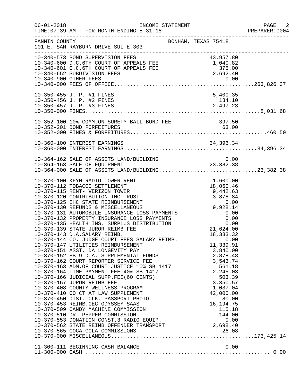| $06 - 01 - 2018$ | INCOME STATEMENT<br>TIME: 07:39 AM - FOR MONTH ENDING 5-31-18                                                                                                                                                                                                                                                                                                                                                                                                                                                                                                                                                                                                                                                                                                                                                                                                                                                                                                                                                                                                                                                                                                                                                                                                                                   |                                                                                                                                                                          | PAGE 2<br>PREPARER: 0004 |
|------------------|-------------------------------------------------------------------------------------------------------------------------------------------------------------------------------------------------------------------------------------------------------------------------------------------------------------------------------------------------------------------------------------------------------------------------------------------------------------------------------------------------------------------------------------------------------------------------------------------------------------------------------------------------------------------------------------------------------------------------------------------------------------------------------------------------------------------------------------------------------------------------------------------------------------------------------------------------------------------------------------------------------------------------------------------------------------------------------------------------------------------------------------------------------------------------------------------------------------------------------------------------------------------------------------------------|--------------------------------------------------------------------------------------------------------------------------------------------------------------------------|--------------------------|
| FANNIN COUNTY    | 101 E. SAM RAYBURN DRIVE SUITE 303                                                                                                                                                                                                                                                                                                                                                                                                                                                                                                                                                                                                                                                                                                                                                                                                                                                                                                                                                                                                                                                                                                                                                                                                                                                              | BONHAM, TEXAS 75418                                                                                                                                                      |                          |
|                  | 10-340-573 BOND SUPERVISION FEES<br>10-340-600 D.C.6TH COURT OF APPEALS FEE 1,040.82<br>10-340-601 C.C.6TH COURT OF APPEALS FEE 375.00<br>10-340-601 C.C.6TH COURT OF APPEALS FEE 375.00<br>10-340-653 SUPERVISION FEE<br>10-340-652 SUBDIVISION FEES                                                                                                                                                                                                                                                                                                                                                                                                                                                                                                                                                                                                                                                                                                                                                                                                                                                                                                                                                                                                                                           | 2,692.40                                                                                                                                                                 |                          |
|                  | 10-350-455 J. P. #1 FINES                                                                                                                                                                                                                                                                                                                                                                                                                                                                                                                                                                                                                                                                                                                                                                                                                                                                                                                                                                                                                                                                                                                                                                                                                                                                       | 5,400.35                                                                                                                                                                 |                          |
|                  |                                                                                                                                                                                                                                                                                                                                                                                                                                                                                                                                                                                                                                                                                                                                                                                                                                                                                                                                                                                                                                                                                                                                                                                                                                                                                                 |                                                                                                                                                                          |                          |
|                  |                                                                                                                                                                                                                                                                                                                                                                                                                                                                                                                                                                                                                                                                                                                                                                                                                                                                                                                                                                                                                                                                                                                                                                                                                                                                                                 |                                                                                                                                                                          |                          |
|                  | 10-364-162 SALE OF ASSETS LAND/BUILDING<br>10-364-163 SALE OF EQUIPMENT 23,382.38<br>10-364-000 SALE OF ASSETS LAND/BUILDING23,382.38                                                                                                                                                                                                                                                                                                                                                                                                                                                                                                                                                                                                                                                                                                                                                                                                                                                                                                                                                                                                                                                                                                                                                           | 0.00                                                                                                                                                                     |                          |
|                  | 10-370-100 KFYN-RADIO TOWER RENT<br>10-370-112 TOBACCO SETTLEMENT<br>10-370-115 RENT- VERIZON TOWER<br>10-370-113 RENI- VERIZON TOWER<br>10-370-120 CONTRIBUTION IHC TRUST<br>10-370-125 IHC STATE REIMBURSEMENT<br>10-370-130 REFUNDS & MISCELLANEOUS<br>10-370-131 AUTOMOBILE INSURANCE LOSS PAYMENTS<br>10-370-132 PROPERTY INSURANCE LOSS P<br>10-370-143 D.A.SALARY REIMB.<br>10-370-143 D.A.SALARY REIMB. 18,333.32<br>10-370-144 CO. JUDGE COURT FEES SALARY REIMB. 0.00<br>10-370-147 UTILITIES REIMBURSEMENT<br>10-370-151 ASST. DA LONGEVITY PAY<br>10-370-152 HB 9 D.A. SUPPLEMENTAL FUNDS<br>10-370-162 COURT REPORTER SERVICE FEE 3,543.74<br>10-370-163 ADM.OF COURT JUSTICE 10% SB 1417 561.18<br>10-370-164 TIME PAYMENT FEE 40% SB 1417 2,245.03<br>10-370-166 JUDICIAL SUPP.FEE(60<br>10-370-166 JUDICIAL SUPP.FEE(60 CENTS)<br>10-370-167 JUROR REIMB.FEE<br>10-370-408 COUNTY WELLNESS PROGRAM<br>10-370-410 CO CT AT LAW SUPPLEMENT<br>10-370-450 DIST. CLK. PASSPORT PHOTO<br>10-370-453 REIMB.CEC ODYSSEY SAAS<br>10-370-509 CANDY MACHINE COMMISSION<br>10-370-510 DR. PEPPER COMMISSION<br>10-370-510 DR. PEPPER COMMISSION 19970-510 DR. PEPPER COMMISSION 10-370-553 DONATION CONST.3 RADIO EQUIP.<br>10-370-562 STATE REIMB.OFFENDER TRANSPORT 2,698.40<br>2,698.40 | $1,600.00$<br>$18,060.46$<br>9,442.63<br>18, 333. 32<br>11,339.91<br>3,840.00<br>503.39<br>3,350.57<br>1,037.04<br>42,000.00<br>80.00<br>16, 194. 75<br>115.18<br>144.00 |                          |
|                  | 11-300-111 BEGINNING CASH BALANCE                                                                                                                                                                                                                                                                                                                                                                                                                                                                                                                                                                                                                                                                                                                                                                                                                                                                                                                                                                                                                                                                                                                                                                                                                                                               | 0.00                                                                                                                                                                     |                          |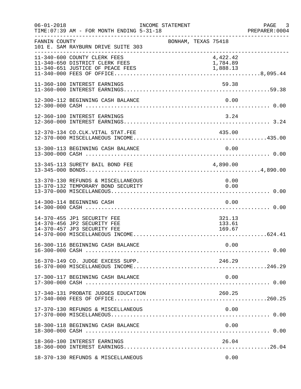| $06 - 01 - 2018$ | TIME: 07:39 AM - FOR MONTH ENDING 5-31-18                                                 | INCOME STATEMENT |                     |                            |      | PAGE 3 |
|------------------|-------------------------------------------------------------------------------------------|------------------|---------------------|----------------------------|------|--------|
| FANNIN COUNTY    | 101 E. SAM RAYBURN DRIVE SUITE 303                                                        |                  | BONHAM, TEXAS 75418 |                            |      |        |
|                  | 11-340-600 COUNTY CLERK FEES<br>11-340-650 DISTRICT CLERK FEES                            |                  |                     | 4,422.42<br>1,784.89       |      |        |
|                  | 11-360-100 INTEREST EARNINGS                                                              |                  |                     | 59.38                      |      |        |
|                  | 12-300-112 BEGINNING CASH BALANCE                                                         |                  |                     |                            | 0.00 |        |
|                  | 12-360-100 INTEREST EARNINGS                                                              |                  |                     | 3.24                       |      |        |
|                  | 12-370-134 CO.CLK.VITAL STAT.FEE                                                          |                  |                     | 435.00                     |      |        |
|                  | 13-300-113 BEGINNING CASH BALANCE                                                         |                  |                     |                            | 0.00 |        |
|                  | 13-345-113 SURETY BAIL BOND FEE                                                           |                  |                     | 4,890.00                   |      |        |
|                  | 13-370-130 REFUNDS & MISCELLANEOUS<br>13-370-132 TEMPORARY BOND SECURITY                  |                  |                     | 0.00<br>0.00               |      |        |
|                  | 14-300-114 BEGINNING CASH                                                                 |                  |                     | 0.00                       |      |        |
|                  | 14-370-455 JP1 SECURITY FEE<br>14-370-456 JP2 SECURITY FEE<br>14-370-457 JP3 SECURITY FEE |                  |                     | 321.13<br>133.61<br>169.67 |      |        |
|                  |                                                                                           |                  |                     |                            |      |        |
|                  | 16-370-149 CO. JUDGE EXCESS SUPP.                                                         |                  |                     | 246.29                     |      |        |
|                  | 17-300-117 BEGINNING CASH BALANCE                                                         |                  |                     |                            | 0.00 |        |
|                  | 17-340-131 PROBATE JUDGES EDUCATION                                                       |                  |                     | 260.25                     |      |        |
|                  | 17-370-130 REFUNDS & MISCELLANEOUS                                                        |                  |                     | 0.00                       |      |        |
|                  | 18-300-118 BEGINNING CASH BALANCE                                                         |                  |                     |                            | 0.00 |        |
|                  | 18-360-100 INTEREST EARNINGS                                                              |                  |                     | 26.04                      |      |        |
|                  | 18-370-130 REFUNDS & MISCELLANEOUS                                                        |                  |                     |                            | 0.00 |        |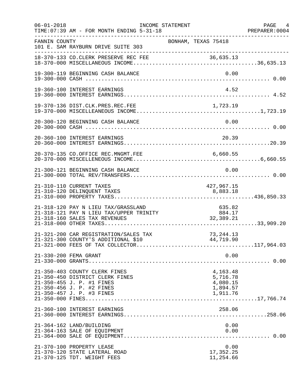| $06 - 01 - 2018$ | TIME: 07:39 AM - FOR MONTH ENDING 5-31-18<br>----------------                                                                                           | INCOME STATEMENT                                            |                                                          | PAGE 4<br>PREPARER:0004 |
|------------------|---------------------------------------------------------------------------------------------------------------------------------------------------------|-------------------------------------------------------------|----------------------------------------------------------|-------------------------|
| FANNIN COUNTY    | 101 E. SAM RAYBURN DRIVE SUITE 303                                                                                                                      | BONHAM, TEXAS 75418                                         |                                                          |                         |
|                  |                                                                                                                                                         |                                                             |                                                          |                         |
|                  | 19-300-119 BEGINNING CASH BALANCE                                                                                                                       |                                                             | 0.00                                                     |                         |
|                  | 19-360-100 INTEREST EARNINGS                                                                                                                            |                                                             | 4.52                                                     |                         |
|                  |                                                                                                                                                         |                                                             |                                                          |                         |
|                  | 20-300-120 BEGINNING CASH BALANCE                                                                                                                       |                                                             | 0.00                                                     |                         |
|                  | 20-360-100 INTEREST EARNINGS                                                                                                                            |                                                             | 20.39                                                    |                         |
|                  | 20-370-135 CO.OFFICE REC.MNGMT.FEE                                                                                                                      |                                                             |                                                          |                         |
|                  | 21-300-121 BEGINNING CASH BALANCE                                                                                                                       |                                                             | 0.00                                                     |                         |
|                  | 21-310-110 CURRENT TAXES<br>21-310-120 DELINQUENT TAXES                                                                                                 |                                                             | 427,967.15<br>8,883.18                                   |                         |
|                  | 21-318-120 PAY N LIEU TAX/GRASSLAND<br>21-318-121 PAY N LIEU TAX/UPPER TRINITY<br>21-318-160 SALES TAX REVENUES                                         | 128.53 (1891)<br>2884.17 (1891)<br>2884.21 (1896)<br>289.21 | 635.82                                                   |                         |
|                  | 21-321-200 CAR REGISTRATION/SALES TAX<br>21-321-300 COUNTY'S ADDITIONAL \$10                                                                            |                                                             | 73, 244. 13<br>44,719.90                                 |                         |
|                  | 21-330-200 FEMA GRANT                                                                                                                                   |                                                             | 0.00                                                     |                         |
|                  | 21-350-403 COUNTY CLERK FINES<br>21-350-450 DISTRICT CLERK FINES<br>21-350-455 J. P. #1 FINES<br>21-350-456 J. P. #2 FINES<br>21-350-457 J. P. #3 FINES |                                                             | 4,163.48<br>5,716.78<br>4,080.15<br>1,894.57<br>1,911.76 |                         |
|                  | 21-360-100 INTEREST EARNINGS                                                                                                                            |                                                             | 258.06                                                   |                         |
|                  | 21-364-162 LAND/BUILDING<br>21-364-163 SALE OF EQUIPMENT                                                                                                |                                                             | 0.00<br>0.00                                             |                         |
|                  | 21-370-100 PROPERTY LEASE<br>21-370-120 STATE LATERAL ROAD<br>21-370-125 TDT. WEIGHT FEES                                                               |                                                             | 0.00<br>17,352.25<br>11,254.66                           |                         |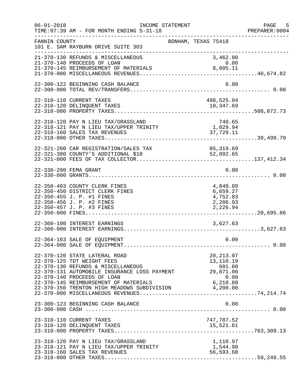| $06 - 01 - 2018$ | INCOME STATEMENT<br>TIME: 07:39 AM - FOR MONTH ENDING 5-31-18                                                                                                                                                                                                                              |                                                          | PAGE 5<br>PREPARER:0004 |
|------------------|--------------------------------------------------------------------------------------------------------------------------------------------------------------------------------------------------------------------------------------------------------------------------------------------|----------------------------------------------------------|-------------------------|
| FANNIN COUNTY    | 101 E. SAM RAYBURN DRIVE SUITE 303<br>-----------------------------                                                                                                                                                                                                                        | BONHAM, TEXAS 75418                                      |                         |
|                  | 21-370-130 REFUNDS & MISCELLANEOUS<br>21-370-140 PROCEEDS OF LOAN                                                                                                                                                                                                                          | 3,462.80<br>0.00                                         |                         |
|                  | 22-300-122 BEGINNING CASH BALANCE                                                                                                                                                                                                                                                          | 0.00                                                     |                         |
|                  | 22-310-110 CURRENT TAXES                                                                                                                                                                                                                                                                   | 498,525.04                                               |                         |
|                  | 22-318-120 PAY N LIEU TAX/GRASSLAND<br>$22-318-121 \text{ PAY} \text{ N } \text{LIEU } \text{TAX/UPPER} \text{ TRINITY}$<br>22-318-160 SALES TAX REVENUES                                                                                                                                  | 740.65<br>1,029.94<br>37,729.11                          |                         |
|                  | 22-321-200 CAR REGISTRATION/SALES TAX 85,319.69<br>22-321-300 COUNTY'S ADDITIONAL \$10 52,092.65                                                                                                                                                                                           |                                                          |                         |
|                  | 22-330-200 FEMA GRANT                                                                                                                                                                                                                                                                      | 0.00                                                     |                         |
|                  | 22-350-403 COUNTY CLERK FINES<br>22-350-450 DISTRICT CLERK FINES<br>22-350-455 J. P. #1 FINES<br>22-350-456 J. P. #2 FINES<br>22-350-457 J. P. #3 FINES                                                                                                                                    | 4,849.89<br>6,659.27<br>4,752.83<br>2,206.93<br>2,226.94 |                         |
|                  | 22-360-100 INTEREST EARNINGS                                                                                                                                                                                                                                                               | 3,627.63                                                 |                         |
|                  | 22-364-163 SALE OF EQUIPMENT                                                                                                                                                                                                                                                               | 0.00                                                     |                         |
|                  | 22-370-120 STATE LATERAL ROAD<br>22-370-125 TDT WEIGHT FEES<br>22-370-130 REFUNDS & MISCELLANEOUS<br>22-370-131 AUTOMOBILE INSURANCE LOSS PAYMENT<br>22-370-140 PROCEEDS OF LOAN<br>22-370-145 REIMBURSEMENT OF MATERIALS 6,218.88<br>22-370-150 TRENTON HIGH MEADOWS SUBDIVISION 4,200.00 | 20, 213.07<br>13,110.19<br>601.60<br>29,871.00<br>0.00   |                         |
|                  | 23-300-123 BEGINNING CASH BALANCE                                                                                                                                                                                                                                                          | 0.00                                                     |                         |
|                  | 23-310-110 CURRENT TAXES                                                                                                                                                                                                                                                                   | 747,787.52                                               |                         |
|                  | 23-318-120 PAY N LIEU TAX/GRASSLAND<br>23-318-121 PAY N LIEU TAX/UPPER TRINITY<br>23-318-160 SALES TAX REVENUES                                                                                                                                                                            | 1,110.97<br>1,544.90<br>56,593.68                        |                         |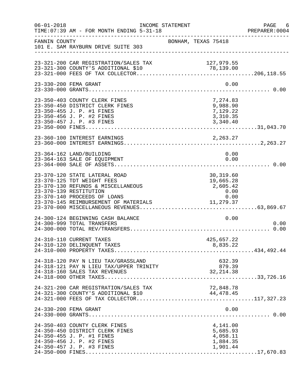| $06 - 01 - 2018$ | INCOME STATEMENT<br>TIME: 07:39 AM - FOR MONTH ENDING 5-31-18                                                                                                                                        |                     |                                                                 | PAGE 6<br>PREPARER: 0004 |
|------------------|------------------------------------------------------------------------------------------------------------------------------------------------------------------------------------------------------|---------------------|-----------------------------------------------------------------|--------------------------|
| FANNIN COUNTY    | 101 E. SAM RAYBURN DRIVE SUITE 303                                                                                                                                                                   | BONHAM, TEXAS 75418 | -----------------------------------                             |                          |
|                  | 23-321-200 CAR REGISTRATION/SALES TAX<br>23-321-300 COUNTY'S ADDITIONAL \$10                                                                                                                         |                     | 127,979.55                                                      |                          |
|                  | 23-330-200 FEMA GRANT                                                                                                                                                                                |                     | 0.00                                                            |                          |
|                  | 23-350-403 COUNTY CLERK FINES<br>23-350-450 DISTRICT CLERK FINES<br>23-350-455 J. P. #1 FINES<br>23-350-456 J. P. #2 FINES                                                                           |                     | 7,274.83<br>9,988.90<br>7,129.22<br>3,310.35                    |                          |
|                  | 23-360-100 INTEREST EARNINGS                                                                                                                                                                         |                     |                                                                 |                          |
|                  | 23-364-162 LAND/BUILDING<br>23-364-163 SALE OF EQUIPMENT                                                                                                                                             |                     | 0.00<br>0.00                                                    |                          |
|                  | 23-370-120 STATE LATERAL ROAD<br>23-370-125 TDT WEIGHT FEES<br>23-370-130 REFUNDS & MISCELLANEOUS<br>23-370-139 RESTITUTION<br>23-370-140 PROCEEDS OF LOANS<br>23-370-145 REIMBURSEMENT OF MATERIALS |                     | 30,319.60<br>19,665.28<br>2,605.42<br>0.00<br>0.00<br>11,279.37 |                          |
|                  | 24-300-124 BEGINNING CASH BALANCE<br>24-300-999 TOTAL TRANSFERS                                                                                                                                      |                     | 0.00                                                            | 0.00                     |
|                  | 24-310-110 CURRENT TAXES<br>24-310-120 DELINQUENT TAXES                                                                                                                                              |                     | 425,657.22<br>8,835.22                                          |                          |
|                  | 24-318-120 PAY N LIEU TAX/GRASSLAND<br>24-318-121 PAY N LIEU TAX/UPPER TRINITY<br>24-318-160 SALES TAX REVENUES                                                                                      |                     | 632.39<br>879.39<br>32, 214.38                                  |                          |
|                  | 24-321-200 CAR REGISTRATION/SALES TAX<br>24-321-300 COUNTY'S ADDITIONAL \$10                                                                                                                         |                     | 72,848.78<br>44,478.45                                          |                          |
|                  | 24-330-200 FEMA GRANT                                                                                                                                                                                |                     | 0.00                                                            |                          |
|                  | 24-350-403 COUNTY CLERK FINES<br>24-350-450 DISTRICT CLERK FINES<br>24-350-455 J. P. #1 FINES<br>24-350-456 J. P. #2 FINES<br>24-350-457 J. P. #3 FINES                                              |                     | 4,141.00<br>5,685.93<br>4,058.11<br>1,884.35<br>1,901.44        |                          |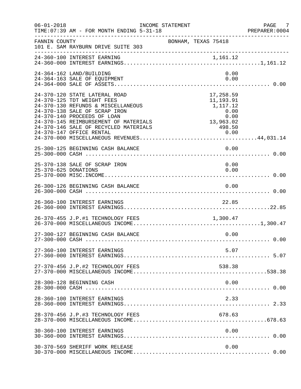| $06 - 01 - 2018$     | INCOME STATEMENT<br>TIME: 07:39 AM - FOR MONTH ENDING 5-31-18                                                                                                                                                                                                                   |                                                                                                                           | PAGE 7<br>PREPARER:0004 |
|----------------------|---------------------------------------------------------------------------------------------------------------------------------------------------------------------------------------------------------------------------------------------------------------------------------|---------------------------------------------------------------------------------------------------------------------------|-------------------------|
| FANNIN COUNTY        | 101 E. SAM RAYBURN DRIVE SUITE 303                                                                                                                                                                                                                                              | BONHAM, TEXAS 75418                                                                                                       |                         |
|                      | 24-360-100 INTEREST EARNING                                                                                                                                                                                                                                                     |                                                                                                                           |                         |
|                      | 24-364-162 LAND/BUILDING<br>24-364-163 SALE OF EQUIPMENT                                                                                                                                                                                                                        | 0.00<br>0.00                                                                                                              |                         |
|                      | 24-370-120 STATE LATERAL ROAD<br>24-370-125 TDT WEIGHT FEES<br>24-370-130 REFUNDS & MISCELLANEOUS<br>24-370-138 SALE OF SCRAP IRON<br>24-370-140 PROCEEDS OF LOAN<br>24-370-145 REIMBURSEMENT OF MATERIALS<br>24-370-146 SALE OF RECYCLED MATERIALS<br>24-370-147 OFFICE RENTAL | 17,258.59<br>11,193.91<br>1, 117.12<br>$0.00$<br>0.00<br>13,963.02<br>498.50<br>$\begin{array}{c}\n 0.00 \\  \end{array}$ |                         |
|                      | 25-300-125 BEGINNING CASH BALANCE                                                                                                                                                                                                                                               | 0.00                                                                                                                      |                         |
| 25-370-625 DONATIONS | 25-370-138 SALE OF SCRAP IRON                                                                                                                                                                                                                                                   | 0.00<br>0.00                                                                                                              |                         |
|                      | 26-300-126 BEGINNING CASH BALANCE                                                                                                                                                                                                                                               | 0.00                                                                                                                      |                         |
|                      | 26-360-100 INTEREST EARNINGS                                                                                                                                                                                                                                                    | 22.85                                                                                                                     |                         |
|                      | 26-370-455 J.P.#1 TECHNOLOGY FEES 1,300.47                                                                                                                                                                                                                                      |                                                                                                                           |                         |
|                      | 27-300-127 BEGINNING CASH BALANCE                                                                                                                                                                                                                                               | 0.00                                                                                                                      |                         |
|                      | 27-360-100 INTEREST EARNINGS                                                                                                                                                                                                                                                    | 5.07                                                                                                                      |                         |
|                      | 27-370-456 J.P.#2 TECHNOLOGY FEES                                                                                                                                                                                                                                               | 538.38                                                                                                                    |                         |
|                      | 28-300-128 BEGINNING CASH                                                                                                                                                                                                                                                       | 0.00                                                                                                                      |                         |
|                      | 28-360-100 INTEREST EARNINGS                                                                                                                                                                                                                                                    | 2.33                                                                                                                      |                         |
|                      | 28-370-456 J.P.#3 TECHNOLOGY FEES                                                                                                                                                                                                                                               | 678.63                                                                                                                    |                         |
|                      | 30-360-100 INTEREST EARNINGS                                                                                                                                                                                                                                                    | 0.00                                                                                                                      |                         |
|                      | 30-370-569 SHERIFF WORK RELEASE                                                                                                                                                                                                                                                 | 0.00                                                                                                                      |                         |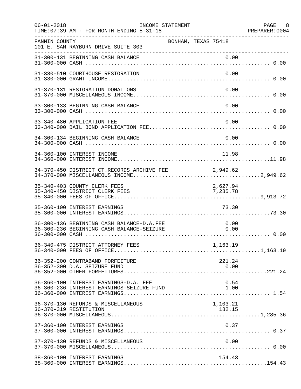| $06 - 01 - 2018$ | INCOME STATEMENT<br>TIME: 07:39 AM - FOR MONTH ENDING 5-31-18                          |                     |                      | PAGE 8<br>PREPARER:0004 |
|------------------|----------------------------------------------------------------------------------------|---------------------|----------------------|-------------------------|
| FANNIN COUNTY    | 101 E. SAM RAYBURN DRIVE SUITE 303<br>---------------------------------                | BONHAM, TEXAS 75418 |                      |                         |
|                  | 31-300-131 BEGINNING CASH BALANCE                                                      |                     | 0.00                 |                         |
|                  | 31-330-510 COURTHOUSE RESTORATION                                                      |                     | 0.00                 |                         |
|                  | 31-370-131 RESTORATION DONATIONS                                                       |                     | 0.00                 |                         |
|                  | 33-300-133 BEGINNING CASH BALANCE                                                      |                     | 0.00                 |                         |
|                  | 33-340-480 APPLICATION FEE                                                             |                     | 0.00                 |                         |
|                  | 34-300-134 BEGINNING CASH BALANCE                                                      |                     | 0.00                 |                         |
|                  | 34-360-100 INTEREST INCOME                                                             |                     | 11.98                |                         |
|                  | 34-370-450 DISTRICT CT.RECORDS ARCHIVE FEE 2,949.62                                    |                     |                      |                         |
|                  | 35-340-403 COUNTY CLERK FEES<br>35-340-450 DISTRICT CLERK FEES                         |                     | 2,627.94<br>7,285.78 |                         |
|                  | 35-360-100 INTEREST EARNINGS                                                           |                     | 73.30                |                         |
|                  | 36-300-136 BEGINNING CASH BALANCE-D.A.FEE<br>36-300-236 BEGINNING CASH BALANCE-SEIZURE |                     | 0.00<br>0.00         |                         |
|                  |                                                                                        |                     |                      |                         |
|                  | 36-352-200 CONTRABAND FORFEITURE<br>36-352-300 D.A. SEIZURE FUND                       |                     | 221.24<br>0.00       |                         |
|                  | 36-360-100 INTEREST EARNINGS-D.A. FEE<br>36-360-236 INTEREST EARNINGS-SEIZURE FUND     |                     | 0.54<br>1.00         |                         |
|                  | 36-370-130 REFUNDS & MISCELLANEOUS<br>36-370-319 RESTITUTION                           |                     | 1,103.21<br>182.15   |                         |
|                  | 37-360-100 INTEREST EARNINGS                                                           |                     | 0.37                 |                         |
|                  | 37-370-130 REFUNDS & MISCELLANEOUS                                                     |                     | 0.00                 |                         |
|                  | 38-360-100 INTEREST EARNINGS                                                           |                     | 154.43               |                         |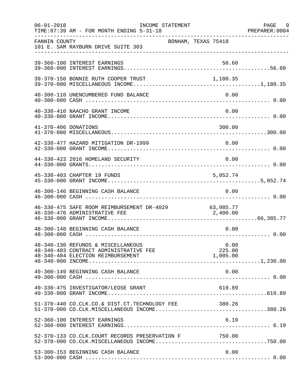| $06 - 01 - 2018$     | INCOME STATEMENT<br>TIME: 07:39 AM - FOR MONTH ENDING 5-31-18                                                     |                     |                            | PAGE 9<br>PREPARER: 0004 |
|----------------------|-------------------------------------------------------------------------------------------------------------------|---------------------|----------------------------|--------------------------|
| FANNIN COUNTY        | 101 E. SAM RAYBURN DRIVE SUITE 303                                                                                | BONHAM, TEXAS 75418 |                            |                          |
|                      | 39-360-100 INTEREST EARNINGS                                                                                      |                     | 56.60                      |                          |
|                      | 39-370-150 BONNIE RUTH COOPER TRUST                                                                               |                     | 1,180.35                   |                          |
|                      | 40-300-110 UNENCUMBERED FUND BALANCE                                                                              |                     | 0.00                       |                          |
|                      | 40-330-410 NAACHO GRANT INCOME                                                                                    |                     | 0.00                       |                          |
| 41-370-406 DONATIONS |                                                                                                                   |                     | 300.00                     |                          |
|                      | 42-330-477 HAZARD MITIGATION DR-1999                                                                              |                     | 0.00                       |                          |
|                      | 44-330-423 2016 HOMELAND SECURITY                                                                                 |                     | 0.00                       |                          |
|                      | 45-330-403 CHAPTER 19 FUNDS                                                                                       |                     | 5,052.74                   |                          |
|                      | 46-300-146 BEGINNING CASH BALANCE                                                                                 |                     | 0.00                       |                          |
|                      | 46-330-475 SAFE ROOM REIMBURSEMENT DR-4029 63,985.77<br>46-330-476 ADMINISTRATIVE FEE 2,400.00                    |                     |                            |                          |
|                      | 48-300-148 BEGINNING CASH BALANCE                                                                                 |                     | 0.00                       |                          |
|                      | 48-340-130 REFUNDS & MISCELLANEOUS<br>48-340-403 CONTRACT ADMINISTRATIVE FEE<br>48-340-484 ELECTION REIMBURSEMENT |                     | 0.00<br>225.00<br>1,005.00 |                          |
|                      | 49-300-149 BEGINNING CASH BALANCE                                                                                 |                     | 0.00                       |                          |
|                      | 49-330-475 INVESTIGATOR/LEOSE GRANT                                                                               |                     | 619.89                     |                          |
|                      | 51-370-440 CO.CLK.CO.& DIST.CT.TECHNOLOGY FEE<br>$51-370-000$ CO.CLK.MISCELLANEOUS INCOME380.26                   |                     | 380.26                     |                          |
|                      | 52-360-100 INTEREST EARNINGS                                                                                      |                     | 6.19                       |                          |
|                      | 52-370-133 CO.CLK.COURT RECORDS PRESERVATION F 750.00                                                             |                     |                            |                          |
|                      | 53-300-153 BEGINNING CASH BALANCE                                                                                 |                     | 0.00                       |                          |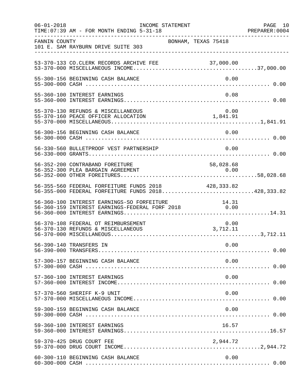| $06 - 01 - 2018$ | INCOME STATEMENT<br>TIME: 07:39 AM - FOR MONTH ENDING 5-31-18                                             |                                                              | PAGE 10<br>PREPARER:0004 |
|------------------|-----------------------------------------------------------------------------------------------------------|--------------------------------------------------------------|--------------------------|
| FANNIN COUNTY    | 101 E. SAM RAYBURN DRIVE SUITE 303                                                                        | BONHAM, TEXAS 75418                                          |                          |
|                  | 53-370-133 CO. CLERK RECORDS ARCHIVE FEE                                                                  |                                                              |                          |
|                  | 55-300-156 BEGINNING CASH BALANCE                                                                         | 0.00                                                         |                          |
|                  | 55-360-100 INTEREST EARNINGS                                                                              | 0.08                                                         |                          |
|                  | 55-370-130 REFUNDS & MISCELLANEOUS<br>55-370-160 PEACE OFFICER ALLOCATION                                 | 0.00<br>$\begin{smallmatrix}0.00\\1,841.91\end{smallmatrix}$ |                          |
|                  | 56-300-156 BEGINNING CASH BALANCE                                                                         | 0.00                                                         |                          |
|                  | 56-330-560 BULLETPROOF VEST PARTNERSHIP                                                                   | 0.00                                                         |                          |
|                  | 56-352-200 CONTRABAND FOREITURE                                                                           | 58,028.68                                                    |                          |
|                  | 56-355-560 FEDERAL FORFEITURE FUNDS 2018 428,333.82<br>56-355-000 FEDERAL FORFEITURE FUNDS 2018428,333.82 |                                                              |                          |
|                  | 56-360-100 INTEREST EARNINGS-SO FORFEITURE                                                                | 14.31                                                        |                          |
|                  | 56-370-108 FEDERAL OT REIMBURSEMENT<br>56-370-130 REFUNDS & MISCELLANEOUS                                 | 0.00<br>3,712.11                                             |                          |
|                  | 56-390-140 TRANSFERS IN                                                                                   | 0.00                                                         |                          |
|                  | 57-300-157 BEGINNING CASH BALANCE                                                                         | 0.00                                                         |                          |
|                  | 57-360-100 INTEREST EARNINGS                                                                              | 0.00                                                         |                          |
|                  | 57-370-560 SHERIFF K-9 UNIT                                                                               | 0.00                                                         |                          |
|                  | 59-300-159 BEGINNING CASH BALANCE                                                                         | 0.00                                                         |                          |
|                  | 59-360-100 INTEREST EARNINGS                                                                              | 16.57                                                        |                          |
|                  | 59-370-425 DRUG COURT FEE                                                                                 | 2,944.72                                                     |                          |
|                  | 60-300-110 BEGINNING CASH BALANCE                                                                         | 0.00                                                         |                          |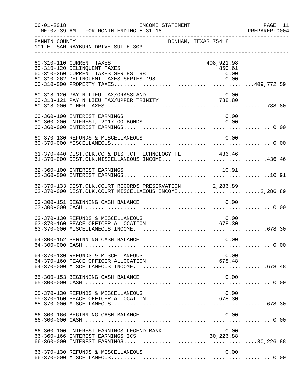| $06 - 01 - 2018$ | INCOME STATEMENT<br>TIME: 07:39 AM - FOR MONTH ENDING 5-31-18                                                                            |                                      | PAGE 11<br>PREPARER: 0004 |
|------------------|------------------------------------------------------------------------------------------------------------------------------------------|--------------------------------------|---------------------------|
| FANNIN COUNTY    | BONHAM, TEXAS 75418<br>101 E. SAM RAYBURN DRIVE SUITE 303                                                                                |                                      |                           |
|                  | 60-310-110 CURRENT TAXES<br>60-310-120 DELINQUENT TAXES<br>60-310-260 CURRENT TAXES SERIES '98<br>60-310-262 DELINQUENT TAXES SERIES '98 | 408,921.98<br>850.61<br>0.00<br>0.00 |                           |
|                  | 60-318-120 PAY N LIEU TAX/GRASSLAND                                                                                                      | 0.00                                 |                           |
|                  | 60-360-100 INTEREST EARNINGS<br>60-360-200 INTEREST, 2017 GO BONDS                                                                       | 0.00<br>0.00                         |                           |
|                  | 60-370-130 REFUNDS & MISCELLANEOUS                                                                                                       | 0.00                                 |                           |
|                  | 61-370-440 DIST.CLK.CO.& DIST.CT.TECHNOLOGY FE 436.46<br>61-370-000 DIST.CLK.MISCELLANEOUS INCOME436.46                                  |                                      |                           |
|                  | 62-360-100 INTEREST EARNINGS                                                                                                             | 10.91                                |                           |
|                  | 62-370-133 DIST.CLK.COURT RECORDS PRESERVATION 2,286.89<br>62-370-000 DIST.CLK.COURT MISCELLAEOUS INCOME2,286.89                         |                                      |                           |
|                  | 63-300-151 BEGINNING CASH BALANCE                                                                                                        | 0.00                                 |                           |
|                  | 63-370-130 REFUNDS & MISCELLANEOUS<br>63-370-160 PEACE OFFICER ALLOCATION                                                                | 0.00<br>678.30                       |                           |
|                  | 64-300-152 BEGINNING CASH BALANCE                                                                                                        | 0.00                                 |                           |
|                  | 64-370-130 REFUNDS & MISCELLANEOUS<br>64-370-160 PEACE OFFICER ALLOCATION                                                                | 0.00<br>678.48                       |                           |
|                  | 65-300-153 BEGINNING CASH BALANCE                                                                                                        | 0.00                                 |                           |
|                  | 65-370-130 REFUNDS & MISCELLANEOUS<br>65-370-160 PEACE OFFICER ALLOCATION                                                                | 0.00<br>678.30                       |                           |
|                  | 66-300-166 BEGINNING CASH BALANCE                                                                                                        | 0.00                                 |                           |
|                  | 66-360-100 INTEREST EARNINGS LEGEND BANK<br>66-360-166 INTEREST EARNINGS ICS                                                             | 0.00<br>30,226.88                    |                           |
|                  | 66-370-130 REFUNDS & MISCELLANEOUS                                                                                                       | 0.00                                 |                           |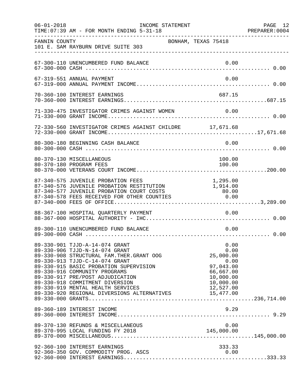| $06 - 01 - 2018$ | INCOME STATEMENT<br>TIME: 07:39 AM - FOR MONTH ENDING 5-31-18                                                                                                                                                                                                                                                                                                                                    |                                                                                                    | PAGE 12<br>PREPARER:0004 |
|------------------|--------------------------------------------------------------------------------------------------------------------------------------------------------------------------------------------------------------------------------------------------------------------------------------------------------------------------------------------------------------------------------------------------|----------------------------------------------------------------------------------------------------|--------------------------|
| FANNIN COUNTY    | BONHAM, TEXAS 75418<br>101 E. SAM RAYBURN DRIVE SUITE 303                                                                                                                                                                                                                                                                                                                                        |                                                                                                    |                          |
|                  | 67-300-110 UNENCUMBERED FUND BALANCE                                                                                                                                                                                                                                                                                                                                                             | 0.00                                                                                               |                          |
|                  | 67-319-551 ANNUAL PAYMENT                                                                                                                                                                                                                                                                                                                                                                        | 0.00                                                                                               |                          |
|                  | 70-360-100 INTEREST EARNINGS                                                                                                                                                                                                                                                                                                                                                                     | 687.15                                                                                             |                          |
|                  | 71-330-475 INVESTIGATOR CRIMES AGAINST WOMEN 0.00                                                                                                                                                                                                                                                                                                                                                |                                                                                                    |                          |
|                  | 72-330-560 INVESTIGATOR CRIMES AGAINST CHILDRE 17,671.68                                                                                                                                                                                                                                                                                                                                         |                                                                                                    |                          |
|                  | 80-300-180 BEGINNING CASH BALANCE                                                                                                                                                                                                                                                                                                                                                                | 0.00                                                                                               |                          |
|                  | 80-370-130 MISCELLANEOUS<br>80-370-180 PROGRAM FEES                                                                                                                                                                                                                                                                                                                                              | 100.00<br>100.00                                                                                   |                          |
|                  | 87-340-575 JUVENILE PROBATION FEES<br>87-340-576 JUVENILE PROBATION RESTITUTION<br>87-340-577 JUVENILE PROBATION COURT COSTS<br>87-340-578 FEES RECEIVED FOR OTHER COUNTIES                                                                                                                                                                                                                      | 1,295.00<br>1,914.00<br>80.00<br>0.00                                                              |                          |
|                  | 88-367-100 HOSPITAL QUARTERLY PAYMENT                                                                                                                                                                                                                                                                                                                                                            | 0.00                                                                                               |                          |
|                  | 89-300-110 UNENCUMBERED FUND BALANCE                                                                                                                                                                                                                                                                                                                                                             | 0.00                                                                                               |                          |
|                  | 89-330-901 TJJD-A-14-074 GRANT<br>89-330-906 TJJD-N-14-074 GRANT<br>89-330-908 STRUCTURAL FAM. THER. GRANT OOG<br>89-330-913 TJJD-C-14-074 GRANT<br>89-330-915 BASIC PROBATION SUPERVISION<br>89-330-916 COMMUNITY PROGRAMS<br>89-330-917 PRE/POST ADJUDICATION<br>89-330-918 COMMITMENT DIVERSION<br>89-330-919 MENTAL HEALTH SERVICES<br>89-330-920 REGIONAL DIVERSIONS ALTERNATIVES 15,477.00 | 0.00<br>0.00<br>25,000.00<br>0.00<br>97,043.00<br>66,667.00<br>10,000.00<br>10,000.00<br>12,527.00 |                          |
|                  | 89-360-189 INTEREST INCOME                                                                                                                                                                                                                                                                                                                                                                       | 9.29                                                                                               |                          |
|                  | 89-370-130 REFUNDS & MISCELLANEOUS                                                                                                                                                                                                                                                                                                                                                               | 0.00                                                                                               |                          |
|                  | 92-360-100 INTEREST EARNINGS<br>92-360-350 GOV. COMMODITY PROG. ASCS                                                                                                                                                                                                                                                                                                                             | 333.33<br>0.00                                                                                     |                          |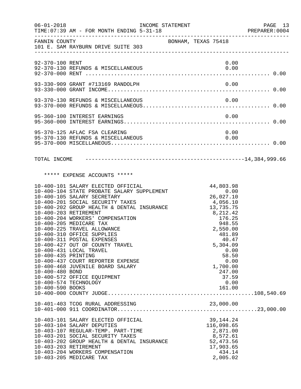| $06 - 01 - 2018$                                                                    | TIME: 07:39 AM - FOR MONTH ENDING 5-31-18                                                                                                                                                                                                                                                                                                                                                                                                                                                                                                                  | INCOME STATEMENT    |                                                                                                                                                                                                                          | PAGE 13<br>PREPARER: 0004 |
|-------------------------------------------------------------------------------------|------------------------------------------------------------------------------------------------------------------------------------------------------------------------------------------------------------------------------------------------------------------------------------------------------------------------------------------------------------------------------------------------------------------------------------------------------------------------------------------------------------------------------------------------------------|---------------------|--------------------------------------------------------------------------------------------------------------------------------------------------------------------------------------------------------------------------|---------------------------|
|                                                                                     | FANNIN COUNTY<br>101 E. SAM RAYBURN DRIVE SUITE 303                                                                                                                                                                                                                                                                                                                                                                                                                                                                                                        | BONHAM, TEXAS 75418 |                                                                                                                                                                                                                          |                           |
| 92-370-100 RENT                                                                     |                                                                                                                                                                                                                                                                                                                                                                                                                                                                                                                                                            |                     | 0.00                                                                                                                                                                                                                     |                           |
|                                                                                     |                                                                                                                                                                                                                                                                                                                                                                                                                                                                                                                                                            |                     |                                                                                                                                                                                                                          |                           |
|                                                                                     |                                                                                                                                                                                                                                                                                                                                                                                                                                                                                                                                                            |                     |                                                                                                                                                                                                                          |                           |
|                                                                                     | 95-360-100 INTEREST EARNINGS                                                                                                                                                                                                                                                                                                                                                                                                                                                                                                                               |                     | 0.00                                                                                                                                                                                                                     |                           |
|                                                                                     | 95-370-125 AFLAC FSA CLEARING<br>95-370-130 REFUNDS & MISCELLANEOUS                                                                                                                                                                                                                                                                                                                                                                                                                                                                                        |                     | 0.00<br>0.00                                                                                                                                                                                                             |                           |
| TOTAL INCOME                                                                        |                                                                                                                                                                                                                                                                                                                                                                                                                                                                                                                                                            |                     |                                                                                                                                                                                                                          |                           |
|                                                                                     | ***** EXPENSE ACCOUNTS *****                                                                                                                                                                                                                                                                                                                                                                                                                                                                                                                               |                     |                                                                                                                                                                                                                          |                           |
| 10-400-203 RETIREMENT<br>10-400-435 PRINTING<br>10-400-480 BOND<br>10-400-590 BOOKS | 10-400-101 SALARY ELECTED OFFICIAL<br>10-400-104 STATE PROBATE SALARY SUPPLEMENT<br>10-400-105 SALARY SECRETARY<br>10-400-201 SOCIAL SECURITY TAXES<br>10-400-202 GROUP HEALTH & DENTAL INSURANCE<br>10-400-204 WORKERS' COMPENSATION<br>10-400-205 MEDICARE TAX<br>10-400-225 TRAVEL ALLOWANCE<br>10-400-310 OFFICE SUPPLIES<br>10-400-311 POSTAL EXPENSES<br>10-400-427 OUT OF COUNTY TRAVEL<br>10-400-431 LOCAL TRAVEL<br>10-400-437 COURT REPORTER EXPENSE<br>10-400-468 JUVENILE BOARD SALARY<br>10-400-572 OFFICE EQUIPMENT<br>10-400-574 TECHNOLOGY |                     | $44,803.98$<br>0.00<br>$26,02$<br>4,056.10<br>- 735.75<br>$8, 212.42$<br>176.25<br>049 FF<br>948.55<br>2,550.00<br>481.89<br>40.47<br>5,304.09<br>0.00<br>58.50<br>0.00<br>1,700.00<br>247.00<br>37.59<br>0.00<br>161.00 |                           |
|                                                                                     | 10-403-101 SALARY ELECTED OFFICIAL<br>10-403-104 SALARY DEPUTIES<br>10-403-107 REGULAR-TEMP. PART-TIME                                                                                                                                                                                                                                                                                                                                                                                                                                                     |                     | 39, 144. 24<br>116,098.65<br>2,871.00                                                                                                                                                                                    |                           |
| 10-403-203 RETIREMENT                                                               | 10-403-201 SOCIAL SECURITY TAXES<br>10-403-202 GROUP HEALTH & DENTAL INSURANCE<br>10-403-204 WORKERS COMPENSATION<br>10-403-205 MEDICARE TAX                                                                                                                                                                                                                                                                                                                                                                                                               |                     | 8,572.61<br>52,473.56<br>17,903.65<br>434.14<br>2,005.02                                                                                                                                                                 |                           |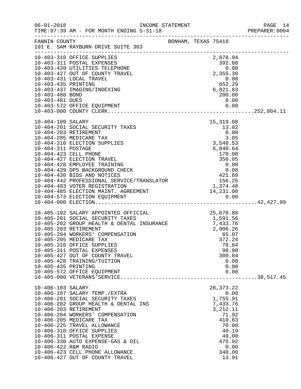|                                                           |                                                                                                                                                                                                                                                                                                                                                                                                                                  |                      |  |                                                                                                                                              | PAGE 14<br>PREPARER: 0004 |
|-----------------------------------------------------------|----------------------------------------------------------------------------------------------------------------------------------------------------------------------------------------------------------------------------------------------------------------------------------------------------------------------------------------------------------------------------------------------------------------------------------|----------------------|--|----------------------------------------------------------------------------------------------------------------------------------------------|---------------------------|
|                                                           | FANNIN COUNTY<br>101 E. SAM RAYBURN DRIVE SUITE 303                                                                                                                                                                                                                                                                                                                                                                              | BONHAM, TEXAS 75418  |  |                                                                                                                                              |                           |
| 10-403-435 PRINTING<br>10-403-480 BOND<br>10-403-481 DUES | 10-403-310 OFFICE SUPPLIES<br>10-403-310 OFFICE SUFFILES<br>10-403-311 POSTAL EXPENSES<br>10-403-420 UTILITIES TELEPHONE 0.00<br>10-403-427 OUT OF COUNTY TRAVEL 2,355.30<br>10-403-431 LOCAL TRAVEL<br>10-403-437 IMAGING/INDEXING                                                                                                                                                                                              | $652.29$<br>6,821.83 |  | 2,878.94<br>0.00<br>652 A52<br>652.29<br>200.00<br>0.00                                                                                      |                           |
|                                                           |                                                                                                                                                                                                                                                                                                                                                                                                                                  |                      |  |                                                                                                                                              |                           |
| 10-405-435 PRINTING                                       | 10-405-102 SALARY APPOINTED OFFICIAL 25,670.88<br>10-405-201 SOCIAL SECURITY TAXES 1,591.56<br>10-405-202 GROUP HEALTH & DENTAL INSURANCE 7,433.76<br>10-405-203 RETIREMENT<br>10-405-203 RETIREMENT<br>10-405-204 WORKERS' COMPENSATION<br>10-405-205 MEDICARE TAX<br>10-405-310 OFFICE SUPPLIES<br>10-405-311 POSTAL EXPENSES<br>10-405-427 OUT OF COUNTY TRAVEL<br>10-405-428 TRAINING/TUITION<br>10-405-572 OFFICE EQUIPMENT |                      |  | 2,906.26<br>65.07<br>372.24<br>78.84<br>98.00<br>300.84<br>0.00<br>0.00<br>0.00                                                              |                           |
| 10-406-103 SALARY<br>10-406-422 R&M RADIO                 | 10-406-107 SALARY TEMP./EXTRA<br>10-406-201 SOCIAL SECURITY TAXES<br>10-406-202 GROUP HEALTH & DENTAL INS<br>10-406-203 RETIREMENT<br>10-406-204 WORKERS' COMPENSATION<br>10-406-205 MEDICARE TAX<br>10-406-225 TRAVEL ALLOWANCE<br>10-406-310 OFFICE SUPPLIES<br>10-406-311 POSTAL EXPENSE<br>10-406-330 AUTO EXPENSE-GAS & OIL<br>10-406-423 CELL PHONE ALLOWANCE<br>10-406-427 OUT OF COUNTY TRAVEL                           |                      |  | 28, 373. 22<br>0.00<br>1,755.91<br>7,433.76<br>3, 212. 11<br>71.92<br>410.63<br>70.00<br>40.19<br>49.00<br>475.92<br>0.00<br>340.00<br>13.91 |                           |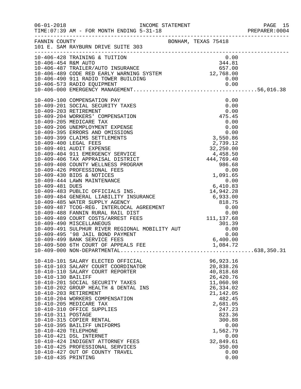|                                                                                         |                                                                                                                                                                                                                                                                                                                                                                                                                                                                                                                  |                                                                                                                                                                                                                   | PREPARER: 0004 |
|-----------------------------------------------------------------------------------------|------------------------------------------------------------------------------------------------------------------------------------------------------------------------------------------------------------------------------------------------------------------------------------------------------------------------------------------------------------------------------------------------------------------------------------------------------------------------------------------------------------------|-------------------------------------------------------------------------------------------------------------------------------------------------------------------------------------------------------------------|----------------|
|                                                                                         | FANNIN COUNTY<br>101 E. SAM RAYBURN DRIVE SUITE 303                                                                                                                                                                                                                                                                                                                                                                                                                                                              |                                                                                                                                                                                                                   |                |
|                                                                                         | 10-406-428 TRAINING & TUITION 0.00<br>10-406-454 R&M AUTO 344.81<br>10-406-487 TRAILER/AUTO INSURANCE 657.00<br>10-406-489 CODE RED EARLY WARNING SYSTEM 12,768.00                                                                                                                                                                                                                                                                                                                                               |                                                                                                                                                                                                                   |                |
|                                                                                         |                                                                                                                                                                                                                                                                                                                                                                                                                                                                                                                  |                                                                                                                                                                                                                   |                |
| 10-410-130 BAILIFF<br>10-410-311 POSTAGE<br>10-410-420 TELEPHONE<br>10-410-435 PRINTING | 10-410-101 SALARY ELECTED OFFICIAL<br>10-410-103 SALARY COURT COORDINATOR<br>10-410-110 SALARY COURT REPORTER<br>10-410-201 SOCIAL SECURITY TAXES<br>10-410-202 GROUP HEALTH & DENTAL INS<br>10-410-203 RETIREMENT<br>10-410-204 WORKERS COMPENSATION<br>10-410-205 MEDICARE TAX<br>10-410-310 OFFICE SUPPLIES<br>10-410-315 COPIER RENTAL<br>10-410-395 BAILIFF UNIFORMS<br>10-410-421 DSL INTERNET<br>10-410-424 INDIGENT ATTORNEY FEES<br>10-410-425 PROFESSIONAL SERVICES<br>10-410-427 OUT OF COUNTY TRAVEL | 96, 923. 16<br>20,838.26<br>40,818.68<br>26,420.76<br>11,060.98<br>26,334.02<br>21, 142.05<br>482.45<br>2,681.05<br>247.23<br>823.36<br>300.88<br>0.00<br>1,562.79<br>0.00<br>32,849.61<br>350.00<br>0.00<br>0.00 |                |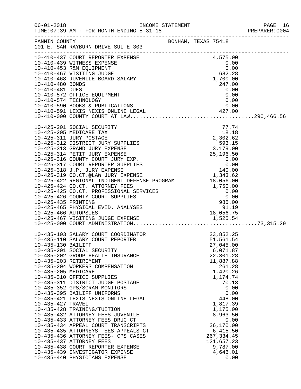|                                                                |                                                                                                                                                                                                                                                                                                                                                                                                                                                                                                                                                                                                                                                                                                                                                     |                     |                                                                                                                                                                                                                                                                                  | PREPARER: 0004 |
|----------------------------------------------------------------|-----------------------------------------------------------------------------------------------------------------------------------------------------------------------------------------------------------------------------------------------------------------------------------------------------------------------------------------------------------------------------------------------------------------------------------------------------------------------------------------------------------------------------------------------------------------------------------------------------------------------------------------------------------------------------------------------------------------------------------------------------|---------------------|----------------------------------------------------------------------------------------------------------------------------------------------------------------------------------------------------------------------------------------------------------------------------------|----------------|
|                                                                | FANNIN COUNTY<br>101 E. SAM RAYBURN DRIVE SUITE 303                                                                                                                                                                                                                                                                                                                                                                                                                                                                                                                                                                                                                                                                                                 | BONHAM, TEXAS 75418 |                                                                                                                                                                                                                                                                                  |                |
| 10-410-480 BONDS<br>10-410-481 DUES                            | 10-410-437 COURT REPORTER EXPENSE<br>10-410-439 WITNESS EXPENSE<br>10-410-439 WITNESS EXPENSE<br>10-410-453 R&M EQUIPMENT<br>10-410-467 VISITING JUDGE<br>10-410-468 JUVENILE BOARD SALARY<br>1,700.00<br>1,700.00<br>247.00<br>247.00<br>10-410-572 OFFICE EQUIPMENT<br>10-410-574 TECHNOLOGY                                                                                                                                                                                                                                                                                                                                                                                                                                                      |                     | 247.00<br>0.00<br>0.00<br>0.00                                                                                                                                                                                                                                                   |                |
|                                                                | 10-425-201 SOCIAL SECURITY<br>10-425-205 MEDICARE TAX<br>10-425-311 JURY POSTAGE<br>10-425-312 DISTRICT JURY SUPPLIES<br>10-425-313 GRAND JURY EXPENSE<br>10-425-314 PETIT JURY EXPENSE<br>10-425-316 COUNTY COURT JURY EXP.<br>10-425-317 COURT REPORTER SUPPLIES                                                                                                                                                                                                                                                                                                                                                                                                                                                                                  |                     | 77.74<br>$\begin{array}{r} \n 77.74 \\  \hline\n 18.18 \\  2,302.62 \\  \hline\n 593.15 \\  3,179.00 \\  25,196.50 \\  \hline\n 0.00 \\  140.00 \\  \hline\n 1,343.62 \\  \end{array}$                                                                                           |                |
| 10-435-130 BAILIFF<br>10-435-205 MEDICARE<br>10-435-427 TRAVEL | 10-435-103 SALARY COURT COORDINATOR<br>10-435-110 SALARY COURT REPORTER<br>10-435-201 SOCIAL SECURITY<br>10-435-202 GROUP HEALTH INSURANCE<br>10-435-203 RETIREMENT<br>10-435-204 WORKERS COMPENSATION<br>10-435-310 OFFICE SUPPLIES<br>10-435-311 DISTRICT JUDGE POSTAGE<br>10-435-352 GPS/SCRAM MONITORS<br>10-435-395 BAILIFF UNIFORMS<br>10-435-421 LEXIS NEXIS ONLINE LEGAL<br>10-435-428 TRAINING/TUITION<br>10-435-432 ATTORNEY FEES JUVENILE<br>10-435-433 ATTORNEY FEES DRUG CT<br>10-435-434 APPEAL COURT TRANSCRIPTS<br>10-435-435 ATTORNEYS FEES APPEALS CT<br>10-435-436 ATTORNEY FEES- CPS CASES<br>10-435-437 ATTORNEY FEES<br>10-435-438 COURT REPORTER EXPENSE<br>10-435-439 INVESTIGATOR EXPENSE<br>10-435-440 PHYSICIANS EXPENSE |                     | 23,852.25<br>51,561.54<br>27,045.00<br>6,071.87<br>22,301.28<br>11,887.88<br>261.28<br>1,420.26<br>1,174.74<br>70.13<br>0.00<br>0.00<br>448.00<br>1,817.39<br>1,175.00<br>8,963.50<br>0.00<br>36,170.00<br>6,415.50<br>267, 334.45<br>121,657.23<br>9,787.00<br>4,646.01<br>0.00 |                |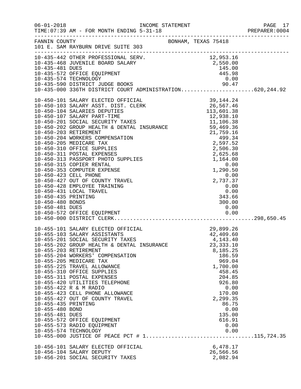| $06 - 01 - 2018$    | TIME: 07:39 AM - FOR MONTH ENDING 5-31-18                                                                                                                                                                                                    |                       | PAGE 17 |
|---------------------|----------------------------------------------------------------------------------------------------------------------------------------------------------------------------------------------------------------------------------------------|-----------------------|---------|
|                     | FANNIN COUNTY SONHAM, TEXAS 75418<br>101 E. SAM RAYBURN DRIVE SUITE 303                                                                                                                                                                      |                       |         |
|                     | 10-435-442 OTHER PROFESSIONAL SERV.<br>10-435-468 JUVENILE BOARD SALARY<br>10-435-468 JUVENILE BOARD SALARY<br>10-435-481 DUES<br>10-435-572 OFFICE EQUIPMENT<br>10-435-574 TECHNOLOGY<br>10-435-590 DISTRICT JUDGE BOOKS<br>10-435-500 DIST |                       |         |
|                     |                                                                                                                                                                                                                                              |                       |         |
|                     |                                                                                                                                                                                                                                              |                       |         |
|                     |                                                                                                                                                                                                                                              |                       |         |
|                     |                                                                                                                                                                                                                                              |                       |         |
|                     |                                                                                                                                                                                                                                              |                       |         |
|                     |                                                                                                                                                                                                                                              |                       |         |
|                     |                                                                                                                                                                                                                                              |                       |         |
|                     |                                                                                                                                                                                                                                              |                       |         |
|                     |                                                                                                                                                                                                                                              |                       |         |
|                     |                                                                                                                                                                                                                                              |                       |         |
|                     |                                                                                                                                                                                                                                              |                       |         |
|                     |                                                                                                                                                                                                                                              |                       |         |
|                     |                                                                                                                                                                                                                                              |                       |         |
|                     |                                                                                                                                                                                                                                              |                       |         |
|                     |                                                                                                                                                                                                                                              |                       |         |
|                     |                                                                                                                                                                                                                                              |                       |         |
|                     |                                                                                                                                                                                                                                              |                       |         |
|                     |                                                                                                                                                                                                                                              |                       |         |
|                     |                                                                                                                                                                                                                                              |                       |         |
|                     | 10-455-101 SALARY ELECTED OFFICIAL 29,899.26<br>10-455-103 SALARY ASSISTANTS 42,409.60<br>10-455-201 SOCIAL SECURITY TAXES 4,143.40                                                                                                          |                       |         |
|                     |                                                                                                                                                                                                                                              |                       |         |
|                     | 10-455-202 GROUP HEALTH & DENTAL INSURANCE                                                                                                                                                                                                   | 23, 333.10            |         |
|                     | 10-455-203 RETIREMENT                                                                                                                                                                                                                        | 8,185.25              |         |
|                     | 10-455-204 WORKERS' COMPENSATION<br>10-455-205 MEDICARE TAX                                                                                                                                                                                  | 186.59<br>969.04      |         |
|                     | 10-455-225 TRAVEL ALLOWANCE                                                                                                                                                                                                                  | 1,700.00              |         |
|                     | 10-455-310 OFFICE SUPPLIES                                                                                                                                                                                                                   | 458.45                |         |
|                     | 10-455-311 POSTAL EXPENSES<br>10-455-420 UTILITIES TELEPHONE                                                                                                                                                                                 | 204.85<br>926.80      |         |
|                     | 10-455-422 R & M RADIO                                                                                                                                                                                                                       | 0.00                  |         |
|                     | 10-455-423 CELL PHONE ALLOWANCE                                                                                                                                                                                                              | 170.00                |         |
| 10-455-435 PRINTING | 10-455-427 OUT OF COUNTY TRAVEL                                                                                                                                                                                                              | 2,299.35<br>86.75     |         |
| 10-455-480 BOND     |                                                                                                                                                                                                                                              | 0.00                  |         |
| 10-455-481 DUES     |                                                                                                                                                                                                                                              | 135.00                |         |
|                     | 10-455-572 OFFICE EQUIPMENT<br>10-455-573 RADIO EQUIPMENT                                                                                                                                                                                    | 616.91<br>0.00        |         |
|                     | 10-455-574 TECHNOLOGY                                                                                                                                                                                                                        | 0.00                  |         |
|                     |                                                                                                                                                                                                                                              |                       |         |
|                     | 10-456-101 SALARY ELECTED OFFICIAL                                                                                                                                                                                                           | 6,478.17              |         |
|                     | 10-456-104 SALARY DEPUTY<br>10-456-201 SOCIAL SECURITY TAXES                                                                                                                                                                                 | 26,566.56<br>2,082.94 |         |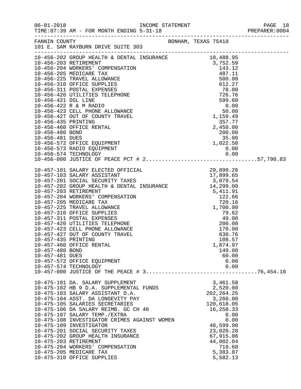|                                    |                                                                                                                                                                                                                                                                                                                                                                                                                                                                                                                                            |                                                                                                                                                                                  | PAGE 18 |
|------------------------------------|--------------------------------------------------------------------------------------------------------------------------------------------------------------------------------------------------------------------------------------------------------------------------------------------------------------------------------------------------------------------------------------------------------------------------------------------------------------------------------------------------------------------------------------------|----------------------------------------------------------------------------------------------------------------------------------------------------------------------------------|---------|
|                                    | FANNIN COUNTY<br>101 E. SAM RAYBURN DRIVE SUITE 303                                                                                                                                                                                                                                                                                                                                                                                                                                                                                        |                                                                                                                                                                                  |         |
|                                    |                                                                                                                                                                                                                                                                                                                                                                                                                                                                                                                                            |                                                                                                                                                                                  |         |
|                                    |                                                                                                                                                                                                                                                                                                                                                                                                                                                                                                                                            |                                                                                                                                                                                  |         |
| 10-457-480 BOND<br>10-457-481 DUES | 10-457-460 OFFICE RENTAL<br>10-457-572 OFFICE EQUIPMENT<br>10-457-574 TECHNOLOGY                                                                                                                                                                                                                                                                                                                                                                                                                                                           | 1,874.97<br>149.00<br>60.00<br>0.00<br>0.00                                                                                                                                      |         |
|                                    | 10-475-101 DA. SALARY SUPPLEMENT<br>10-475-102 HB 9 D.A. SUPPLEMENTAL FUNDS<br>10-475-103 SALARY ASSISTANT D.A.<br>10-475-104 ASST. DA LONGEVITY PAY<br>10-475-105 SALARIES SECRETARIES<br>10-475-106 DA SALARY REIMB. GC CH 46<br>10-475-107 SALARY TEMP./EXTRA<br>10-475-108 INVESTIGATOR CRIMES AGAINST WOMEN<br>10-475-109 INVESTIGATOR<br>10-475-201 SOCIAL SECURITY TAXES<br>10-475-202 GROUP HEALTH INSURANCE<br>10-475-203 RETIREMENT<br>10-475-204 WORKERS' COMPENSATION<br>10-475-205 MEDICARE TAX<br>10-475-310 OFFICE SUPPLIES | 3,461.58<br>2,520.00<br>202, 264.25<br>3,260.00<br>120,618.05<br>16,258.33<br>0.00<br>0.00<br>40,599.90<br>23,020.28<br>67,915.06<br>44,002.04<br>719.68<br>5,383.87<br>5,582.13 |         |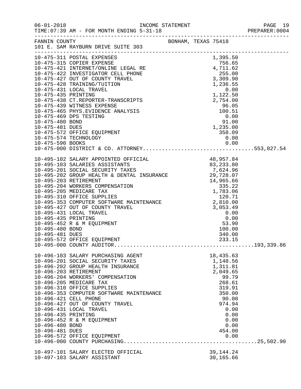|                                                           |                                                                                                                                                                                                                                                                                                                                                                                                                                   |  |                                                                                                                                                           | PREPARER: 0004 |
|-----------------------------------------------------------|-----------------------------------------------------------------------------------------------------------------------------------------------------------------------------------------------------------------------------------------------------------------------------------------------------------------------------------------------------------------------------------------------------------------------------------|--|-----------------------------------------------------------------------------------------------------------------------------------------------------------|----------------|
|                                                           | FANNIN COUNTY BONHAM, TEXAS 75418<br>101 E. SAM RAYBURN DRIVE SUITE 303                                                                                                                                                                                                                                                                                                                                                           |  |                                                                                                                                                           |                |
|                                                           |                                                                                                                                                                                                                                                                                                                                                                                                                                   |  |                                                                                                                                                           |                |
|                                                           | 0.00 0.00 0.00<br>10-475-000 DISTRICT & CO. ATTORNEY553,027.54                                                                                                                                                                                                                                                                                                                                                                    |  |                                                                                                                                                           |                |
| 10-495-481 DUES                                           | 10-495-572 OFFICE EQUIPMENT                                                                                                                                                                                                                                                                                                                                                                                                       |  | 340.00<br>233.15                                                                                                                                          |                |
| 10-496-435 PRINTING<br>10-496-480 BOND<br>10-496-481 DUES | 10-496-103 SALARY PURCHASING AGENT<br>10-496-201 SOCIAL SECURITY TAXES<br>10-496-202 GROUP HEALTH INSURANCE<br>10-496-203 RETIREMENT<br>10-496-204 WORKERS' COMPENSATION<br>10-496-205 MEDICARE TAX<br>10-496-310 OFFICE SUPPLIES<br>10-496-353 COMPUTER SOFTWARE MAINTENANCE<br>10-496-421 CELL PHONE<br>10-496-427 OUT OF COUNTY TRAVEL<br>10-496-431 LOCAL TRAVEL<br>10-496-452 R & M EQUIPMENT<br>10-496-572 OFFICE EQUIPMENT |  | 18,435.63<br>1,148.56<br>1,311.81<br>2,049.65<br>99.79<br>268.61<br>319.91<br>350.00<br>90.00<br>974.94<br>0.00<br>0.00<br>0.00<br>0.00<br>454.00<br>0.00 |                |
|                                                           | 10-497-101 SALARY ELECTED OFFICIAL<br>10-497-103 SALARY ASSISTANT                                                                                                                                                                                                                                                                                                                                                                 |  | 39, 144. 24<br>30,165.66                                                                                                                                  |                |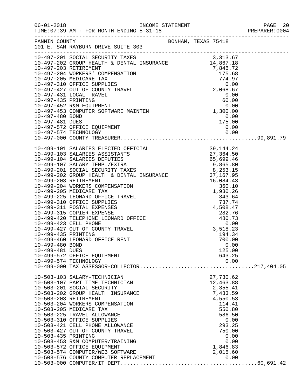|                                    | FANNIN COUNTY<br>101 E. SAM RAYBURN DRIVE SUITE 303                                                                                                                                                                                                                                                                                                                                                                                                                                                           |                                                                                                                                                                      |  |
|------------------------------------|---------------------------------------------------------------------------------------------------------------------------------------------------------------------------------------------------------------------------------------------------------------------------------------------------------------------------------------------------------------------------------------------------------------------------------------------------------------------------------------------------------------|----------------------------------------------------------------------------------------------------------------------------------------------------------------------|--|
|                                    |                                                                                                                                                                                                                                                                                                                                                                                                                                                                                                               |                                                                                                                                                                      |  |
| 10-497-481 DUES                    | 10-497-572 OFFICE EQUIPMENT                                                                                                                                                                                                                                                                                                                                                                                                                                                                                   | $0.00$<br>175.00<br>0.00<br>0.00                                                                                                                                     |  |
| 10-499-480 BOND<br>10-499-481 DUES |                                                                                                                                                                                                                                                                                                                                                                                                                                                                                                               | 0.00<br>125.00                                                                                                                                                       |  |
|                                    | 10-499-572 OFFICE EQUIPMENT<br>10-499-574 TECHNOLOGY                                                                                                                                                                                                                                                                                                                                                                                                                                                          | 643.25<br>0.00                                                                                                                                                       |  |
| 10-503-435 PRINTING                | 10-503-103 SALARY-TECHNICIAN<br>10-503-107 PART TIME TECHNICIAN<br>10-503-201 SOCIAL SECURITY<br>10-503-202 GROUP HEALTH INSURANCE<br>10-503-203 RETIREMENT<br>10-503-204 WORKERS COMPENSATION<br>10-503-205 MEDICARE TAX<br>10-503-225 TRAVEL ALLOWANCE<br>10-503-310 OFFICE SUPPLIES<br>10-503-421 CELL PHONE ALLOWANCE<br>10-503-427 OUT OF COUNTY TRAVEL<br>10-503-453 R&M COMPUTER/TRAINING<br>10-503-572 OFFICE EQUIPMENT<br>10-503-574 COMPUTER/WEB SOFTWARE<br>10-503-576 COUNTY COMPUTER REPLACEMENT | 27,730.62<br>12,463.88<br>2,355.41<br>7,433.59<br>4,550.53<br>114.41<br>550.80<br>586.50<br>0.00<br>293.25<br>750.00<br>0.00<br>0.00<br>1,846.83<br>2,015.60<br>0.00 |  |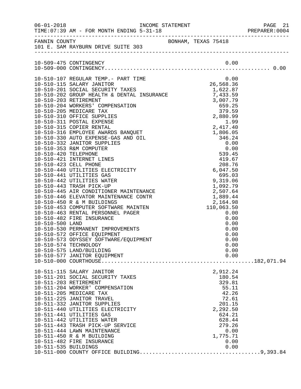|                                               |                                                                                                                                                                                                                                                                                                                                                                                                                    |                                                                                                                                                 | PREPARER: 0004 |
|-----------------------------------------------|--------------------------------------------------------------------------------------------------------------------------------------------------------------------------------------------------------------------------------------------------------------------------------------------------------------------------------------------------------------------------------------------------------------------|-------------------------------------------------------------------------------------------------------------------------------------------------|----------------|
|                                               | FANNIN COUNTY<br>101 E. SAM RAYBURN DRIVE SUITE 303                                                                                                                                                                                                                                                                                                                                                                |                                                                                                                                                 |                |
|                                               |                                                                                                                                                                                                                                                                                                                                                                                                                    |                                                                                                                                                 |                |
|                                               |                                                                                                                                                                                                                                                                                                                                                                                                                    |                                                                                                                                                 |                |
|                                               | 10-510-574 TECHNOLOGY<br>10-510-575 LAND/BUILDING<br>10-510-577 JANITOR EQUIPMENT                                                                                                                                                                                                                                                                                                                                  | 0.00<br>0.00<br>0.00                                                                                                                            |                |
| 10-511-203 RETIREMENT<br>10-511-535 BUILDINGS | 10-511-115 SALARY JANITOR<br>10-511-201 SOCIAL SECURITY TAXES<br>10-511-204 WORKER' COMPENSATION<br>10-511-205 MEDICARE TAX<br>10-511-225 JANITOR TRAVEL<br>10-511-332 JANITOR SUPPLIES<br>10-511-440 UTILITIES ELECTRICITY<br>10-511-441 UTILITIES GAS<br>10-511-442 UTILITIES WATER<br>10-511-443 TRASH PICK-UP SERVICE<br>10-511-444 LAWN MAINTENANCE<br>10-511-450 R & M BUILDING<br>10-511-482 FIRE INSURANCE | 2,912.24<br>180.54<br>329.81<br>55.11<br>42.26<br>72.61<br>201.15<br>2,292.50<br>624.21<br>628.44<br>279.26<br>0.00<br>1,775.71<br>0.00<br>0.00 |                |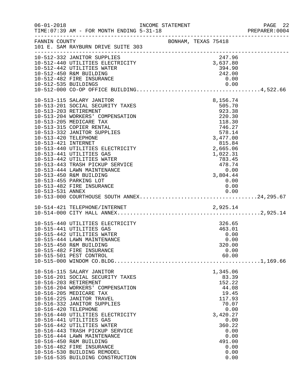| $06 - 01 - 2018$                            | TIME: 07:39 AM - FOR MONTH ENDING 5-31-18                                                                                                                                                                                                                                                                                                                                                                                                                                                                    | INCOME STATEMENT |                     |                                                                                                                                                                                     | PAGE 22<br>PREPARER: 0004        |
|---------------------------------------------|--------------------------------------------------------------------------------------------------------------------------------------------------------------------------------------------------------------------------------------------------------------------------------------------------------------------------------------------------------------------------------------------------------------------------------------------------------------------------------------------------------------|------------------|---------------------|-------------------------------------------------------------------------------------------------------------------------------------------------------------------------------------|----------------------------------|
| FANNIN COUNTY                               | 101 E. SAM RAYBURN DRIVE SUITE 303                                                                                                                                                                                                                                                                                                                                                                                                                                                                           |                  | BONHAM, TEXAS 75418 |                                                                                                                                                                                     |                                  |
|                                             | 10-512-332 JANITOR SUPPLIES<br>10-512-440 UTILITIES ELECTRICITY<br>10-512-442 UTILITIES WATER<br>10-512-450 R&M BUILDING<br>10-512-482 FIRE INSURANCE                                                                                                                                                                                                                                                                                                                                                        |                  |                     | 247.96<br>3,637.80<br>394.90<br>242.00<br>0.00                                                                                                                                      |                                  |
| 10-513-420 TELEPHONE<br>10-513-421 INTERNET | 10-513-115 SALARY JANITOR<br>10-513-201 SOCIAL SECURITY TAXES<br>10-513-203 RETIREMENT<br>10-513-204 WORKERS' COMPENSATION<br>10-513-205 MEDICARE TAX<br>10-513-315 COPIER RENTAL<br>10-513-332 JANITOR SUPPLIES<br>10-513-440 UTILITIES ELECTRICITY<br>10-513-441 UTILITIES GAS<br>10-513-442 UTILITIES WATER<br>10-513-443 TRASH PICKUP SERVICE<br>10-513-444 LAWN MAINTENANCE<br>10-513-450 R&M BUILDING<br>10-513-455 PARKING LOT<br>10-513-482 FIRE INSURANCE                                           |                  |                     | 8,156.74<br>505.70<br>923.38<br>220.30<br>118.30<br>746.27<br>578.14<br>3,477.00<br>815.84<br>2,665.06<br>1,022.31<br>783.45<br>$783.45 \ 478.74 \ 0.00 \ 3.804.44$<br>0.00<br>0.00 |                                  |
|                                             | 10-514-421 TELEPHONE/INTERNET 2,925.14                                                                                                                                                                                                                                                                                                                                                                                                                                                                       |                  |                     |                                                                                                                                                                                     |                                  |
|                                             | 10-515-440 UTILITIES ELECTRICITY<br>10-515-441 UTILITIES GAS<br>10-515-442 UTILITIES WATER<br>10-515-444 LAWN MAINTENANCE<br>10-515-450 R&M BUILDING<br>10-515-482 FIRE INSURANCE<br>10-515-501 PEST CONTROL                                                                                                                                                                                                                                                                                                 |                  |                     | 326.65<br>463.01<br>0.00<br>0.00<br>320.00<br>0.00<br>60.00                                                                                                                         | $\ldots \ldots \ldots 1, 169.66$ |
| 10-516-420 TELEPHONE                        | 10-516-115 SALARY JANITOR<br>10-516-201 SOCIAL SECURITY TAXES<br>10-516-203 RETIREMENT<br>10-516-204 WORKERS' COMPENSATION<br>10-516-205 MEDICARE TAX<br>10-516-225 JANITOR TRAVEL<br>10-516-332 JANITOR SUPPLIES<br>10-516-440 UTILITIES ELECTRICITY<br>10-516-441 UTILITIES GAS<br>10-516-442 UTILITIES WATER<br>10-516-443 TRASH PICKUP SERVICE<br>10-516-444 LAWN MAINTENANCE<br>10-516-450 R&M BUILDING<br>10-516-482 FIRE INSURANCE<br>10-516-530 BUILDING REMODEL<br>10-516-535 BUILDING CONSTRUCTION |                  |                     | 1,345.06<br>83.39<br>152.22<br>44.08<br>19.45<br>117.93<br>70.07<br>0.00<br>3,420.27<br>0.00<br>360.22<br>0.00<br>0.00<br>491.00<br>0.00<br>0.00<br>0.00                            |                                  |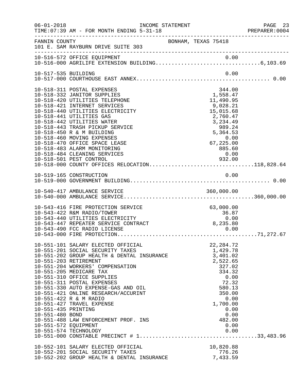| $06 - 01 - 2018$                                               | TIME: 07:39 AM - FOR MONTH ENDING 5-31-18                                                                                                                                                                                                                                                                                                                                                                                                             | INCOME STATEMENT    |                                                                                                                                                               | PAGE 23 |
|----------------------------------------------------------------|-------------------------------------------------------------------------------------------------------------------------------------------------------------------------------------------------------------------------------------------------------------------------------------------------------------------------------------------------------------------------------------------------------------------------------------------------------|---------------------|---------------------------------------------------------------------------------------------------------------------------------------------------------------|---------|
| FANNIN COUNTY                                                  | 101 E. SAM RAYBURN DRIVE SUITE 303                                                                                                                                                                                                                                                                                                                                                                                                                    | BONHAM, TEXAS 75418 |                                                                                                                                                               |         |
|                                                                | 10-516-572 OFFICE EQUIPMENT                                                                                                                                                                                                                                                                                                                                                                                                                           |                     |                                                                                                                                                               |         |
| 10-517-535 BUILDING                                            |                                                                                                                                                                                                                                                                                                                                                                                                                                                       |                     | 0.00                                                                                                                                                          |         |
|                                                                | 10-518-311 POSTAL EXPENSES<br>10-518-332 JANITOR SUPPLIES<br>10-518-420 UTILITIES TELEPHONE<br>10-518-421 INTERNET SERVICES<br>10-518-440 UTILITIES ELECTRICITY<br>10-518-441 UTILITIES GAS<br>10-518-442 UTILITIES WATER<br>10-518-443 TRASH PICKUP SERVICE<br>10-518-450 R & M BUILDING<br>10-518-460 MOVING EXPENSES<br>10-518-470 OFFICE SPACE LEASE<br>10-518-483 ALARM MONITORING<br>10-518-484 CLEANING SERVICES<br>10-518-501 PEST CONTROL    |                     | 344.00<br>1,558.47<br>11,490.95<br>$9,028.21$<br>15,015 68<br>2,760.47<br>3,234.49<br>989.24<br>5,364.53<br>0.00<br>67,225.00<br>885.60<br>0.00<br>932.00     |         |
|                                                                | 10-518-000 COUNTY OFFICES RELOCATION118,828.64                                                                                                                                                                                                                                                                                                                                                                                                        |                     |                                                                                                                                                               |         |
|                                                                |                                                                                                                                                                                                                                                                                                                                                                                                                                                       |                     |                                                                                                                                                               |         |
|                                                                | 10-543-416 FIRE PROTECTION SERVICE<br>10-543-422 R&M RADIO/TOWER<br>10-543-440 UTILITIES ELECTRICITY<br>10-543-447 REPEATER SERVICE CONTRACT<br>10-543-490 FCC RADIO LICENSE                                                                                                                                                                                                                                                                          |                     | 63,000.00<br>$36.87$<br>0.00<br>8,235.80<br>0.00                                                                                                              |         |
| 10-551-435 PRINTING<br>10-551-480 BOND<br>10-551-572 EQUIPMENT | 10-551-101 SALARY ELECTED OFFICIAL<br>10-551-201 SOCIAL SECURITY TAXES<br>10-551-202 GROUP HEALTH & DENTAL INSURANCE<br>10-551-203 RETIREMENT<br>10-551-204 WORKERS' COMPENSATION<br>10-551-205 MEDICARE TAX<br>10-551-310 OFFICE SUPPLIES<br>10-551-311 POSTAL EXPENSES<br>10-551-330 AUTO EXPENSE-GAS AND OIL<br>10-551-421 ONLINE RESEARCH/ACCURINT<br>10-551-422 R & M RADIO<br>10-551-427 TRAVEL EXPENSE<br>10-551-488 LAW ENFORCEMENT PROF. INS |                     | 22, 284.72<br>1,429.78<br>3,401.02<br>2,522.65<br>327.02<br>334.32<br>0.00<br>72.32<br>580.13<br>350.00<br>0.00<br>1,700.00<br>0.00<br>0.00<br>482.00<br>0.00 |         |
|                                                                | 10-552-101 SALARY ELECTED OFFICIAL<br>10-552-201 SOCIAL SECURITY TAXES<br>10-552-202 GROUP HEALTH & DENTAL INSURANCE                                                                                                                                                                                                                                                                                                                                  |                     | 10,820.88<br>776.26<br>7,433.59                                                                                                                               |         |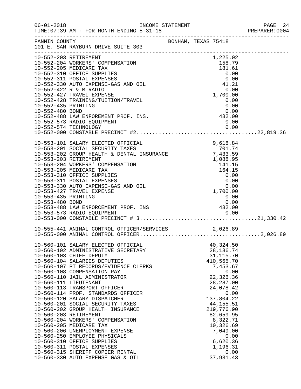|                                                                                                                                                                                                                                                                                                                                                                                                                                                                                                                                                                                                                                                                                                                                                                                                                                                                            |                                                                                                                                                                                                                                                                                                                                                                                                               |                                                                                                                                   |                     | PREPARER: 0004                                                                                                                                                                                                                                                                                                                                                                                                                                                                                                                                                                                                                                                                                                                                                                              |
|----------------------------------------------------------------------------------------------------------------------------------------------------------------------------------------------------------------------------------------------------------------------------------------------------------------------------------------------------------------------------------------------------------------------------------------------------------------------------------------------------------------------------------------------------------------------------------------------------------------------------------------------------------------------------------------------------------------------------------------------------------------------------------------------------------------------------------------------------------------------------|---------------------------------------------------------------------------------------------------------------------------------------------------------------------------------------------------------------------------------------------------------------------------------------------------------------------------------------------------------------------------------------------------------------|-----------------------------------------------------------------------------------------------------------------------------------|---------------------|---------------------------------------------------------------------------------------------------------------------------------------------------------------------------------------------------------------------------------------------------------------------------------------------------------------------------------------------------------------------------------------------------------------------------------------------------------------------------------------------------------------------------------------------------------------------------------------------------------------------------------------------------------------------------------------------------------------------------------------------------------------------------------------------|
|                                                                                                                                                                                                                                                                                                                                                                                                                                                                                                                                                                                                                                                                                                                                                                                                                                                                            |                                                                                                                                                                                                                                                                                                                                                                                                               |                                                                                                                                   |                     |                                                                                                                                                                                                                                                                                                                                                                                                                                                                                                                                                                                                                                                                                                                                                                                             |
|                                                                                                                                                                                                                                                                                                                                                                                                                                                                                                                                                                                                                                                                                                                                                                                                                                                                            |                                                                                                                                                                                                                                                                                                                                                                                                               |                                                                                                                                   |                     |                                                                                                                                                                                                                                                                                                                                                                                                                                                                                                                                                                                                                                                                                                                                                                                             |
|                                                                                                                                                                                                                                                                                                                                                                                                                                                                                                                                                                                                                                                                                                                                                                                                                                                                            |                                                                                                                                                                                                                                                                                                                                                                                                               |                                                                                                                                   |                     |                                                                                                                                                                                                                                                                                                                                                                                                                                                                                                                                                                                                                                                                                                                                                                                             |
|                                                                                                                                                                                                                                                                                                                                                                                                                                                                                                                                                                                                                                                                                                                                                                                                                                                                            |                                                                                                                                                                                                                                                                                                                                                                                                               |                                                                                                                                   |                     |                                                                                                                                                                                                                                                                                                                                                                                                                                                                                                                                                                                                                                                                                                                                                                                             |
|                                                                                                                                                                                                                                                                                                                                                                                                                                                                                                                                                                                                                                                                                                                                                                                                                                                                            |                                                                                                                                                                                                                                                                                                                                                                                                               |                                                                                                                                   |                     |                                                                                                                                                                                                                                                                                                                                                                                                                                                                                                                                                                                                                                                                                                                                                                                             |
| 10-552-203 RETIREMENT<br>10-552-204 WORKERS' COMPENSATION<br>10-552-205 MEDICARE TAX<br>10-552-310 OFFICE SUPPLIES<br>10-552-311 POSTAL EXPENSES<br>10-552-422 R & M RADIO<br>10-552-427 TRAVEL EXPENSE<br>10-552-435 PRINTING<br>10-552-480 BOND<br>10-552-573 RADIO EQUIPMENT<br>10-553-427 TRAVEL EXPENSE<br>10-553-435 PRINTING<br>10-553-480 BOND<br>10-560-103 CHIEF DEPUTY<br>10-560-104 SALARIES DEPUTIES<br>10-560-108 COMPENSATION PAY<br>10-560-110 JAIL ADMINISTRATOR<br>10-560-111 LIEUTENANT<br>10-560-113 TRANSPORT OFFICER<br>10-560-120 SALARY DISPATCHER<br>10-560-201 SOCIAL SECURITY TAXES<br>10-560-203 RETIREMENT<br>10-560-204 WORKERS' COMPENSATION<br>10-560-205 MEDICARE TAX<br>10-560-206 UNEMPLOYMENT EXPENSE<br>10-560-250 EMPLOYEE PHYSICALS<br>10-560-310 OFFICE SUPPLIES<br>10-560-311 POSTAL EXPENSES<br>10-560-315 SHERIFF COPIER RENTAL | FANNIN COUNTY<br>101 E. SAM RAYBURN DRIVE SUITE 303<br>10-552-330 AUTO EXPENSE-GAS AND OIL<br>10-552-428 TRAINING/TUITION/TRAVEL<br>10-553-330 AUTO EXPENSE-GAS AND OIL<br>10-560-101 SALARY ELECTED OFFICIAL<br>10-560-102 ADMINISTRATIVE SECRETARY<br>10-560-107 PT RECORDS/EVIDENCE CLERKS<br>10-560-114 PROF. STANDARDS OFFICER<br>10-560-202 GROUP HEALTH INSURANCE<br>10-560-330 AUTO EXPENSE GAS & OIL | 10-552-480 BOND<br>10-552-488 LAW ENFOREMENT PROF. INS.<br>10-553-101 SALARY ELECTED OFFICIAL<br>10-553-201 SOCIAL SECURITY TAXES | BONHAM, TEXAS 75418 | 1,225.02<br>158.79<br>181.61<br>0.00<br>0.00<br>41.21<br>0.00<br>1,700.00<br>0.00<br>0.00<br>0.00<br>$0\,.00$<br>$482.00$<br>0.00<br>10-553-101 SALARY ELECTED OFFICIAL<br>10-553-201 SOCIAL SECURITY TAXES<br>10-553-202 GROUP HEALTH & DENTAL INSURANCE<br>10-553-203 RETIREMENT<br>10-553-203 RETIREMENT<br>10-553-204 WORKERS' COMPENSATION<br>10-553-205 MEDICARE TAX<br>10-<br>0.00<br>1,700.00<br>0.00<br>0.00<br>10-553-488 LAW ENFORCEMENT PROF. INS<br>10-553-488 LAW ENFORCEMENT PROF. INS<br>2.00<br>40,324.50<br>28, 186. 74<br>31, 115.70<br>410,565.70<br>7,453.67<br>0.00<br>22,326.36<br>28, 287.00<br>24,078.42<br>0.00<br>137,804.22<br>44, 155. 51<br>219,776.90<br>82,659.95<br>8,322.71<br>10,326.69<br>7,049.00<br>0.00<br>6,620.36<br>1,196.31<br>0.00<br>37,931.43 |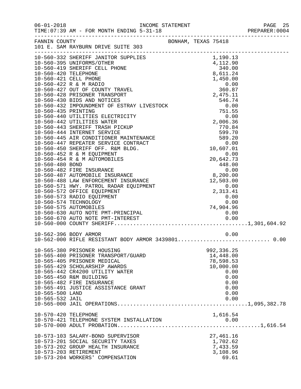|                                    |                                                                                                                                                                                                                                                                                                                                                                                                                                                                                                                                                                                              |                     |                              | PREPARER: 0004 |
|------------------------------------|----------------------------------------------------------------------------------------------------------------------------------------------------------------------------------------------------------------------------------------------------------------------------------------------------------------------------------------------------------------------------------------------------------------------------------------------------------------------------------------------------------------------------------------------------------------------------------------------|---------------------|------------------------------|----------------|
|                                    | FANNIN COUNTY<br>101 E. SAM RAYBURN DRIVE SUITE 303                                                                                                                                                                                                                                                                                                                                                                                                                                                                                                                                          | BONHAM, TEXAS 75418 |                              |                |
|                                    |                                                                                                                                                                                                                                                                                                                                                                                                                                                                                                                                                                                              |                     |                              |                |
|                                    |                                                                                                                                                                                                                                                                                                                                                                                                                                                                                                                                                                                              |                     |                              |                |
|                                    |                                                                                                                                                                                                                                                                                                                                                                                                                                                                                                                                                                                              |                     |                              |                |
|                                    |                                                                                                                                                                                                                                                                                                                                                                                                                                                                                                                                                                                              |                     |                              |                |
|                                    |                                                                                                                                                                                                                                                                                                                                                                                                                                                                                                                                                                                              |                     |                              |                |
|                                    | 10-560-422 R & M RADIO                                                                                                                                                                                                                                                                                                                                                                                                                                                                                                                                                                       |                     | $0.00$<br>360.87<br>2,475.11 |                |
|                                    | 10-560-427 OUT OF COUNTY TRAVEL                                                                                                                                                                                                                                                                                                                                                                                                                                                                                                                                                              |                     |                              |                |
|                                    | 10-560-428 PRISONER TRANSPORT                                                                                                                                                                                                                                                                                                                                                                                                                                                                                                                                                                |                     |                              |                |
|                                    |                                                                                                                                                                                                                                                                                                                                                                                                                                                                                                                                                                                              |                     |                              |                |
|                                    |                                                                                                                                                                                                                                                                                                                                                                                                                                                                                                                                                                                              |                     |                              |                |
|                                    |                                                                                                                                                                                                                                                                                                                                                                                                                                                                                                                                                                                              |                     |                              |                |
|                                    |                                                                                                                                                                                                                                                                                                                                                                                                                                                                                                                                                                                              |                     |                              |                |
|                                    |                                                                                                                                                                                                                                                                                                                                                                                                                                                                                                                                                                                              |                     |                              |                |
|                                    |                                                                                                                                                                                                                                                                                                                                                                                                                                                                                                                                                                                              |                     |                              |                |
|                                    |                                                                                                                                                                                                                                                                                                                                                                                                                                                                                                                                                                                              |                     |                              |                |
|                                    |                                                                                                                                                                                                                                                                                                                                                                                                                                                                                                                                                                                              |                     |                              |                |
|                                    |                                                                                                                                                                                                                                                                                                                                                                                                                                                                                                                                                                                              |                     |                              |                |
|                                    |                                                                                                                                                                                                                                                                                                                                                                                                                                                                                                                                                                                              |                     |                              |                |
|                                    |                                                                                                                                                                                                                                                                                                                                                                                                                                                                                                                                                                                              |                     |                              |                |
|                                    |                                                                                                                                                                                                                                                                                                                                                                                                                                                                                                                                                                                              |                     |                              |                |
|                                    |                                                                                                                                                                                                                                                                                                                                                                                                                                                                                                                                                                                              |                     |                              |                |
|                                    |                                                                                                                                                                                                                                                                                                                                                                                                                                                                                                                                                                                              |                     |                              |                |
|                                    |                                                                                                                                                                                                                                                                                                                                                                                                                                                                                                                                                                                              |                     |                              |                |
|                                    | $\begin{tabular}{lllllllllll} & & & & & 10,607.01 & \\ & & & & 0.00 & \\ 10-560-480 &\text{BOND} & & & 20,642.73 \\ 10-560-482 &\text{FIRE IN SURANCE} & & & 448.00 \\ 10-560-487 &\text{AUTOMOBILE IN SURANCE} & & & 0.00 \\ 10-560-488 &\text{LAW ENFORCEMENT INSURANCE} & & 8,200.00 & \\ 10-560-571 &\text{HWY. PATROL RADAR EQUIPMENT} & & & 12.503 & 0 \\ $<br>10-560-487 AUTOMOLLIC -<br>10-560-488 LAW ENFORCEMENT INSURANCE<br>10-560-571 HWY. PATROL RADAR EQUIPMENT<br>10-560-572 OFFICE EQUIPMENT<br>10-560-573 RADIO EQUIPMENT<br>2,313.41<br>0.00<br>0.00<br>0.00<br>74 904 96 |                     |                              |                |
|                                    |                                                                                                                                                                                                                                                                                                                                                                                                                                                                                                                                                                                              |                     |                              |                |
|                                    |                                                                                                                                                                                                                                                                                                                                                                                                                                                                                                                                                                                              |                     |                              |                |
|                                    |                                                                                                                                                                                                                                                                                                                                                                                                                                                                                                                                                                                              |                     |                              |                |
|                                    |                                                                                                                                                                                                                                                                                                                                                                                                                                                                                                                                                                                              |                     |                              |                |
|                                    |                                                                                                                                                                                                                                                                                                                                                                                                                                                                                                                                                                                              |                     |                              |                |
|                                    | 10-562-396 BODY ARMOR                                                                                                                                                                                                                                                                                                                                                                                                                                                                                                                                                                        |                     | 0.00                         |                |
|                                    | 10-562-000 RIFLE RESISTANT BODY ARMOR 3439801 0.00                                                                                                                                                                                                                                                                                                                                                                                                                                                                                                                                           |                     |                              |                |
|                                    | 10-565-380 PRISONER HOUSING                                                                                                                                                                                                                                                                                                                                                                                                                                                                                                                                                                  |                     | 992, 336.25                  |                |
|                                    | 10-565-400 PRISONER TRANSPORT/GUARD                                                                                                                                                                                                                                                                                                                                                                                                                                                                                                                                                          |                     | 14,448.00                    |                |
|                                    | 10-565-405 PRISONER MEDICAL                                                                                                                                                                                                                                                                                                                                                                                                                                                                                                                                                                  |                     | 78,598.53                    |                |
|                                    | 10-565-429 SCHOLARSHIP AWARDS                                                                                                                                                                                                                                                                                                                                                                                                                                                                                                                                                                |                     | 10,000.00                    |                |
|                                    | 10-565-442 CR4200 UTILITY WATER                                                                                                                                                                                                                                                                                                                                                                                                                                                                                                                                                              |                     | 0.00                         |                |
|                                    | 10-565-450 R&M BUILDING                                                                                                                                                                                                                                                                                                                                                                                                                                                                                                                                                                      |                     | 0.00                         |                |
|                                    | 10-565-482 FIRE INSURANCE                                                                                                                                                                                                                                                                                                                                                                                                                                                                                                                                                                    |                     | 0.00                         |                |
|                                    | 10-565-491 JUSTICE ASSISTANCE GRANT                                                                                                                                                                                                                                                                                                                                                                                                                                                                                                                                                          |                     | 0.00                         |                |
| 10-565-500 LAND<br>10-565-532 JAIL |                                                                                                                                                                                                                                                                                                                                                                                                                                                                                                                                                                                              |                     | 0.00<br>0.00                 |                |
|                                    |                                                                                                                                                                                                                                                                                                                                                                                                                                                                                                                                                                                              |                     |                              |                |
| 10-570-420 TELEPHONE               |                                                                                                                                                                                                                                                                                                                                                                                                                                                                                                                                                                                              |                     | 1,616.54                     |                |
|                                    |                                                                                                                                                                                                                                                                                                                                                                                                                                                                                                                                                                                              |                     |                              |                |
|                                    |                                                                                                                                                                                                                                                                                                                                                                                                                                                                                                                                                                                              |                     |                              |                |
|                                    | 10-573-103 SALARY-BOND SUPERVISOR                                                                                                                                                                                                                                                                                                                                                                                                                                                                                                                                                            |                     | 27,461.16                    |                |
|                                    | 10-573-201 SOCIAL SECURITY TAXES                                                                                                                                                                                                                                                                                                                                                                                                                                                                                                                                                             |                     | 1,702.62                     |                |
|                                    | 10-573-202 GROUP HEALTH INSURANCE                                                                                                                                                                                                                                                                                                                                                                                                                                                                                                                                                            |                     | 7,433.59                     |                |
|                                    | 10-573-203 RETIREMENT                                                                                                                                                                                                                                                                                                                                                                                                                                                                                                                                                                        |                     | 3,108.96                     |                |
|                                    | 10-573-204 WORKERS' COMPENSATION                                                                                                                                                                                                                                                                                                                                                                                                                                                                                                                                                             |                     | 69.61                        |                |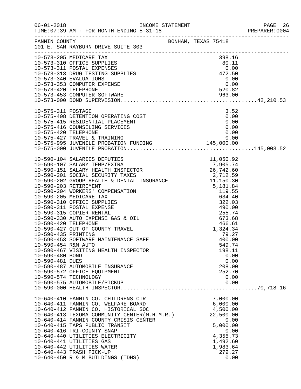| $06 - 01 - 2018$                                          | TIME: 07:39 AM - FOR MONTH ENDING 5-31-18                                                                                                                                                                                                                                                                                                                                                                                                   |                                                                                                                                 | PAGE 26<br>PREPARER:0004 |
|-----------------------------------------------------------|---------------------------------------------------------------------------------------------------------------------------------------------------------------------------------------------------------------------------------------------------------------------------------------------------------------------------------------------------------------------------------------------------------------------------------------------|---------------------------------------------------------------------------------------------------------------------------------|--------------------------|
|                                                           | FANNIN COUNTY BONHAM, TEXAS 75418<br>101 E. SAM RAYBURN DRIVE SUITE 303                                                                                                                                                                                                                                                                                                                                                                     |                                                                                                                                 |                          |
|                                                           | $\begin{array}{lllllllllllllllllllll} 10-573-205 & \text{MEDICARE TAX} & 398.16 \\ 10-573-310 & \text{OFFICE SUPPLIES} & 80.11 \\ 10-573-311 & \text{POSTAL EXPENSES} & 0.00 \\ 10-573-313 & \text{DRUG TESTING SUPPLIES} & 472.50 \\ 10-573-340 & \text{EVALUATIONS} & 0.00 \\ 10-573-420 & \text{TELEPHONE} & 520.82 \\ 10-573-453 & \text{COMPUTER SOFTWARE} & 5$                                                                        |                                                                                                                                 |                          |
|                                                           | $\begin{array}{lllllllllllllllllllllll} 10-575-311 & \text{POSTAGE} & 3.52 \\ 10-575-408 & \text{DEFENTION OPERATING COST} & 0.00 \\ 10-575-415 & \text{RESIDENTIAL PLACEMENT} & 0.00 \\ 10-575-416 & \text{COUNTIS} & \text{SERVICES} & 0.00 \\ 10-575-420 & \text{TELEPHONE} & 0.00 \\ 10-575-427 & \text{TRAVEL & TRAINING} & 0.00 \\ 10-575-995 & \text{JUVENILE PROBATION FUNDING} & 1$                                                |                                                                                                                                 |                          |
| 10-590-454 R&M AUTO<br>10-590-480 BOND<br>10-590-481 DUES | 10-590-467 VISITING HEALTH INSPECTOR<br>10-590-487 AUTOMOBILE INSURANCE<br>10-590-572 OFFICE EQUIPMENT<br>10-590-574 TECHNOLOGY<br>10-590-575 AUTOMOBILE/PICKUP                                                                                                                                                                                                                                                                             | 549.74<br>198.11<br>0.00<br>0.00<br>208.00<br>252.70<br>0.00<br>0.00                                                            |                          |
|                                                           | 10-640-410 FANNIN CO. CHILDRENS CTR<br>10-640-411 FANNIN CO. WELFARE BOARD<br>10-640-412 FANNIN CO. HISTORICAL SOC<br>10-640-413 TEXOMA COMMUNITY CENTER(M.H.M.R.)<br>10-640-414 FANNIN COUNTY CRISIS CENTER<br>10-640-415 TAPS PUBLIC TRANSIT<br>10-640-416 TRI-COUNTY SNAP<br>10-640-440 UTILITIES ELECTRICITY<br>10-640-441 UTILITIES GAS<br>10-640-442 UTILITIES WATER<br>10-640-443 TRASH PICK-UP<br>10-640-450 R & M BUILDINGS (TDHS) | 7,000.00<br>6,000.00<br>4,500.00<br>22,500.00<br>0.00<br>5,000.00<br>0.00<br>4,355.73<br>1,492.60<br>1,983.64<br>279.27<br>0.00 |                          |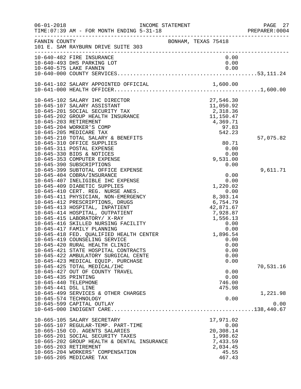| $06 - 01 - 2018$                                                   | INCOME STATEMENT<br>TIME: 07:39 AM - FOR MONTH ENDING 5-31-18                                                                                                                                                                                                                                                                                                                                                                                                                                                                                                                                                                                                     |                                                                                                                 | PAGE 27<br>PREPARER:0004                                                         |
|--------------------------------------------------------------------|-------------------------------------------------------------------------------------------------------------------------------------------------------------------------------------------------------------------------------------------------------------------------------------------------------------------------------------------------------------------------------------------------------------------------------------------------------------------------------------------------------------------------------------------------------------------------------------------------------------------------------------------------------------------|-----------------------------------------------------------------------------------------------------------------|----------------------------------------------------------------------------------|
| FANNIN COUNTY                                                      | 101 E. SAM RAYBURN DRIVE SUITE 303                                                                                                                                                                                                                                                                                                                                                                                                                                                                                                                                                                                                                                | BONHAM, TEXAS 75418                                                                                             |                                                                                  |
|                                                                    | 10-640-482 FIRE INSURANCE<br>10-640-493 DHS PARKING LOT                                                                                                                                                                                                                                                                                                                                                                                                                                                                                                                                                                                                           |                                                                                                                 | 0.00<br>0.00                                                                     |
|                                                                    |                                                                                                                                                                                                                                                                                                                                                                                                                                                                                                                                                                                                                                                                   |                                                                                                                 |                                                                                  |
|                                                                    | 10-645-102 SALARY IHC DIRECTOR<br>10-645-107 SALARY ASSISTANT<br>10-645-201 SOCIAL SECURITY TAX<br>10-645-202 GROUP HEALTH INSURANCE<br>10-645-203 RETIREMENT<br>10-645-204 WORKER'S COMP<br>10-645-205 MEDICARE TAX<br>10-645-210 TOTAL SALARY & BENEFITS                                                                                                                                                                                                                                                                                                                                                                                                        | 27,546.30<br>11,050.92<br>$\begin{array}{r} 277,346.30\ 11,050.92\ 2,318.36\ 11,150.47 \end{array}$<br>4,369.71 | 97.83<br>542.23<br>57,075.82                                                     |
|                                                                    | 10-645-310 OFFICE SUPPLIES<br>10-645-311 POSTAL EXPENSE<br>10-645-330 BIDS & NOTICES<br>10-645-353 COMPUTER EXPENSE<br>10-645-390 SUBSCRIPTIONS                                                                                                                                                                                                                                                                                                                                                                                                                                                                                                                   | 9,531.00                                                                                                        | 80.71<br>0.00<br>0.00<br>0.00                                                    |
|                                                                    | 10-645-399 SUBTOTAL OFFICE EXPENSE<br>10-645-404 COBRA/INSURANCE<br>10-645-407 INELIGIBLE IHC EXPENSE<br>10-645-409 DIABETIC SUPPLIES<br>10-645-410 CERT. REG. NURSE ANES.<br>10-645-411 PHYSICIAN, NON-EMERGENCY<br>10-645-412 PRESCRIPTIONS, DRUGS<br>10-645-413 HOSPITAL, INPATIENT<br>10-645-414 HOSPITAL, OUTPATIENT<br>10-645-415 LABORATORY/ X-RAY<br>10-645-416 SKILLED NURSING FACILITY<br>10-645-417 FAMILY PLANNING<br>10-645-418 FED. QUALIFIED HEALTH CENTER<br>10-645-419 COUNSELING SERVICE<br>10-645-420 RURAL HEALTH CLINIC<br>10-645-421 STATE HOSPITAL CONTRACTS<br>10-645-422 AMBULATORY SURGICAL CENTE<br>10-645-423 MEDICAL EQUIP. PURCHASE | 1,220.02<br>8,303.14<br>6,754.79<br>42,871.67<br>7,928.87<br>1,556.13<br>0.00<br>1,896.54                       | 9,611.71<br>0.00<br>0.00<br>0.00<br>0.00<br>0.00<br>0.00<br>0.00<br>0.00<br>0.00 |
| 10-645-435 PRINTING<br>10-645-440 TELEPHONE<br>10-645-441 DSL LINE | 10-645-425 TOTAL MEDICAL/IHC<br>10-645-427 OUT OF COUNTY TRAVEL<br>10-645-499 SERVICES & OTHER CHARGES                                                                                                                                                                                                                                                                                                                                                                                                                                                                                                                                                            |                                                                                                                 | 70,531.16<br>0.00<br>0.00<br>746.00<br>475.98<br>1,221.98                        |
|                                                                    | 10-645-574 TECHNOLOGY<br>10-645-599 CAPITAL OUTLAY                                                                                                                                                                                                                                                                                                                                                                                                                                                                                                                                                                                                                |                                                                                                                 | 0.00<br>0.00                                                                     |
|                                                                    | 10-665-105 SALARY SECRETARY<br>10-665-107 REGULAR-TEMP. PART-TIME<br>10-665-150 CO. AGENTS SALARIES<br>10-665-201 SOCIAL SECURITY TAXES<br>10-665-202 GROUP HEALTH & DENTAL INSURANCE<br>10-665-203 RETIREMENT<br>10-665-204 WORKERS' COMPENSATION<br>10-665-205 MEDICARE TAX                                                                                                                                                                                                                                                                                                                                                                                     | 17,971.02<br>20,308.14<br>1,998.62<br>7,433.59<br>2,034.45                                                      | 0.00<br>45.55<br>467.43                                                          |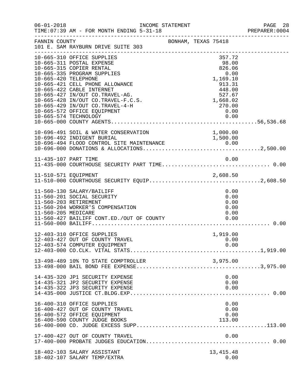| $06 - 01 - 2018$     | INCOME STATEMENT<br>TIME: 07:39 AM - FOR MONTH ENDING 5-31-18                                                                                                                                                                                                                                                                                          |                     |                                                                                                                   | PAGE 28<br>PREPARER:0004 |
|----------------------|--------------------------------------------------------------------------------------------------------------------------------------------------------------------------------------------------------------------------------------------------------------------------------------------------------------------------------------------------------|---------------------|-------------------------------------------------------------------------------------------------------------------|--------------------------|
| FANNIN COUNTY        | 101 E. SAM RAYBURN DRIVE SUITE 303                                                                                                                                                                                                                                                                                                                     | BONHAM, TEXAS 75418 |                                                                                                                   |                          |
| 10-665-420 TELEPHONE | 10-665-310 OFFICE SUPPLIES<br>10-665-311 POSTAL EXPENSE<br>10-665-315 COPIER RENTAL<br>10-665-335 PROGRAM SUPPLIES<br>10-665-421 CELL PHONE ALLOWANCE<br>10-665-422 CABLE INTERNET<br>10-665-427 IN/OUT CO.TRAVEL-AG.<br>10-665-428 IN/OUT CO.TRAVEL-F.C.S.<br>10-665-429 IN/OUT CO.TRAVEL-4-H<br>10-665-572 OFFICE EQUIPMENT<br>10-665-574 TECHNOLOGY |                     | 357.72<br>98.00<br>826.06<br>0.00<br>1,169.10<br>913.31<br>448.00<br>527.67<br>1,668.02<br>270.00<br>0.00<br>0.00 |                          |
|                      | 10-696-491 SOIL & WATER CONSERVATION                                                                                                                                                                                                                                                                                                                   |                     | 1,000.00                                                                                                          |                          |
| 11-435-107 PART TIME |                                                                                                                                                                                                                                                                                                                                                        |                     | 0.00                                                                                                              |                          |
|                      |                                                                                                                                                                                                                                                                                                                                                        |                     |                                                                                                                   |                          |
| 11-560-205 MEDICARE  | 11-560-130 SALARY/BAILIFF<br>11-560-201 SOCIAL SECURITY<br>11-560-203 RETIREMENT<br>11-560-204 WORKER'S COMPENSATION<br>11-560-427 BAILIFF CONT.ED./OUT OF COUNTY 0.00                                                                                                                                                                                 |                     | 0.00<br>0.00<br>0.00<br>0.00<br>0.00                                                                              |                          |
|                      | 12-403-310 OFFICE SUPPLIES<br>12-403-427 OUT OF COUNTY TRAVEL<br>12-403-574 COMPUTER EQUIPMENT                                                                                                                                                                                                                                                         |                     | 1,919.00<br>0.00<br>0.00                                                                                          |                          |
|                      | 13-498-489 10% TO STATE COMPTROLLER                                                                                                                                                                                                                                                                                                                    |                     |                                                                                                                   |                          |
|                      | 14-435-320 JP1 SECURITY EXPENSE<br>14-435-321 JP2 SECURITY EXPENSE<br>14-435-322 JP3 SECURITY EXPENSE                                                                                                                                                                                                                                                  |                     | 0.00<br>0.00<br>0.00                                                                                              |                          |
|                      | 16-400-310 OFFICE SUPPLIES<br>16-400-427 OUT OF COUNTY TRAVEL<br>16-400-572 OFFICE EQUIPMENT<br>16-400-590 COUNTY JUDGE BOOKS                                                                                                                                                                                                                          |                     | 0.00<br>0.00<br>0.00<br>113.00                                                                                    |                          |
|                      | 17-400-427 OUT OF COUNTY TRAVEL                                                                                                                                                                                                                                                                                                                        |                     | 0.00                                                                                                              |                          |
|                      | 18-402-103 SALARY ASSISTANT<br>18-402-107 SALARY TEMP/EXTRA                                                                                                                                                                                                                                                                                            |                     | 13, 415. 48<br>0.00                                                                                               |                          |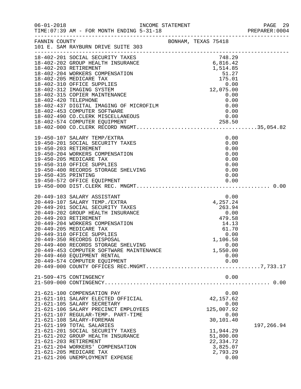|                                                                                                                                                                                                                                                    |  |                    | PREPARER: 0004 |
|----------------------------------------------------------------------------------------------------------------------------------------------------------------------------------------------------------------------------------------------------|--|--------------------|----------------|
|                                                                                                                                                                                                                                                    |  |                    |                |
| 18-402-201 SOCIAL SECURITY TAXES<br>18-402-202 GROUP HEALTH INSURANCE<br>18-402-202 GROUP HEALTH INSURANCE<br>18-402-203 RETIREMENT<br>1514.85<br>1514.85<br>175.01<br>175.01<br>175.01<br>18-402-204 WORKERS COMPENSATION<br>18-402-310 OFFICE SU |  |                    |                |
|                                                                                                                                                                                                                                                    |  |                    |                |
|                                                                                                                                                                                                                                                    |  |                    |                |
|                                                                                                                                                                                                                                                    |  |                    |                |
|                                                                                                                                                                                                                                                    |  |                    |                |
|                                                                                                                                                                                                                                                    |  |                    |                |
|                                                                                                                                                                                                                                                    |  |                    |                |
|                                                                                                                                                                                                                                                    |  |                    |                |
|                                                                                                                                                                                                                                                    |  |                    |                |
| 18-402-453 COMPUTER SOFTWARE<br>18-402-490 CO.CLERK MISCELLANEOUS                                                                                                                                                                                  |  |                    |                |
|                                                                                                                                                                                                                                                    |  |                    |                |
|                                                                                                                                                                                                                                                    |  |                    |                |
|                                                                                                                                                                                                                                                    |  |                    |                |
| 19-450-107 SALARY TEMP/EXTRA                                                                                                                                                                                                                       |  | 0.00               |                |
| 19-450-201 SOCIAL SECURITY TAXES<br>19-450-203 RETIREMENT                                                                                                                                                                                          |  | 0.00<br>0.00       |                |
| 19-450-204 WORKERS COMPENSATION                                                                                                                                                                                                                    |  | 0.00               |                |
| 19-450-205 MEDICARE TAX                                                                                                                                                                                                                            |  | 0.00               |                |
| 19-450-400 RECORDS STORAGE SHELVING<br>19-450-400 RECORDS STORAGE SHELVING<br>19-450-435 PRINTING                                                                                                                                                  |  | 0.00               |                |
|                                                                                                                                                                                                                                                    |  | 0.00               |                |
|                                                                                                                                                                                                                                                    |  | 0.00               |                |
|                                                                                                                                                                                                                                                    |  |                    |                |
|                                                                                                                                                                                                                                                    |  |                    |                |
| 20-449-103 SALARY ASSISTANT 0.00<br>20-449-107 SALARY TEMP./EXTRA 4,257.24<br>20-449-201 SOCIAL SECURITY TAXES 263.94<br>20-449-202 GROUP HEALTH INSURANCE 0.00<br>20-449-203 RETIREMENT 479.58<br>20-449-204 WORKERS COMPENSATION 14.13           |  |                    |                |
|                                                                                                                                                                                                                                                    |  |                    |                |
|                                                                                                                                                                                                                                                    |  |                    |                |
|                                                                                                                                                                                                                                                    |  |                    |                |
|                                                                                                                                                                                                                                                    |  |                    |                |
| 20-449-205 MEDICARE TAX                                                                                                                                                                                                                            |  | 61.70              |                |
| 20-449-310 OFFICE SUPPLIES                                                                                                                                                                                                                         |  | 0.00               |                |
| 20-449-350 RECORDS DISPOSAL                                                                                                                                                                                                                        |  | 1,106.58           |                |
| 20-449-400 RECORDS STORAGE SHELVING                                                                                                                                                                                                                |  | 0.00               |                |
| 20-449-453 COMPUTER SOFTWARE MAINTENANCE                                                                                                                                                                                                           |  | 1,550.00           |                |
| 20-449-460 EQUIPMENT RENTAL                                                                                                                                                                                                                        |  | 0.00               |                |
| 20-449-574 COMPUTER EQUIPMENT                                                                                                                                                                                                                      |  | 0.00               |                |
|                                                                                                                                                                                                                                                    |  |                    |                |
| 21-509-475 CONTINGENCY                                                                                                                                                                                                                             |  | 0.00               |                |
|                                                                                                                                                                                                                                                    |  |                    |                |
| 21-621-100 COMPENSATION PAY                                                                                                                                                                                                                        |  | 0.00               |                |
| 21-621-101 SALARY ELECTED OFFICIAL                                                                                                                                                                                                                 |  | 42, 157.62         |                |
| 21-621-105 SALARY SECRETARY                                                                                                                                                                                                                        |  | 0.00               |                |
| 21-621-106 SALARY PRECINCT EMPLOYEES<br>21-621-107 REGULAR-TEMP. PART-TIME                                                                                                                                                                         |  | 125,007.92<br>0.00 |                |
| 21-621-108 SALARY-FOREMAN                                                                                                                                                                                                                          |  | 30,101.40          |                |
| 21-621-199 TOTAL SALARIES                                                                                                                                                                                                                          |  |                    | 197,266.94     |
| 21-621-201 SOCIAL SECURITY TAXES                                                                                                                                                                                                                   |  | 11,944.29          |                |
| 21-621-202 GROUP HEALTH INSURANCE                                                                                                                                                                                                                  |  | 51,800.00          |                |
| 21-621-203 RETIREMENT                                                                                                                                                                                                                              |  | 22,334.72          |                |
| 21-621-204 WORKERS' COMPENSATION                                                                                                                                                                                                                   |  | 3,825.07           |                |
| 21-621-205 MEDICARE TAX                                                                                                                                                                                                                            |  | 2,793.29           |                |
| 21-621-206 UNEMPLOYMENT EXPENSE                                                                                                                                                                                                                    |  | 0.00               |                |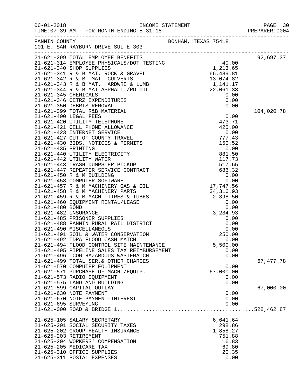|                                                                          |                     |                    | PAGE 30<br>PREPARER: 0004 |
|--------------------------------------------------------------------------|---------------------|--------------------|---------------------------|
| FANNIN COUNTY<br>101 E. SAM RAYBURN DRIVE SUITE 303                      | BONHAM, TEXAS 75418 |                    |                           |
|                                                                          |                     |                    | 92,697.37                 |
|                                                                          |                     |                    |                           |
|                                                                          |                     |                    |                           |
|                                                                          |                     |                    |                           |
|                                                                          |                     |                    |                           |
|                                                                          |                     |                    |                           |
|                                                                          |                     |                    |                           |
|                                                                          |                     |                    |                           |
|                                                                          |                     |                    |                           |
|                                                                          |                     |                    | 104,020.78                |
|                                                                          |                     |                    |                           |
|                                                                          |                     |                    |                           |
|                                                                          |                     |                    |                           |
|                                                                          |                     |                    |                           |
|                                                                          |                     |                    |                           |
|                                                                          |                     |                    |                           |
|                                                                          |                     |                    |                           |
|                                                                          |                     |                    |                           |
|                                                                          |                     |                    |                           |
|                                                                          |                     |                    |                           |
|                                                                          |                     |                    |                           |
|                                                                          |                     |                    |                           |
|                                                                          |                     |                    |                           |
|                                                                          |                     |                    |                           |
|                                                                          |                     |                    |                           |
|                                                                          |                     |                    |                           |
|                                                                          |                     |                    |                           |
|                                                                          |                     |                    |                           |
|                                                                          |                     |                    |                           |
|                                                                          |                     |                    |                           |
| 21-621-490 MISCELLANEOUS                                                 |                     | 0.00               |                           |
| 21-621-491 SOIL & WATER CONSERVATION<br>21-621-492 TDRA FLOOD CASH MATCH |                     | 250.00             |                           |
| 21-621-494 FLOOD CONTROL SITE MAINTENANCE                                |                     | 0.00<br>5,500.00   |                           |
| 21-621-495 PIPELINE SALES TAX REIMBURSEMENT                              |                     | 0.00               |                           |
| 21-621-496 TCOG HAZARDOUS WASTEMATCH                                     |                     | 0.00               |                           |
| 21-621-499 TOTAL SER. & OTHER CHARGES                                    |                     |                    | 67, 477.78                |
| 21-621-570 COMPUTER EQUIPMENT                                            |                     | 0.00               |                           |
| 21-621-571 PURCHASE OF MACH./EQUIP.                                      |                     | 67,000.00          |                           |
| 21-621-573 RADIO EQUIPMENT                                               |                     | 0.00               |                           |
| 21-621-575 LAND AND BUILDING                                             |                     | 0.00               |                           |
| 21-621-599 CAPITAL OUTLAY                                                |                     |                    | 67,000.00                 |
| 21-621-630 NOTE PAYMENT                                                  |                     | 0.00               |                           |
| 21-621-670 NOTE PAYMENT-INTEREST                                         |                     | 0.00               |                           |
| 21-621-695 SURVEYING                                                     |                     | 0.00               |                           |
|                                                                          |                     |                    |                           |
| 21-625-105 SALARY SECRETARY                                              |                     | 6,641.64           |                           |
| 21-625-201 SOCIAL SECURITY TAXES                                         |                     | 298.86             |                           |
| 21-625-202 GROUP HEALTH INSURANCE<br>21-625-203 RETIREMENT               |                     | 1,858.27<br>751.88 |                           |
| 21-625-204 WORKERS' COMPENSATION                                         |                     | 16.83              |                           |
| 21-625-205 MEDICARE TAX                                                  |                     | 69.80              |                           |
| 21-625-310 OFFICE SUPPLIES                                               |                     | 20.35              |                           |
| 21-625-311 POSTAL EXPENSES                                               |                     | 0.00               |                           |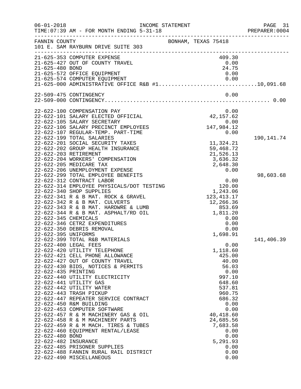| $06 - 01 - 2018$     | TIME: 07:39 AM - FOR MONTH ENDING 5-31-18                                  | INCOME STATEMENT                                                                       | PAGE 31<br>PREPARER: 0004 |
|----------------------|----------------------------------------------------------------------------|----------------------------------------------------------------------------------------|---------------------------|
| FANNIN COUNTY        | 101 E. SAM RAYBURN DRIVE SUITE 303                                         | BONHAM, TEXAS 75418                                                                    |                           |
|                      | 21-625-353 COMPUTER EXPENSE                                                | 409.30                                                                                 |                           |
|                      | 21-625-427 OUT OF COUNTY TRAVEL                                            | 0.00                                                                                   |                           |
| 21-625-480 BOND      |                                                                            | 24.75                                                                                  |                           |
|                      | 21-625-572 OFFICE EQUIPMENT                                                | 0.00                                                                                   |                           |
|                      |                                                                            | 21-625-574 COMPUTER EQUIPMENT 0.00<br>21-625-000 ADMINISTRATIVE OFFICE R&B #110,091.68 |                           |
|                      |                                                                            |                                                                                        |                           |
|                      | 22-509-475 CONTINGENCY                                                     | 0.00                                                                                   |                           |
|                      |                                                                            |                                                                                        |                           |
|                      | 22-622-100 COMPENSATION PAY                                                | 0.00                                                                                   |                           |
|                      | 22-622-101 SALARY ELECTED OFFICIAL                                         | 42, 157.62                                                                             |                           |
|                      | 22-622-105 SALARY SECRETARY                                                | 0.00                                                                                   |                           |
|                      | 22-622-106 SALARY PRECINCT EMPLOYEES<br>22-622-107 REGULAR-TEMP. PART-TIME | 147,984.12<br>0.00                                                                     |                           |
|                      | 22-622-199 TOTAL SALARIES                                                  |                                                                                        | 190,141.74                |
|                      | 22-622-201 SOCIAL SECURITY TAXES                                           | 11,324.21                                                                              |                           |
|                      | 22-622-202 GROUP HEALTH INSURANCE                                          | 59,468.72                                                                              |                           |
|                      | 22-622-203 RETIREMENT                                                      | 21,526.13                                                                              |                           |
|                      | 22-622-204 WORKERS' COMPENSATION                                           | 3,636.32                                                                               |                           |
|                      | 22-622-205 MEDICARE TAX                                                    | 2,648.30                                                                               |                           |
|                      | 22-622-206 UNEMPLOYMENT EXPENSE                                            | 0.00                                                                                   |                           |
|                      | 22-622-299 TOTAL EMPLOYEE BENEFITS                                         |                                                                                        | 98,603.68                 |
|                      | 22-622-312 CONTRACT LABOR                                                  | 0.00                                                                                   |                           |
|                      | 22-622-314 EMPLOYEE PHYSICALS/DOT TESTING                                  | $\begin{array}{c} 0.00 \\ 120.00 \end{array}$                                          |                           |
|                      | 22-622-340 SHOP SUPPLIES                                                   | 1,243.06                                                                               |                           |
|                      | 22-622-341 R & B MAT. ROCK & GRAVEL<br>22-622-342 R & B MAT. CULVERTS      | 123, 413. 17                                                                           |                           |
|                      | 22-622-343 R & B MAT. HARDWRE & LUMB                                       | 12,266.36<br>853.69                                                                    |                           |
|                      | 22-622-344 R & B MAT. ASPHALT/RD OIL                                       | 1,811.20                                                                               |                           |
| 22-622-345 CHEMICALS |                                                                            | 0.00                                                                                   |                           |
|                      | 22-622-346 CETRZ EXPENDITURES                                              | 0.00                                                                                   |                           |
|                      | 22-622-350 DEBRIS REMOVAL                                                  | 0.00                                                                                   |                           |
| 22-622-395 UNIFORMS  |                                                                            | 1,698.91                                                                               |                           |
|                      | 22-622-399 TOTAL R&B MATERIALS                                             |                                                                                        | 141,406.39                |
|                      | 22-622-400 LEGAL FEES                                                      | 0.00                                                                                   |                           |
|                      | 22-622-420 UTILITY TELEPHONE                                               | 1,118.60                                                                               |                           |
|                      | 22-622-421 CELL PHONE ALLOWANCE                                            | 425.00                                                                                 |                           |
|                      | 22-622-427 OUT OF COUNTY TRAVEL                                            | 40.00                                                                                  |                           |
|                      | 22-622-430 BIDS, NOTICES & PERMITS                                         | 56.03                                                                                  |                           |
| 22-622-435 PRINTING  | 22-622-440 UTILITY ELECTRICITY                                             | 0.00<br>997.10                                                                         |                           |
|                      | 22-622-441 UTILITY GAS                                                     | 648.60                                                                                 |                           |
|                      | 22-622-442 UTILITY WATER                                                   | 537.81                                                                                 |                           |
|                      | 22-622-443 TRASH PICKUP                                                    | 960.75                                                                                 |                           |
|                      | 22-622-447 REPEATER SERVICE CONTRACT                                       | 686.32                                                                                 |                           |
|                      | 22-622-450 R&M BUILDING                                                    | 0.00                                                                                   |                           |
|                      | 22-622-453 COMPUTER SOFTWARE                                               | 0.00                                                                                   |                           |
|                      | 22-622-457 R & M MACHINERY GAS & OIL                                       | 40,418.60                                                                              |                           |
|                      | 22-622-458 R & M MACHINERY PARTS                                           | 24,685.56                                                                              |                           |
|                      | 22-622-459 R & M MACH. TIRES & TUBES                                       | 7,683.58                                                                               |                           |
|                      | 22-622-460 EQUIPMENT RENTAL/LEASE                                          | 0.00                                                                                   |                           |
| 22-622-480 BOND      |                                                                            | 0.00                                                                                   |                           |
| 22-622-482 INSURANCE |                                                                            | 5,291.93                                                                               |                           |
|                      | 22-622-485 PRISONER SUPPLIES<br>22-622-488 FANNIN RURAL RAIL DISTRICT      | 0.00<br>0.00                                                                           |                           |
|                      | 22-622-490 MISCELLANEOUS                                                   | 0.00                                                                                   |                           |
|                      |                                                                            |                                                                                        |                           |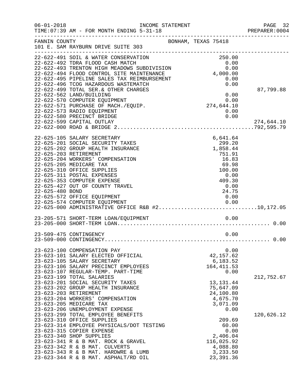| $06 - 01 - 2018$ | INCOME STATEMENT<br>TIME: 07:39 AM - FOR MONTH ENDING 5-31-18                            |                                                              |                      |                        |      | PAGE 32<br>PREPARER: 0004 |
|------------------|------------------------------------------------------------------------------------------|--------------------------------------------------------------|----------------------|------------------------|------|---------------------------|
| FANNIN COUNTY    | BONHAM, TEXAS 75418<br>101 E. SAM RAYBURN DRIVE SUITE 303                                |                                                              |                      |                        |      |                           |
|                  | 22-622-491 SOIL & WATER CONSERVATION                                                     |                                                              |                      | 250.00                 |      |                           |
|                  | 22-622-492 TDRA FLOOD CASH MATCH                                                         |                                                              |                      | 0.00                   |      |                           |
|                  | 22-622-493 TRENTON HIGH MEADOWS SUBDIVISION                                              | $\begin{array}{c} 0.00 \ 0.00 \ 0.00 \ 4,000.00 \end{array}$ |                      |                        |      |                           |
|                  | 22-622-494 FLOOD CONTROL SITE MAINTENANCE<br>22-622-495 PIPELINE SALES TAX REIMBURSEMENT |                                                              |                      |                        | 0.00 |                           |
|                  | 22-622-496 TCOG HAZARDOUS WASTEMATCH                                                     |                                                              |                      |                        | 0.00 |                           |
|                  | 22-622-499 TOTAL SER. & OTHER CHARGES                                                    |                                                              |                      |                        |      | 87,799.88                 |
|                  | 22-622-562 LAND/BUILDING                                                                 |                                                              |                      |                        | 0.00 |                           |
|                  | 22-622-570 COMPUTER EQUIPMENT                                                            |                                                              | $0.00$<br>274,644.10 |                        |      |                           |
|                  | 22-622-571 PURCHASE OF MACH./EQUIP.                                                      |                                                              |                      |                        |      |                           |
|                  | 22-622-573 RADIO EQUIPMENT                                                               |                                                              |                      | 0.00                   |      |                           |
|                  | 22-622-580 PRECINCT BRIDGE                                                               |                                                              |                      |                        | 0.00 |                           |
|                  | 22-622-599 CAPITAL OUTLAY<br>274,644.10 274,644.10 274,644.10 22-622-599 CAPITAL OUTLAY  |                                                              |                      |                        |      | 274,644.10                |
|                  |                                                                                          |                                                              |                      |                        |      |                           |
|                  | 22-625-105 SALARY SECRETARY                                                              |                                                              |                      | 6,641.64               |      |                           |
|                  | 22-625-201 SOCIAL SECURITY TAXES                                                         |                                                              |                      | 299.20                 |      |                           |
|                  | 22-625-202 GROUP HEALTH INSURANCE                                                        |                                                              |                      | 1,858.44               |      |                           |
|                  | 22-625-203 RETIREMENT<br>22-625-204 WORKERS' COMPENSATION                                |                                                              |                      | 751.91                 |      |                           |
|                  | 22-625-205 MEDICARE TAX                                                                  |                                                              |                      | 16.83<br>69.98         |      |                           |
|                  | 22-625-310 OFFICE SUPPLIES                                                               |                                                              |                      | 100.00                 |      |                           |
|                  | 22-625-311 POSTAL EXPENSES                                                               |                                                              |                      | 0.00                   |      |                           |
|                  | 22-625-353 COMPUTER EXPENSE                                                              |                                                              |                      | 409.30                 |      |                           |
|                  | 22-625-427 OUT OF COUNTY TRAVEL                                                          |                                                              |                      | 0.00                   |      |                           |
| 22-625-480 BOND  |                                                                                          |                                                              |                      | 24.75                  |      |                           |
|                  | 22-625-572 OFFICE EQUIPMENT                                                              |                                                              |                      | 0.00                   |      |                           |
|                  | 22-625-574 COMPUTER EQUIPMENT<br>22-625-000 ADMINISTRATIVE OFFICE R&B #210,172.05        |                                                              |                      |                        |      |                           |
|                  |                                                                                          |                                                              |                      |                        |      |                           |
|                  |                                                                                          |                                                              |                      |                        |      |                           |
|                  |                                                                                          |                                                              |                      |                        |      |                           |
|                  | 23-509-475 CONTINGENCY                                                                   |                                                              |                      |                        | 0.00 |                           |
|                  |                                                                                          |                                                              |                      |                        |      |                           |
|                  | 23-623-100 COMPENSATION PAY                                                              |                                                              |                      |                        | 0.00 |                           |
|                  | 23-623-101 SALARY ELECTED OFFICIAL                                                       |                                                              |                      | 42, 157.62             |      |                           |
|                  | 23-623-105 SALARY SECRETARY                                                              |                                                              |                      | 6,183.52               |      |                           |
|                  | 23-623-106 SALARY PRECINCT EMPLOYEES                                                     |                                                              |                      | 164, 411.53            |      |                           |
|                  | 23-623-107 REGULAR-TEMP. PART-TIME                                                       |                                                              |                      |                        | 0.00 |                           |
|                  | 23-623-199 TOTAL SALARIES                                                                |                                                              |                      |                        |      | 212,752.67                |
|                  | 23-623-201 SOCIAL SECURITY TAXES                                                         |                                                              |                      | 13, 131. 44            |      |                           |
|                  | 23-623-202 GROUP HEALTH INSURANCE<br>23-623-203 RETIREMENT                               |                                                              |                      | 75,647.09<br>24,100.80 |      |                           |
|                  | 23-623-204 WORKERS' COMPENSATION                                                         |                                                              |                      | 4,675.70               |      |                           |
|                  | 23-623-205 MEDICARE TAX                                                                  |                                                              |                      | 3,071.09               |      |                           |
|                  | 23-623-206 UNEMPLOYMENT EXPENSE                                                          |                                                              |                      |                        | 0.00 |                           |
|                  | 23-623-299 TOTAL EMPLOYEE BENEFITS                                                       |                                                              |                      |                        |      | 120,626.12                |
|                  | 23-623-310 OFFICE SUPPLIES                                                               |                                                              |                      | 209.69                 |      |                           |
|                  | 23-623-314 EMPLOYEE PHYSICALS/DOT TESTING                                                |                                                              |                      | 60.00                  |      |                           |
|                  | 23-623-315 COPIER EXPENSE                                                                |                                                              |                      |                        | 0.00 |                           |
|                  | 23-623-340 SHOP SUPPLIES                                                                 |                                                              |                      | 2,406.04               |      |                           |
|                  | 23-623-341 R & B MAT. ROCK & GRAVEL<br>23-623-342 R & B MAT. CULVERTS                    |                                                              |                      | 116,025.92<br>4,088.80 |      |                           |
|                  | 23-623-343 R & B MAT. HARDWRE & LUMB                                                     |                                                              |                      | 3,233.50               |      |                           |
|                  | 23-623-344 R & B MAT. ASPHALT/RD OIL                                                     |                                                              |                      | 23, 391.36             |      |                           |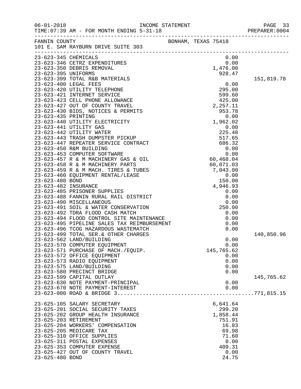| $06 - 01 - 2018$      | TIME: 07:39 AM - FOR MONTH ENDING 5-31-18                                  |  |                | PREPARER: 0004 |
|-----------------------|----------------------------------------------------------------------------|--|----------------|----------------|
|                       | FANNIN COUNTY<br>BONHAM, TEXAS 75418<br>101 E. SAM RAYBURN DRIVE SUITE 303 |  |                |                |
| 23-623-345 CHEMICALS  |                                                                            |  | 0.00           |                |
|                       |                                                                            |  |                |                |
|                       |                                                                            |  |                |                |
|                       |                                                                            |  |                |                |
|                       |                                                                            |  |                | 151,819.78     |
|                       |                                                                            |  |                |                |
|                       |                                                                            |  |                |                |
|                       |                                                                            |  |                |                |
|                       |                                                                            |  |                |                |
|                       |                                                                            |  |                |                |
|                       |                                                                            |  |                |                |
|                       |                                                                            |  |                |                |
|                       |                                                                            |  |                |                |
|                       |                                                                            |  |                |                |
|                       |                                                                            |  |                |                |
|                       |                                                                            |  |                |                |
|                       |                                                                            |  |                |                |
|                       |                                                                            |  |                |                |
|                       |                                                                            |  |                |                |
|                       |                                                                            |  |                |                |
|                       |                                                                            |  |                |                |
|                       |                                                                            |  |                |                |
|                       |                                                                            |  |                |                |
|                       |                                                                            |  |                |                |
|                       |                                                                            |  |                |                |
|                       |                                                                            |  |                |                |
|                       |                                                                            |  |                |                |
|                       |                                                                            |  |                |                |
|                       |                                                                            |  |                |                |
|                       |                                                                            |  |                |                |
|                       | 23-623-499 TOTAL SER. & OTHER CHARGES                                      |  |                | 140,850.96     |
|                       | 23-623-562 LAND/BUILDING                                                   |  | 0.00           |                |
|                       | 23-623-570 COMPUTER EQUIPMENT                                              |  | 0.00           |                |
|                       | 23-623-571 PURCHASE OF MACH./EQUIP.                                        |  | 145,765.62     |                |
|                       | 23-623-572 OFFICE EQUIPMENT                                                |  | 0.00           |                |
|                       | 23-623-573 RADIO EQUIPMENT                                                 |  | 0.00           |                |
|                       | 23-623-575 LAND/BUILDING                                                   |  | 0.00           |                |
|                       | 23-623-580 PRECINCT BRIDGE                                                 |  | 0.00           |                |
|                       | 23-623-599 CAPITAL OUTLAY                                                  |  |                | 145,765.62     |
|                       | 23-623-630 NOTE PAYMENT-PRINCIPAL                                          |  | 0.00           |                |
|                       | 23-623-670 NOTE PAYMENT-INTEREST                                           |  | 0.00           |                |
|                       |                                                                            |  |                |                |
|                       | 23-625-105 SALARY SECRETARY                                                |  | 6,641.64       |                |
|                       | 23-625-201 SOCIAL SECURITY TAXES                                           |  | 299.20         |                |
|                       | 23-625-202 GROUP HEALTH INSURANCE                                          |  | 1,858.44       |                |
| 23-625-203 RETIREMENT |                                                                            |  | 751.91         |                |
|                       | 23-625-204 WORKERS' COMPENSATION                                           |  | 16.83          |                |
|                       | 23-625-205 MEDICARE TAX                                                    |  | 69.98          |                |
|                       | 23-625-310 OFFICE SUPPLIES                                                 |  | 71.60          |                |
|                       | 23-625-311 POSTAL EXPENSES                                                 |  | 0.00           |                |
|                       | 23-625-353 COMPUTER EXPENSE<br>23-625-427 OUT OF COUNTY TRAVEL             |  | 409.31<br>0.00 |                |
| 23-625-480 BOND       |                                                                            |  | 24.75          |                |
|                       |                                                                            |  |                |                |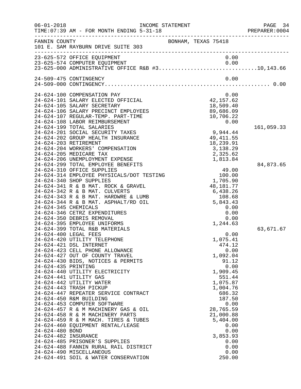| $06 - 01 - 2018$                                                                       | TIME: 07:39 AM - FOR MONTH ENDING 5-31-18                                                                                                                                                                                                                                                                                                                                                                                                                                                                                                                                                                                                                                                                                                                                                                                                                                                                                                                                                                                                                                                                                                                                                                                                                                                                                                                                                                                                                              | INCOME STATEMENT                                                                                                                                                                                                                                                                                                                                                                                                                                                                       | PAGE 34<br>PREPARER:0004             |
|----------------------------------------------------------------------------------------|------------------------------------------------------------------------------------------------------------------------------------------------------------------------------------------------------------------------------------------------------------------------------------------------------------------------------------------------------------------------------------------------------------------------------------------------------------------------------------------------------------------------------------------------------------------------------------------------------------------------------------------------------------------------------------------------------------------------------------------------------------------------------------------------------------------------------------------------------------------------------------------------------------------------------------------------------------------------------------------------------------------------------------------------------------------------------------------------------------------------------------------------------------------------------------------------------------------------------------------------------------------------------------------------------------------------------------------------------------------------------------------------------------------------------------------------------------------------|----------------------------------------------------------------------------------------------------------------------------------------------------------------------------------------------------------------------------------------------------------------------------------------------------------------------------------------------------------------------------------------------------------------------------------------------------------------------------------------|--------------------------------------|
| FANNIN COUNTY                                                                          | 101 E. SAM RAYBURN DRIVE SUITE 303                                                                                                                                                                                                                                                                                                                                                                                                                                                                                                                                                                                                                                                                                                                                                                                                                                                                                                                                                                                                                                                                                                                                                                                                                                                                                                                                                                                                                                     | BONHAM, TEXAS 75418                                                                                                                                                                                                                                                                                                                                                                                                                                                                    |                                      |
|                                                                                        | 23-625-572 OFFICE EQUIPMENT                                                                                                                                                                                                                                                                                                                                                                                                                                                                                                                                                                                                                                                                                                                                                                                                                                                                                                                                                                                                                                                                                                                                                                                                                                                                                                                                                                                                                                            | 0.00                                                                                                                                                                                                                                                                                                                                                                                                                                                                                   |                                      |
|                                                                                        | 24-509-475 CONTINGENCY                                                                                                                                                                                                                                                                                                                                                                                                                                                                                                                                                                                                                                                                                                                                                                                                                                                                                                                                                                                                                                                                                                                                                                                                                                                                                                                                                                                                                                                 | 0.00                                                                                                                                                                                                                                                                                                                                                                                                                                                                                   |                                      |
| 24-624-345 CHEMICALS<br>24-624-435 PRINTING<br>24-624-480 BOND<br>24-624-482 INSURANCE | 24-624-100 COMPENSATION PAY<br>24-624-101 SALARY ELECTED OFFICIAL<br>24-624-105 SALARY SECRETARY<br>24-624-106 SALARY PRECINCT EMPLOYEES<br>24-624-107 REGULAR-TEMP. PART-TIME<br>24-624-108 LABOR REIMBURSEMENT<br>24-624-199 TOTAL SALARIES<br>24-624-201 SOCIAL SECURITY TAXES<br>24-624-202 GROUP HEALTH INSURANCE<br>24-624-203 RETIREMENT<br>24-624-204 WORKERS' COMPENSATION<br>24-624-205 MEDICARE TAX<br>24-624-206 UNEMPLOYMENT EXPENSE<br>24-624-299 TOTAL EMPLOYEE BENEFITS<br>24-624-310 OFFICE SUPPLIES<br>24-624-314 EMPLOYEE PHYSICALS/DOT TESTING<br>24-624-340 SHOP SUPPLIES<br>24-624-341 R & B MAT. ROCK & GRAVEL<br>24-624-342 R & B MAT. CULVERTS<br>24-624-343 R & B MAT. HARDWRE & LUMB<br>24-624-344 R & B MAT. ASPHALT/RD OIL<br>24-624-346 CETRZ EXPENDITURES<br>24-624-350 DEBRIS REMOVAL<br>24-624-395 EMPLOYEE UNIFORMS<br>24-624-399 TOTAL R&B MATERIALS<br>24-624-400 LEGAL FEES<br>24-624-420 UTILITY TELEPHONE<br>24-624-421 DSL INTERNET<br>24-624-423 CELL PHONE ALLOWANCE<br>24-624-427 OUT OF COUNTY TRAVEL<br>24-624-430 BIDS, NOTICES & PERMITS<br>24-624-440 UTILITY ELECTRICITY<br>24-624-441 UTILITY GAS<br>24-624-442 UTILITY WATER<br>24-624-443 TRASH PICKUP<br>24-624-447 REPEATER SERVICE CONTRACT<br>24-624-450 R&M BUILDING<br>24-624-453 COMPUTER SOFTWARE<br>24-624-457 R & M MACHINERY GAS & OIL<br>24-624-458 R & M MACHINERY PARTS<br>24-624-459 R & M MACH. TIRES & TUBES<br>24-624-460 EQUIPMENT RENTAL/LEASE | 0.00<br>0.00<br>42,157.62<br>18,509.40<br>89,686.09<br>10,706.22<br>0.00<br>9,944.44<br>49, 411.55<br>18,239.91<br>3,138.29<br>2,325.62<br>1,813.84<br>$49.00$<br>100.00<br>1,705.90<br>48,181.77<br>6,438.26<br>108.68<br>5,843.43<br>0.00<br>0.00<br>0.00<br>1,244.63<br>0.00<br>1,075.41<br>474.12<br>0.00<br>1,092.04<br>91.12<br>0.00<br>1,909.45<br>551.44<br>1,075.87<br>1,004.76<br>686.32<br>187.50<br>0.00<br>28,765.59<br>21,000.88<br>5,404.00<br>0.00<br>0.00<br>3,853.93 | 161,059.33<br>84,873.65<br>63,671.67 |
|                                                                                        | 24-624-485 PRISONER'S SUPPLIES<br>24-624-488 FANNIN RURAL RAIL DISTRICT<br>24-624-490 MISCELLANEOUS<br>24-624-491 SOIL & WATER CONSERVATION                                                                                                                                                                                                                                                                                                                                                                                                                                                                                                                                                                                                                                                                                                                                                                                                                                                                                                                                                                                                                                                                                                                                                                                                                                                                                                                            | 0.00<br>0.00<br>0.00<br>250.00                                                                                                                                                                                                                                                                                                                                                                                                                                                         |                                      |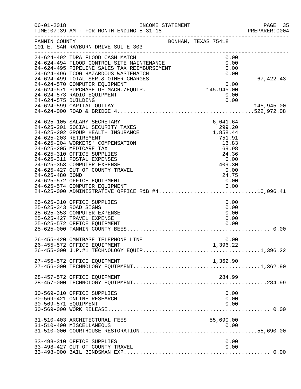| $06 - 01 - 2018$     | INCOME STATEMENT<br>TIME: 07:39 AM - FOR MONTH ENDING 5-31-18                                                                      |                      | PAGE 35<br>PREPARER:0004 |
|----------------------|------------------------------------------------------------------------------------------------------------------------------------|----------------------|--------------------------|
| FANNIN COUNTY        | 101 E. SAM RAYBURN DRIVE SUITE 303                                                                                                 | BONHAM, TEXAS 75418  |                          |
|                      | 24-624-492 TDRA FLOOD CASH MATCH<br>24-624-492 IDRA FLOOD CASH MAICH<br>24-624-494 FLOOD CONTROL SITE MAINTENANCE                  | 0.00<br>0.00         |                          |
|                      | 24-624-495 PIPELINE SALES TAX REIMBURSEMENT<br>24-624-495 PIPELINE SALES TAX REIMBURSEMENT<br>24-624-496 TCOG HAZARDOUS WASTEMATCH | 0.00                 |                          |
|                      | 24-624-496 TCOG HAZARDOUS WASTEMATCH<br>24-624-499 TOTAL SER. & OTHER CHARGES                                                      | 0.00                 | 67, 422.43               |
|                      | 24-624-570 COMPUTER EQUIPMENT                                                                                                      | $0.00$<br>145,945.00 |                          |
|                      | 24-624-571 PURCHASE OF MACH./EQUIP.                                                                                                |                      |                          |
|                      | 24-624-573 RADIO EQUIPMENT                                                                                                         | 0.00                 |                          |
| 24-624-575 BUILDING  |                                                                                                                                    | 0.00                 |                          |
|                      | 24-624-599 CAPITAL OUTLAY                                                                                                          |                      | 145,945.00               |
|                      | 24-625-105 SALARY SECRETARY                                                                                                        | 6,641.64             |                          |
|                      | 24-625-201 SOCIAL SECURITY TAXES                                                                                                   | 299.20               |                          |
|                      | 24-625-202 GROUP HEALTH INSURANCE                                                                                                  | 1,858.44             |                          |
|                      | 24-625-203 RETIREMENT                                                                                                              | 751.91               |                          |
|                      | 24-625-204 WORKERS' COMPENSATION                                                                                                   | 16.83                |                          |
|                      | 24-625-205 MEDICARE TAX<br>24-625-310 OFFICE SUPPLIES                                                                              | 69.98<br>24.36       |                          |
|                      | 24-625-311 POSTAL EXPENSES                                                                                                         | 0.00                 |                          |
|                      | 24-625-353 COMPUTER EXPENSE                                                                                                        | 409.30               |                          |
|                      | 24-625-427 OUT OF COUNTY TRAVEL                                                                                                    | 0.00                 |                          |
| 24-625-480 BOND      |                                                                                                                                    | 24.75                |                          |
|                      | 24-625-572 OFFICE EQUIPMENT                                                                                                        | 0.00                 |                          |
|                      |                                                                                                                                    |                      |                          |
|                      |                                                                                                                                    |                      |                          |
|                      | 25-625-310 OFFICE SUPPLIES                                                                                                         | 0.00                 |                          |
|                      | 25-625-343 ROAD SIGNS                                                                                                              | 0.00                 |                          |
|                      | 25-625-353 COMPUTER EXPENSE                                                                                                        | 0.00                 |                          |
|                      | 25-625-427 TRAVEL EXPENSE<br>25-625-572 OFFICE EQUIPMENT                                                                           | 0.00<br>0.00         |                          |
|                      |                                                                                                                                    |                      |                          |
|                      |                                                                                                                                    |                      |                          |
|                      | 26-455-420 OMNIBASE TELEPHONE LINE                                                                                                 | 0.00                 |                          |
|                      | 26-455-572 OFFICE EQUIPMENT                                                                                                        | 1,396.22             |                          |
|                      |                                                                                                                                    |                      |                          |
|                      | 27-456-572 OFFICE EQUIPMENT                                                                                                        | 1,362.90             |                          |
|                      |                                                                                                                                    |                      |                          |
|                      | 28-457-572 OFFICE EQUIPMENT                                                                                                        | 284.99               |                          |
|                      |                                                                                                                                    |                      |                          |
|                      | 30-569-310 OFFICE SUPPLIES                                                                                                         | 0.00                 |                          |
|                      | 30-569-421 ONLINE RESEARCH                                                                                                         | 0.00                 |                          |
| 30-569-571 EQUIPMENT |                                                                                                                                    | 0.00                 |                          |
|                      |                                                                                                                                    |                      |                          |
|                      | 31-510-403 ARCHITECTURAL FEES                                                                                                      | 55,690.00            |                          |
|                      | 31-510-490 MISCELLANEOUS                                                                                                           | 0.00                 |                          |
|                      |                                                                                                                                    |                      |                          |
|                      | 33-498-310 OFFICE SUPPLIES                                                                                                         |                      |                          |
|                      | 33-498-427 OUT OF COUNTY TRAVEL                                                                                                    | 0.00<br>0.00         |                          |
|                      |                                                                                                                                    |                      |                          |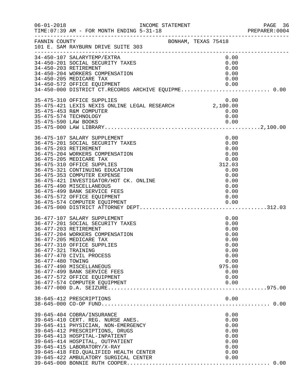| $06 - 01 - 2018$                         | INCOME STATEMENT<br>TIME: 07:39 AM - FOR MONTH ENDING 5-31-18<br>____________________________________                                                                                                                                                                                                                                                                                                                         |  |                                                                                                        | PAGE 36<br>PREPARER:0004 |
|------------------------------------------|-------------------------------------------------------------------------------------------------------------------------------------------------------------------------------------------------------------------------------------------------------------------------------------------------------------------------------------------------------------------------------------------------------------------------------|--|--------------------------------------------------------------------------------------------------------|--------------------------|
| FANNIN COUNTY                            | BONHAM, TEXAS 75418<br>101 E. SAM RAYBURN DRIVE SUITE 303                                                                                                                                                                                                                                                                                                                                                                     |  |                                                                                                        |                          |
|                                          | 34-450-107 SALARYTEMP/EXTRA<br>34-450-201 SOCIAL SECURITY TAXES<br>34-450-203 RETIREMENT<br>34-450-204 WORKERS COMPENSATION<br>34-450-205 MEDICARE TAX<br>34-450-572 OFFICE EQUIPMENT<br>34-450-572 OFFICE EQUIPMENT 0.00<br>34-450-000 DISTRICT CT.RECORDS ARCHIVE EQUIPME0.00                                                                                                                                               |  | 0.00<br>0.00<br>0.00<br>0.00<br>0.00<br>0.00                                                           |                          |
|                                          | 35-475-310 OFFICE SUPPLIES<br>35-475-421 LEXIS NEXIS ONLINE LEGAL RESEARCH 2,100.00<br>35-475-453 R&M COMPUTER<br>35-475-574 TECHNOLOGY                                                                                                                                                                                                                                                                                       |  | 0.00<br>0.00<br>0.00                                                                                   |                          |
|                                          | 36-475-107 SALARY SUPPLEMENT<br>36-475-201 SOCIAL SECURITY TAXES<br>36-475-203 RETIREMENT<br>36-475-204 WORKERS COMPENSATION<br>36-475-205 MEDICARE TAX<br>36-475-310 OFFICE SUPPLIES<br>36-475-321 CONTINUING EDUCATION<br>36-475-353 COMPUTER EXPENSE<br>36-475-421 INVESTIGATOR/HOT CK. ONLINE<br>36-475-490 MISCELLANEOUS<br>36-475-499 BANK SERVICE FEES<br>36-475-572 OFFICE EQUIPMENT<br>36-475-574 COMPUTER EQUIPMENT |  | 0.00<br>0.00<br>0.00<br>0.00<br>0.00<br>312.03<br>0.00<br>0.00<br>0.00<br>0.00<br>0.00<br>0.00         |                          |
| 36-477-321 TRAINING<br>36-477-480 TOWING | 36-477-107 SALARY SUPPLEMENT<br>36-477-201 SOCIAL SECURITY TAXES<br>36-477-203 RETIREMENT<br>36-477-204 WORKERS COMPENSATION<br>36-477-205 MEDICARE TAX<br>36-477-310 OFFICE SUPPLIES<br>36-477-470 CIVIL PROCESS<br>36-477-490 MISCELLANEOUS<br>36-477-499 BANK SERVICE FEES<br>36-477-572 OFFICE EQUIPMENT<br>36-477-574 COMPUTER EQUIPMENT                                                                                 |  | 0.00<br>0.00<br>0.00<br>0.00<br>0.00<br>0.00<br>0.00<br>0.00<br>0.00<br>975.00<br>0.00<br>0.00<br>0.00 |                          |
|                                          | 38-645-412 PRESCRIPTIONS                                                                                                                                                                                                                                                                                                                                                                                                      |  | 0.00                                                                                                   |                          |
|                                          | 39-645-404 COBRA/INSURANCE<br>39-645-410 CERT. REG. NURSE ANES.<br>39-645-411 PHYSICIAN, NON-EMERGENCY<br>39-645-412 PRESCRIPTIONS, DRUGS<br>39-645-413 HOSPITAL-INPATIENT<br>39-645-414 HOSPITAL, OUTPATIENT<br>39-645-415 LABORATORY/X-RAY<br>39-645-418 FED. QUALIFIED HEALTH CENTER<br>39-645-422 AMBULATORY SURGICAL CENTER                                                                                              |  | 0.00<br>0.00<br>0.00<br>0.00<br>0.00<br>0.00<br>0.00<br>0.00<br>0.00                                   |                          |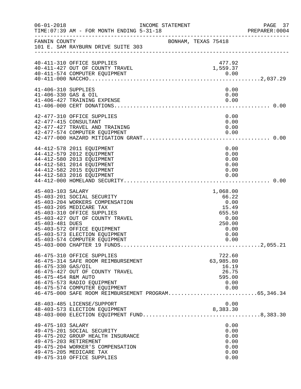| $06 - 01 - 2018$                            | INCOME STATEMENT<br>TIME: 07:39 AM - FOR MONTH ENDING 5-31-18                                                                                                                                                                                              |                     |                                                                                        | PAGE 37<br>PREPARER: 0004 |
|---------------------------------------------|------------------------------------------------------------------------------------------------------------------------------------------------------------------------------------------------------------------------------------------------------------|---------------------|----------------------------------------------------------------------------------------|---------------------------|
| FANNIN COUNTY                               | 101 E. SAM RAYBURN DRIVE SUITE 303                                                                                                                                                                                                                         | BONHAM, TEXAS 75418 |                                                                                        |                           |
|                                             | 40-411-310 OFFICE SUPPLIES<br>40-411-427 OUT OF COUNTY TRAVEL<br>40-411-574 COMPUTER EQUIPMENT                                                                                                                                                             |                     | 477.92<br>1,559.37                                                                     |                           |
| 41-406-310 SUPPLIES<br>41-406-330 GAS & OIL | 41-406-427 TRAINING EXPENSE                                                                                                                                                                                                                                |                     | 0.00<br>0.00<br>0.00                                                                   |                           |
|                                             | 42-477-310 OFFICE SUPPLIES<br>42-477-415 CONSULTANT<br>42-477-427 TRAVEL AND TRAINING                                                                                                                                                                      |                     | 0.00<br>0.00<br>0.00                                                                   |                           |
|                                             | 44-412-578 2011 EQUIPMENT<br>44-412-579 2012 EQUIPMENT<br>44-412-580 2013 EQUIPMENT<br>44-412-581 2014 EQUIPMENT<br>44-412-582 2015 EQUIPMENT<br>44-412-583 2016 EQUIPMENT                                                                                 |                     | 0.00<br>0.00<br>0.00<br>0.00<br>0.00<br>0.00                                           |                           |
| 45-403-103 SALARY<br>45-403-481 DUES        | 45-403-201 SOCIAL SECURITY<br>45-403-204 WORKERS COMPENSATION<br>45-403-205 MEDICARE TAX<br>45-403-310 OFFICE SUPPLIES<br>45-403-427 OUT OF COUNTY TRAVEL<br>45-403-572 OFFICE EQUIPMENT<br>45-403-573 ELECTION EQUIPMENT<br>45-403-574 COMPUTER EQUIPMENT |                     | 1,068.00<br>66.22<br>0.00<br>15.49<br>655.50<br>0.00<br>250.00<br>0.00<br>0.00<br>0.00 |                           |
| 46-475-330 GAS/OIL<br>46-475-454 R&M AUTO   | 46-475-310 OFFICE SUPPLIES<br>46-475-314 SAFE ROOM REIMBURSEMENT<br>46-475-427 OUT OF COUNTY TRAVEL<br>46-475-573 RADIO EQUIPMENT<br>46-475-574 COMPUTER EQUIPMENT<br>46-475-000 SAFE ROOM REIMBURSEMENT PROGRAM65,346.34                                  |                     | 722.60<br>63,985.80<br>16.19<br>26.75<br>595.00<br>0.00<br>0.00                        |                           |
|                                             | 48-403-485 LICENSE/SUPPORT<br>48-403-573 ELECTION EQUIPMENT                                                                                                                                                                                                |                     | 0.00<br>8,383.30                                                                       |                           |
| 49-475-103 SALARY                           | 49-475-201 SOCIAL SECURITY<br>49-475-202 GROUP HEALTH INSURANCE<br>49-475-203 RETIREMENT<br>49-475-204 WORKER'S COMPENSATION<br>49-475-205 MEDICARE TAX<br>49-475-310 OFFICE SUPPLIES                                                                      |                     | 0.00<br>0.00<br>0.00<br>0.00<br>0.00<br>0.00<br>0.00                                   |                           |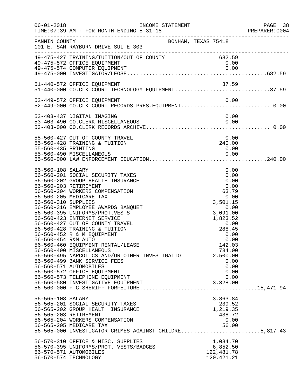| $06 - 01 - 2018$                                                | INCOME STATEMENT<br>TIME: 07:39 AM - FOR MONTH ENDING 5-31-18                                                                                                                                                                                                                                                                                                                                                                                                                                                                                                                                                                                             |                                                                                                                                                                                                         | PAGE 38<br>PREPARER: 0004 |
|-----------------------------------------------------------------|-----------------------------------------------------------------------------------------------------------------------------------------------------------------------------------------------------------------------------------------------------------------------------------------------------------------------------------------------------------------------------------------------------------------------------------------------------------------------------------------------------------------------------------------------------------------------------------------------------------------------------------------------------------|---------------------------------------------------------------------------------------------------------------------------------------------------------------------------------------------------------|---------------------------|
| FANNIN COUNTY                                                   | 101 E. SAM RAYBURN DRIVE SUITE 303                                                                                                                                                                                                                                                                                                                                                                                                                                                                                                                                                                                                                        | BONHAM, TEXAS 75418                                                                                                                                                                                     |                           |
|                                                                 | 49-475-427 TRAINING/TUITION/OUT OF COUNTY 682.59<br>49-475-572 OFFICE EQUIPMENT                                                                                                                                                                                                                                                                                                                                                                                                                                                                                                                                                                           | 0.00                                                                                                                                                                                                    |                           |
|                                                                 | 51-440-572 OFFICE EQUIPMENT<br>51-440-000 CO.CLK.COURT TECHNOLOGY EQUIPMENT37.59                                                                                                                                                                                                                                                                                                                                                                                                                                                                                                                                                                          | 37.59                                                                                                                                                                                                   |                           |
|                                                                 | 52-449-572 OFFICE EQUIPMENT<br>52-449-000 CO.CLK.COURT RECORDS PRES.EQUIPMENT 0.00                                                                                                                                                                                                                                                                                                                                                                                                                                                                                                                                                                        | 0.00                                                                                                                                                                                                    |                           |
|                                                                 | 53-403-437 DIGITAL IMAGING                                                                                                                                                                                                                                                                                                                                                                                                                                                                                                                                                                                                                                | 0.00                                                                                                                                                                                                    |                           |
| 55-560-435 PRINTING                                             | 55-560-427 OUT OF COUNTY TRAVEL<br>55-560-428 TRAINING & TUITION                                                                                                                                                                                                                                                                                                                                                                                                                                                                                                                                                                                          | 0.00<br>240.00<br>0.00                                                                                                                                                                                  |                           |
| 56-560-108 SALARY<br>56-560-310 SUPPLIES<br>56-560-454 R&M AUTO | 56-560-201 SOCIAL SECURITY TAXES<br>56-560-202 GROUP HEALTH INSURANCE<br>56-560-203 RETIREMENT<br>56-560-204 WORKERS COMPENSATION<br>56-560-205 MEDICARE TAX<br>56-560-316 EMPLOYEE AWARDS BANQUET<br>56-560-395 UNIFORMS/PROT.VESTS<br>56-560-423 INTERNET SERVICE<br>56-560-427 OUT OF COUNTY TRAVEL<br>56-560-428 TRAINING & TUITION<br>56-560-452 R & M EQUIPMENT<br>56-560-460 EQUIPMENT RENTAL/LEASE<br>56-560-490 MISCELLANEOUS<br>56-560-495 NARCOTICS AND/OR OTHER INVESTIGATIO<br>56-560-499 BANK SERVICE FEES<br>56-560-571 AUTOMOBILES<br>56-560-572 OFFICE EQUIPMENT<br>56-560-573 TELEPHONE EQUIPMENT<br>56-560-580 INVESTIGATIVE EQUIPMENT | 0.00<br>0.00<br>0.00<br>0.00<br>63.79<br>0.00<br>3,501.15<br>0.00<br>3,091.00<br>1,823.52<br>0.00<br>288.45<br>0.00<br>0.00<br>142.03<br>734.00<br>2,500.00<br>0.00<br>0.00<br>0.00<br>0.00<br>3,328.00 |                           |
| 56-565-108 SALARY                                               | 56-565-201 SOCIAL SECURITY TAXES<br>56-565-202 GROUP HEALTH INSURANCE<br>56-565-203 RETIREMENT<br>56-565-204 WORKERS COMPENSATION<br>56-565-205 MEDICARE TAX<br>56-565-000 INVESTIGATOR CRIMES AGAINST CHILDRE5,817.43                                                                                                                                                                                                                                                                                                                                                                                                                                    | 3,863.84<br>239.52<br>1,219.35<br>438.72<br>0.00<br>56.00                                                                                                                                               |                           |
|                                                                 | 56-570-310 OFFICE & MISC. SUPPLIES<br>56-570-395 UNIFORMS/PROT. VESTS/BADGES<br>56-570-571 AUTOMOBILES<br>56-570-574 TECHNOLOGY                                                                                                                                                                                                                                                                                                                                                                                                                                                                                                                           | 1,084.70<br>6,852.50<br>122,481.78<br>120, 421.21                                                                                                                                                       |                           |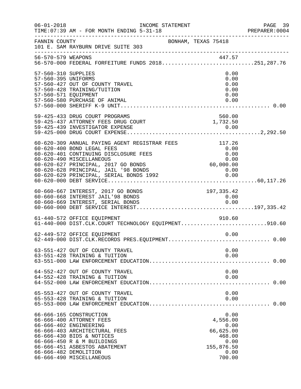| $06 - 01 - 2018$                                                   | INCOME STATEMENT<br>TIME: 07:39 AM - FOR MONTH ENDING 5-31-18                                                                                                                                                                                                              |                                                                                         | PAGE 39<br>PREPARER: 0004 |
|--------------------------------------------------------------------|----------------------------------------------------------------------------------------------------------------------------------------------------------------------------------------------------------------------------------------------------------------------------|-----------------------------------------------------------------------------------------|---------------------------|
| FANNIN COUNTY                                                      | BONHAM, TEXAS 75418<br>101 E. SAM RAYBURN DRIVE SUITE 303                                                                                                                                                                                                                  |                                                                                         |                           |
|                                                                    |                                                                                                                                                                                                                                                                            |                                                                                         |                           |
| 57-560-310 SUPPLIES<br>57-560-395 UNIFORMS<br>57-560-571 EQUIPMENT | 57-560-427 OUT OF COUNTY TRAVEL<br>57-560-428 TRAINING/TUITION<br>57-560-580 PURCHASE OF ANIMAL                                                                                                                                                                            | 0.00<br>0.00<br>0.00<br>0.00<br>0.00<br>0.00                                            |                           |
|                                                                    | 59-425-433 DRUG COURT PROGRAMS<br>59-425-437 ATTORNEY FEES DRUG COURT 1,732.50                                                                                                                                                                                             | 560.00                                                                                  |                           |
|                                                                    | 60-620-309 ANNUAL PAYING AGENT REGISTRAR FEES<br>60-620-400 BOND LEGAL FEES<br>60-620-401 CONTINUING DISCLOSURE FEES<br>60-620-490 MISCELLANEOUS<br>60-620-627 PRINCIPAL, 2017 GO BONDS<br>60-620-628 PRINCIPAL, JAIL '98 BONDS<br>60-620-629 PRINCIPAL, SERIAL BONDS 1992 | 117.26<br>0.00<br>0.00<br>$0.00$<br>$0.00$ , 000<br>$0.00$<br>0.00                      |                           |
|                                                                    | 60-660-667 INTEREST, 2017 GO BONDS<br>60-660-668 INTEREST JAIL'98 BONDS                                                                                                                                                                                                    | 197, 335.42<br>0.00                                                                     |                           |
|                                                                    | 61-440-572 OFFICE EQUIPMENT<br>61-440-000 DIST.CLK.COURT TECHNOLOGY EQUIPMENT910.60                                                                                                                                                                                        | 910.60                                                                                  |                           |
|                                                                    | 62-449-572 OFFICE EQUIPMENT                                                                                                                                                                                                                                                | 0.00                                                                                    |                           |
|                                                                    | 63-551-427 OUT OF COUNTY TRAVEL<br>63-551-428 TRAINING & TUITION                                                                                                                                                                                                           | 0.00<br>0.00                                                                            |                           |
|                                                                    | 64-552-427 OUT OF COUNTY TRAVEL<br>64-552-428 TRAINING & TUITION                                                                                                                                                                                                           | 0.00<br>0.00                                                                            |                           |
|                                                                    | 65-553-427 OUT OF COUNTY TRAVEL<br>65-553-428 TRAINING & TUITION                                                                                                                                                                                                           | 0.00<br>0.00                                                                            |                           |
|                                                                    | 66-666-165 CONSTRUCTION<br>66-666-400 ATTORNEY FEES<br>66-666-402 ENGINEERING<br>66-666-403 ARCHITECTURAL FEES<br>66-666-430 BIDS & NOTICES<br>66-666-450 R & M BUILDINGS<br>66-666-451 ASBESTOS ABATEMENT<br>66-666-482 DEMOLITION<br>66-666-490 MISCELLANEOUS            | 0.00<br>4,556.00<br>0.00<br>66,625.00<br>468.00<br>0.00<br>155,876.50<br>0.00<br>700.00 |                           |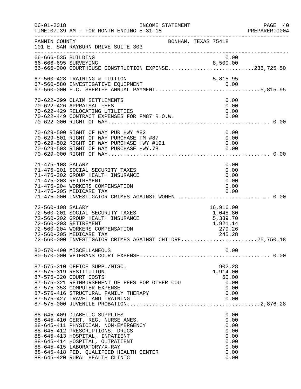| $06 - 01 - 2018$    | INCOME STATEMENT<br>TIME: 07:39 AM - FOR MONTH ENDING 5-31-18                                                                                                                                                                                                                                                                |                                                                      | PAGE 40<br>PREPARER:0004 |
|---------------------|------------------------------------------------------------------------------------------------------------------------------------------------------------------------------------------------------------------------------------------------------------------------------------------------------------------------------|----------------------------------------------------------------------|--------------------------|
| FANNIN COUNTY       | BONHAM, TEXAS 75418<br>101 E. SAM RAYBURN DRIVE SUITE 303                                                                                                                                                                                                                                                                    |                                                                      |                          |
| 66-666-535 BUILDING | 66-666-695 SURVEYING 8,500.00<br>66-666-000 COURTHOUSE CONSTRUCTION EXPENSE236,725.50                                                                                                                                                                                                                                        | 0.00                                                                 |                          |
|                     | 67-560-428 TRAINING & TUITION                                                                                                                                                                                                                                                                                                | 5,815.95                                                             |                          |
|                     | 70-622-399 CLAIM SETTLEMENTS<br>70-622-426 APPRAISAL FEES<br>70-622-429 RELOCATING UTILITIES                                                                                                                                                                                                                                 | 0.00<br>0.00<br>0.00                                                 |                          |
|                     |                                                                                                                                                                                                                                                                                                                              | 0.00<br>0.00<br>0.00<br>0.00                                         |                          |
| 71-475-108 SALARY   | 71-475-201 SOCIAL SECURITY TAXES<br>71-475-202 GROUP HEALTH INSURANCE<br>71-475-203 RETIREMENT<br>71-475-204 WORKERS COMPENSATION<br>71-475-205 MEDICARE TAX<br>71-475-000 INVESTIGATOR CRIMES AGAINST WOMEN 0.00                                                                                                            | 0.00<br>0.00<br>0.00<br>0.00<br>0.00<br>0.00                         |                          |
| 72-560-108 SALARY   | 72-560-201 SOCIAL SECURITY TAXES<br>72-560-202 GROUP HEALTH INSURANCE<br>72-560-203 RETIREMENT<br>72-560-204 WORKERS COMPENSATION<br>72-560-205 MEDICARE TAX<br>72-560-000 INVESTIGATOR CRIMES AGAINST CHILDRE25,750.18                                                                                                      | 16,916.00<br>1,048.80<br>5,339.70<br>1,921.14<br>$-724.14$<br>279.26 |                          |
|                     | 80-570-490 MISCELLANEOUS                                                                                                                                                                                                                                                                                                     | 0.00                                                                 | . 0.00                   |
|                     | 87-575-310 OFFICE SUPP./MISC.<br>87-575-319 RESTITUTION<br>87-575-320 COURT COSTS<br>87-575-321 REIMBURSEMENT OF FEES FOR OTHER COU<br>87-575-353 COMPUTER EXPENSE<br>87-575-416 STRUCTURAL FAMILY THERAPY<br>87-575-427 TRAVEL AND TRAINING                                                                                 | 902.28<br>1,914.00<br>60.00<br>0.00<br>0.00<br>0.00<br>0.00          |                          |
|                     | 88-645-409 DIABETIC SUPPLIES<br>88-645-410 CERT. REG. NURSE ANES.<br>88-645-411 PHYSICIAN, NON-EMERGENCY<br>88-645-412 PRESCRIPTIONS, DRUGS<br>88-645-413 HOSPITAL, INPATIENT<br>88-645-414 HOSPITAL, OUTPATIENT<br>88-645-415 LABORATORY/X-RAY<br>88-645-418 FED. QUALIFIED HEALTH CENTER<br>88-645-420 RURAL HEALTH CLINIC | 0.00<br>0.00<br>0.00<br>0.00<br>0.00<br>0.00<br>0.00<br>0.00<br>0.00 |                          |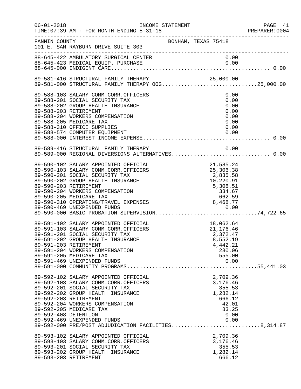| $06 - 01 - 2018$                              | INCOME STATEMENT<br>TIME: 07:39 AM - FOR MONTH ENDING 5-31-18                                                                                                                                                                                                                                                                               |                                                                                                                                       | PAGE 41<br>PREPARER:0004 |
|-----------------------------------------------|---------------------------------------------------------------------------------------------------------------------------------------------------------------------------------------------------------------------------------------------------------------------------------------------------------------------------------------------|---------------------------------------------------------------------------------------------------------------------------------------|--------------------------|
| FANNIN COUNTY                                 | 101 E. SAM RAYBURN DRIVE SUITE 303                                                                                                                                                                                                                                                                                                          | BONHAM, TEXAS 75418                                                                                                                   |                          |
|                                               |                                                                                                                                                                                                                                                                                                                                             |                                                                                                                                       |                          |
|                                               | 89-581-416 STRUCTURAL FAMILY THERAPY 00G25,000.00<br>89-581-000 STRUCTURAL FAMILY THERAPY 00G25,000.00                                                                                                                                                                                                                                      |                                                                                                                                       |                          |
| 89-588-203 RETIREMENT                         | 89-588-103 SALARY COMM.CORR.OFFICERS<br>89-588-201 SOCIAL SECURITY TAX<br>89-588-202 GROUP HEALTH INSURANCE<br>89-588-204 WORKERS COMPENSATION<br>89-588-205 MEDICARE TAX<br>89-588-310 OFFICE SUPPLIES                                                                                                                                     | 0.00<br>0.00<br>0.00<br>0.00<br>0.00<br>0.00<br>0.00                                                                                  |                          |
|                                               | 89-589-416 STRUCTURAL FAMILY THERAPY<br>89-589-416 STRUCTURAL FAMILY THERAPY             0.00<br>89-589-000 REGIONAL DIVERSIONS ALTERNATIVES 0.00                                                                                                                                                                                           | 0.00                                                                                                                                  |                          |
| 89-590-203 RETIREMENT                         | 89-590-102 SALARY APPOINTED OFFICIAL<br>89-590-103 SALARY COMM.CORR.OFFICERS<br>89-590-201 SOCIAL SECURITY TAX<br>89-590-202 GROUP HEALTH INSURANCE<br>89-590-204 WORKERS COMPENSATION<br>89-590-205 MEDICARE TAX<br>89-590-310 OPERATING/TRAVEL EXPENSES<br>89-590-469 UNEXPENDED FUNDS<br>89-590-000 BASIC PROBATION SUPERVISION74,722.65 |                                                                                                                                       |                          |
| 89-591-203 RETIREMENT                         | 89-591-102 SALARY APPOINTED OFFICIAL<br>89-591-103 SALARY COMM.CORR.OFFICERS<br>89-591-201 SOCIAL SECURITY TAX<br>89-591-202 GROUP HEALTH INSURANCE<br>89-591-204 WORKERS COMPENSATION<br>89-591-205 MEDICARE TAX<br>89-591-469 UNEXPENDED FUNDS                                                                                            | $18,062.64$<br>$21,176.46$<br>$\begin{array}{c} 2\,,372\,.\,47 \\ 8\,,552\,.\,19 \end{array}$<br>4,442.21<br>280.06<br>555.00<br>0.00 |                          |
| 89-592-203 RETIREMENT<br>89-592-408 DETENTION | 89-592-102 SALARY APPOINTED OFFICIAL<br>89-592-103 SALARY COMM.CORR.OFFICERS<br>89-592-201 SOCIAL SECURITY TAX<br>89-592-202 GROUP HEALTH INSURANCE<br>89-592-204 WORKERS COMPENSATION<br>89-592-205 MEDICARE TAX<br>89-592-469 UNEXPENDED FUNDS<br>89-592-000 PRE/POST ADJUDICATION FACILITIES8,314.87                                     | 2,709.36<br>3,176.46<br>355.53<br>1,282.14<br>666.12<br>42.01<br>83.25<br>0.00<br>0.00                                                |                          |
| 89-593-203 RETIREMENT                         | 89-593-102 SALARY APPOINTED OFFICIAL<br>89-593-103 SALARY COMM.CORR.OFFICERS<br>89-593-201 SOCIAL SECURITY TAX<br>89-593-202 GROUP HEALTH INSURANCE                                                                                                                                                                                         | 2,709.36<br>3,176.46<br>355.53<br>1,282.14<br>666.12                                                                                  |                          |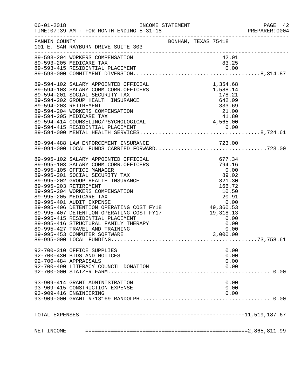| $06 - 01 - 2018$ | TIME: 07:39 AM - FOR MONTH ENDING 5-31-18 |                     |          |      | PAGE 42<br>PREPARER: 0004 |
|------------------|-------------------------------------------|---------------------|----------|------|---------------------------|
| FANNIN COUNTY    | 101 E. SAM RAYBURN DRIVE SUITE 303        | BONHAM, TEXAS 75418 |          |      |                           |
|                  |                                           |                     |          |      |                           |
|                  |                                           |                     |          |      |                           |
|                  |                                           |                     |          |      |                           |
|                  |                                           |                     |          |      |                           |
|                  |                                           |                     |          |      |                           |
|                  |                                           |                     |          |      |                           |
|                  |                                           |                     |          |      |                           |
|                  |                                           |                     |          |      |                           |
|                  |                                           |                     |          |      |                           |
|                  |                                           |                     |          |      |                           |
|                  |                                           |                     |          |      |                           |
|                  |                                           |                     |          |      |                           |
|                  |                                           |                     |          |      |                           |
|                  |                                           |                     |          |      |                           |
|                  | 89-994-488 LAW ENFORCEMENT INSURANCE      |                     |          |      |                           |
|                  |                                           |                     |          |      |                           |
|                  |                                           |                     |          |      |                           |
|                  |                                           |                     |          |      |                           |
|                  |                                           |                     |          |      |                           |
|                  |                                           |                     |          |      |                           |
|                  |                                           |                     |          |      |                           |
|                  |                                           |                     |          |      |                           |
|                  |                                           |                     |          |      |                           |
|                  |                                           |                     |          |      |                           |
|                  |                                           |                     |          |      |                           |
|                  |                                           |                     |          |      |                           |
|                  |                                           |                     |          |      |                           |
|                  |                                           |                     |          |      |                           |
|                  |                                           |                     |          |      |                           |
|                  |                                           |                     |          |      |                           |
|                  |                                           |                     | 3,000.00 |      |                           |
|                  |                                           |                     |          |      |                           |
|                  | 92-700-310 OFFICE SUPPLIES                |                     |          | 0.00 |                           |
|                  | 92-700-430 BIDS AND NOTICES               |                     |          | 0.00 |                           |
|                  | 92-700-484 APPRAISALS                     |                     |          | 0.00 |                           |
|                  | 92-700-490 LITERACY COUNCIL DONATION      |                     |          | 0.00 |                           |
|                  |                                           |                     |          |      |                           |
|                  |                                           |                     |          |      |                           |
|                  | 93-909-414 GRANT ADMINISTRATION           |                     |          | 0.00 |                           |
|                  | 93-909-415 CONSTRUCTION EXPENSE           |                     |          | 0.00 |                           |
|                  | 93-909-416 ENGINEERING                    |                     |          | 0.00 |                           |
|                  |                                           |                     |          |      |                           |
| TOTAL EXPENSES   |                                           |                     |          |      |                           |
|                  |                                           |                     |          |      |                           |
| NET INCOME       |                                           |                     |          |      |                           |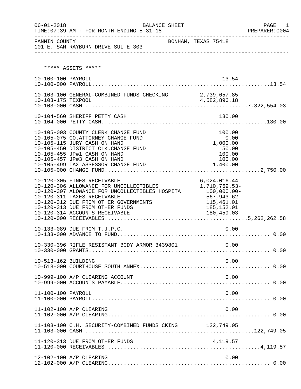| $06 - 01 - 2018$    | BALANCE SHEET<br>TIME: 07:39 AM - FOR MONTH ENDING 5-31-18                                                                                                                                                                                                            |                                                                                                         | PAGE<br>1 |
|---------------------|-----------------------------------------------------------------------------------------------------------------------------------------------------------------------------------------------------------------------------------------------------------------------|---------------------------------------------------------------------------------------------------------|-----------|
| FANNIN COUNTY       | 101 E. SAM RAYBURN DRIVE SUITE 303                                                                                                                                                                                                                                    | BONHAM, TEXAS 75418                                                                                     |           |
|                     | ***** ASSETS *****                                                                                                                                                                                                                                                    |                                                                                                         |           |
| 10-100-100 PAYROLL  |                                                                                                                                                                                                                                                                       | 13.54                                                                                                   |           |
|                     | 10-103-100 GENERAL-COMBINED FUNDS CHECKING 2,739,657.85                                                                                                                                                                                                               |                                                                                                         |           |
|                     | 10-104-560 SHERIFF PETTY CASH                                                                                                                                                                                                                                         | 130.00                                                                                                  |           |
|                     | 10-105-003 COUNTY CLERK CHANGE FUND<br>10-105-075 CO.ATTORNEY CHANGE FUND<br>10-105-115 JURY CASH ON HAND<br>10-105-450 DISTRICT CLK.CHANGE FUND<br>10-105-455 JP#1 CASH ON HAND<br>10-105-457 JP#3 CASH ON HAND<br>10-105-499 TAX ASSESSOR CHANGE FUND               | 100.00<br>0.00<br>1,000.00<br>50.00<br>100.00<br>100.00<br>1,400.00                                     |           |
|                     | 10-120-305 FINES RECEIVABLE<br>10-120-306 ALLOWANCE FOR UNCOLLECTIBLES<br>10-120-307 ALOWANCE FOR UNCOLLECTIBLES HOSPITA<br>10-120-311 TAXES RECEIVABLE<br>10-120-312 DUE FROM OTHER GOVERNMENTS<br>10-120-313 DUE FROM OTHER FUNDS<br>10-120-314 ACCOUNTS RECEIVABLE | 6,024,016.44<br>1,710,769.53-<br>$100,000.00 -$<br>567,943.62<br>115,461.01<br>185,152.01<br>180,459.03 |           |
|                     | 10-133-089 DUE FROM T.J.P.C.                                                                                                                                                                                                                                          | 0.00                                                                                                    |           |
|                     | 10-330-396 RIFLE RESISTANT BODY ARMOR 3439801                                                                                                                                                                                                                         | 0.00                                                                                                    |           |
| 10-513-162 BUILDING |                                                                                                                                                                                                                                                                       | 0.00                                                                                                    |           |
|                     | 10-999-100 A/P CLEARING ACCOUNT                                                                                                                                                                                                                                       | 0.00                                                                                                    |           |
| 11-100-100 PAYROLL  |                                                                                                                                                                                                                                                                       | 0.00                                                                                                    |           |
|                     | 11-102-100 A/P CLEARING                                                                                                                                                                                                                                               | 0.00                                                                                                    |           |
|                     | 11-103-100 C.H. SECURITY-COMBINED FUNDS CKING 122,749.05                                                                                                                                                                                                              |                                                                                                         |           |
|                     |                                                                                                                                                                                                                                                                       |                                                                                                         |           |
|                     | 12-102-100 A/P CLEARING                                                                                                                                                                                                                                               | 0.00                                                                                                    |           |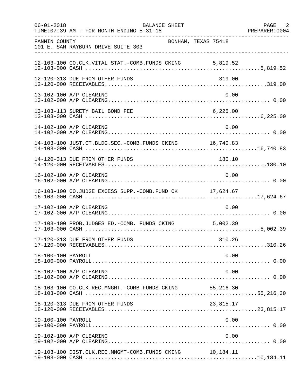| $06 - 01 - 2018$   | BALANCE SHEET<br>TIME: 07:39 AM - FOR MONTH ENDING 5-31-18 |                     | PAGE 2<br>PREPARER: 0004 |
|--------------------|------------------------------------------------------------|---------------------|--------------------------|
| FANNIN COUNTY      | 101 E. SAM RAYBURN DRIVE SUITE 303                         | BONHAM, TEXAS 75418 |                          |
|                    | 12-103-100 CO.CLK.VITAL STAT.-COMB.FUNDS CKING 5,819.52    |                     |                          |
|                    | 12-120-313 DUE FROM OTHER FUNDS                            | 319.00              |                          |
|                    | 13-102-100 A/P CLEARING                                    | 0.00                |                          |
|                    | 13-103-113 SURETY BAIL BOND FEE                            | 6, 225.00           |                          |
|                    | 14-102-100 A/P CLEARING                                    | 0.00                |                          |
|                    | 14-103-100 JUST.CT.BLDG.SEC.-COMB.FUNDS CKING 16,740.83    |                     |                          |
|                    | 14-120-313 DUE FROM OTHER FUNDS                            | 180.10              |                          |
|                    | 16-102-100 A/P CLEARING                                    | 0.00                |                          |
|                    | 16-103-100 CO.JUDGE EXCESS SUPP.-COMB.FUND CK 17,624.67    |                     |                          |
|                    | 17-102-100 A/P CLEARING                                    | 0.00                |                          |
|                    | 17-103-100 PROB.JUDGES ED.-COMB. FUNDS CKING 5,002.39      |                     |                          |
|                    | 17-120-313 DUE FROM OTHER FUNDS                            | 310.26              |                          |
| 18-100-100 PAYROLL |                                                            | 0.00                |                          |
|                    | 18-102-100 A/P CLEARING                                    | 0.00                |                          |
|                    | 18-103-100 CO.CLK.REC.MNGMT.-COMB.FUNDS CKING 55,216.30    |                     |                          |
|                    | 18-120-313 DUE FROM OTHER FUNDS                            | 23,815.17           |                          |
| 19-100-100 PAYROLL |                                                            | 0.00                |                          |
|                    | 19-102-100 A/P CLEARING                                    | 0.00                |                          |
|                    | 19-103-100 DIST.CLK.REC.MNGMT-COMB.FUNDS CKING             | 10,184.11           |                          |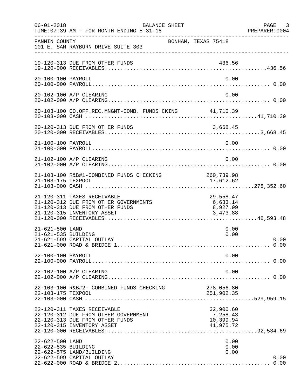| $06 - 01 - 2018$                       | BALANCE SHEET<br>TIME: 07:39 AM - FOR MONTH ENDING 5-31-18                                                                            |                                                 | PAGE 3<br>PREPARER:0004 |
|----------------------------------------|---------------------------------------------------------------------------------------------------------------------------------------|-------------------------------------------------|-------------------------|
| FANNIN COUNTY                          | 101 E. SAM RAYBURN DRIVE SUITE 303                                                                                                    | BONHAM, TEXAS 75418                             |                         |
|                                        | 19-120-313 DUE FROM OTHER FUNDS                                                                                                       | 436.56                                          |                         |
| 20-100-100 PAYROLL                     |                                                                                                                                       | 0.00                                            |                         |
|                                        | 20-102-100 A/P CLEARING                                                                                                               | 0.00                                            |                         |
|                                        | 20-103-100 CO.OFF.REC.MNGMT-COMB. FUNDS CKING 41,710.39                                                                               |                                                 |                         |
|                                        |                                                                                                                                       |                                                 |                         |
| 21-100-100 PAYROLL                     |                                                                                                                                       | 0.00                                            |                         |
|                                        | 21-102-100 A/P CLEARING                                                                                                               | 0.00                                            |                         |
| 21-103-175 TEXPOOL                     | 21-103-100 R&B#1-COMBINED FUNDS CHECKING                                                                                              | 260,739.98<br>17,612.62                         |                         |
|                                        | 21-120-311 TAXES RECEIVABLE<br>21-120-312 DUE FROM OTHER GOVERNMENTS<br>21-120-313 DUE FROM OTHER FUNDS<br>21-120-315 INVENTORY ASSET | 29,558.47<br>6,633.14<br>8,927.99<br>3,473.88   |                         |
| 21-621-500 LAND<br>21-621-535 BUILDING | 21-621-599 CAPITAL OUTLAY                                                                                                             | 0.00<br>0.00                                    | 0.00                    |
| 22-100-100 PAYROLL                     |                                                                                                                                       | 0.00                                            |                         |
|                                        | 22-102-100 A/P CLEARING                                                                                                               | 0.00                                            |                         |
|                                        | 22-103-100 R&B#2- COMBINED FUNDS CHECKING                                                                                             | 278,056.80<br>251,902.35                        |                         |
|                                        | 22-120-311 TAXES RECEIVABLE<br>22-120-312 DUE FROM OTHER GOVERNMENT<br>22-120-313 DUE FROM OTHER FUNDS<br>22-120-315 INVENTORY ASSET  | 32,900.60<br>7,258.43<br>10,399.94<br>41,975.72 |                         |
| 22-622-500 LAND<br>22-622-535 BUILDING | 22-622-575 LAND/BUILDING<br>22-622-599 CAPITAL OUTLAY                                                                                 | 0.00<br>0.00<br>0.00                            | 0.00                    |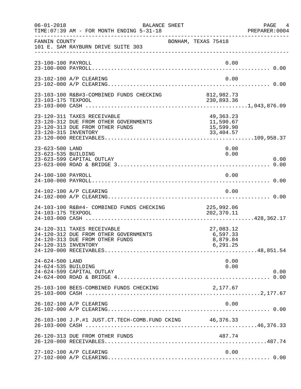| $06 - 01 - 2018$                       | BALANCE SHEET<br>TIME: 07:39 AM - FOR MONTH ENDING 5-31-18                                              |                                                  | PAGE 4<br>PREPARER:0004 |
|----------------------------------------|---------------------------------------------------------------------------------------------------------|--------------------------------------------------|-------------------------|
| FANNIN COUNTY                          | 101 E. SAM RAYBURN DRIVE SUITE 303                                                                      | BONHAM, TEXAS 75418                              |                         |
| 23-100-100 PAYROLL                     |                                                                                                         |                                                  | 0.00                    |
|                                        | 23-102-100 A/P CLEARING                                                                                 |                                                  | 0.00                    |
|                                        |                                                                                                         |                                                  |                         |
| 23-120-315 INVENTORY                   | 23-120-311 TAXES RECEIVABLE<br>23-120-312 DUE FROM OTHER GOVERNMENTS<br>23-120-313 DUE FROM OTHER FUNDS | 49,363.23<br>11,590.67<br>15,599.90<br>33,404.57 |                         |
| 23-623-500 LAND<br>23-623-535 BUILDING | 23-623-599 CAPITAL OUTLAY                                                                               |                                                  | 0.00<br>0.00<br>0.00    |
| 24-100-100 PAYROLL                     |                                                                                                         |                                                  | 0.00                    |
|                                        | 24-102-100 A/P CLEARING                                                                                 |                                                  | 0.00                    |
| 24-103-175 TEXPOOL                     | 24-103-100 R&B#4- COMBINED FUNDS CHECKING                                                               | 225,992.06<br>202,370.11                         |                         |
| 24-120-315 INVENTORY                   | 24-120-311 TAXES RECEIVABLE<br>24-120-312 DUE FROM OTHER GOVERNMENTS<br>24-120-313 DUE FROM OTHER FUNDS | 27,083.12<br>6,597.33<br>8,879.84<br>6,291.25    |                         |
| 24-624-500 LAND<br>24-624-535 BUILDING | 24-624-599 CAPITAL OUTLAY                                                                               |                                                  | 0.00<br>0.00<br>0.00    |
|                                        | 25-103-100 BEES-COMBINED FUNDS CHECKING                                                                 | 2,177.67                                         |                         |
|                                        | 26-102-100 A/P CLEARING                                                                                 |                                                  | 0.00                    |
|                                        | 26-103-100 J.P.#1 JUST.CT.TECH-COMB.FUND CKING 46,376.33                                                |                                                  |                         |
|                                        | 26-120-313 DUE FROM OTHER FUNDS                                                                         | 487.74                                           |                         |
|                                        | 27-102-100 A/P CLEARING                                                                                 |                                                  | 0.00                    |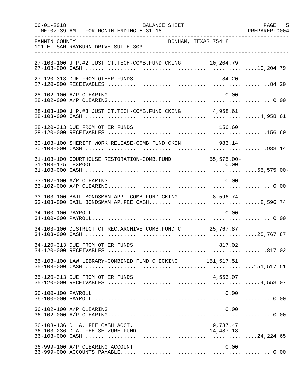| $06 - 01 - 2018$   | <b>BALANCE SHEET</b><br>TIME: 07:39 AM - FOR MONTH ENDING 5-31-18                                      |                       | 5<br>PAGE<br>PREPARER: 0004 |
|--------------------|--------------------------------------------------------------------------------------------------------|-----------------------|-----------------------------|
| FANNIN COUNTY      | 101 E. SAM RAYBURN DRIVE SUITE 303                                                                     | BONHAM, TEXAS 75418   |                             |
|                    | 27-103-100 J.P.#2 JUST.CT.TECH-COMB.FUND CKING 10,204.79                                               |                       |                             |
|                    | 27-120-313 DUE FROM OTHER FUNDS                                                                        | 84.20                 |                             |
|                    | 28-102-100 A/P CLEARING                                                                                | 0.00                  |                             |
|                    | 28-103-100 J.P.#3 JUST.CT.TECH-COMB.FUND CKING 4,958.61                                                |                       |                             |
|                    | 28-120-313 DUE FROM OTHER FUNDS                                                                        | 156.60                |                             |
|                    | 30-103-100 SHERIFF WORK RELEASE-COMB FUND CKIN                                                         | 983.14                |                             |
| 31-103-175 TEXPOOL | 31-103-100 COURTHOUSE RESTORATION-COMB. FUND 55,575.00-                                                | 0.00                  |                             |
|                    | 33-102-100 A/P CLEARING                                                                                | 0.00                  |                             |
|                    | 33-103-100 BAIL BONDSMAN APP.-COMB FUND CKING 8,596.74<br>33-103-000 BAIL BONDSMAN AP.FEE CASH8,596.74 |                       |                             |
| 34-100-100 PAYROLL |                                                                                                        | 0.00                  |                             |
|                    | 34-103-100 DISTRICT CT.REC.ARCHIVE COMB.FUND C 25,767.87                                               |                       |                             |
|                    | 34-120-313 DUE FROM OTHER FUNDS                                                                        | 817.02                |                             |
|                    | 35-103-100 LAW LIBRARY-COMBINED FUND CHECKING 151,517.51                                               |                       |                             |
|                    | 35-120-313 DUE FROM OTHER FUNDS                                                                        | 4,553.07              |                             |
| 36-100-100 PAYROLL |                                                                                                        | 0.00                  |                             |
|                    | 36-102-100 A/P CLEARING                                                                                | 0.00                  |                             |
|                    | 36-103-136 D. A. FEE CASH ACCT.<br>36-103-236 D.A. FEE SEIZURE FUND                                    | 9,737.47<br>14,487.18 |                             |
|                    | 36-999-100 A/P CLEARING ACCOUNT                                                                        | 0.00                  |                             |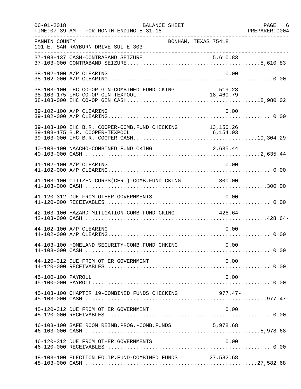| $06 - 01 - 2018$   | BALANCE SHEET<br>TIME: 07:39 AM - FOR MONTH ENDING 5-31-18                                 |                     | PAGE 6<br>PREPARER: 0004 |
|--------------------|--------------------------------------------------------------------------------------------|---------------------|--------------------------|
| FANNIN COUNTY      | 101 E. SAM RAYBURN DRIVE SUITE 303                                                         | BONHAM, TEXAS 75418 |                          |
|                    |                                                                                            |                     |                          |
|                    | 38-102-100 A/P CLEARING                                                                    | 0.00                |                          |
|                    | 38-103-100 IHC CO-OP GIN-COMBINED FUND CKING                                               | 519.23              |                          |
|                    | 39-102-100 A/P CLEARING                                                                    | 0.00                |                          |
|                    | 39-103-100 IHC B.R. COOPER-COMB. FUND CHECKING 13,150.26<br>39-103-175 B.R. COOPER-TEXPOOL | 6, 154.03           |                          |
|                    | 40-103-100 NAACHO-COMBINED FUND CKING                                                      | 2,635.44            |                          |
|                    | 41-102-100 A/P CLEARING                                                                    | 0.00                |                          |
|                    | 41-103-100 CITIZEN CORPS(CERT)-COMB. FUND CKING 300.00                                     |                     |                          |
|                    | 41-120-312 DUE FROM OTHER GOVERNMENTS                                                      | 0.00                |                          |
|                    | 42-103-100 HAZARD MITIGATION-COMB. FUND CKING. 428.64-                                     |                     |                          |
|                    | 44-102-100 A/P CLEARING                                                                    | 0.00                |                          |
|                    | 44-103-100 HOMELAND SECURITY-COMB.FUND CHKING 0.00                                         |                     |                          |
|                    | 44-120-312 DUE FROM OTHER GOVERNMENT                                                       | 0.00                |                          |
| 45-100-100 PAYROLL |                                                                                            | 0.00                |                          |
|                    | 45-103-100 CHAPTER 19-COMBINED FUNDS CHECKING                                              | 977.47-             |                          |
|                    | 45-120-312 DUE FROM OTHER GOVERNMENT                                                       | 0.00                |                          |
|                    | 46-103-100 SAFE ROOM REIMB.PROG.-COMB.FUNDS 5,978.68                                       |                     |                          |
|                    | 46-120-312 DUE FROM OTHER GOVERNMENTS                                                      | 0.00                |                          |
|                    | 48-103-100 ELECTION EQUIP.FUND-COMBINED FUNDS 27,582.68                                    |                     |                          |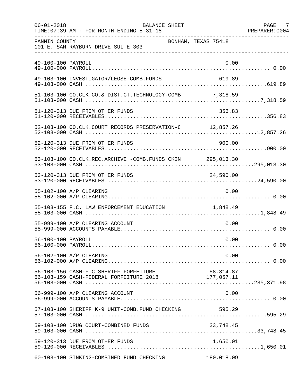| $06 - 01 - 2018$   | BALANCE SHEET<br>TIME: 07:39 AM - FOR MONTH ENDING 5-31-18                                             |                     | PAGE 7 |
|--------------------|--------------------------------------------------------------------------------------------------------|---------------------|--------|
| FANNIN COUNTY      | 101 E. SAM RAYBURN DRIVE SUITE 303                                                                     | BONHAM, TEXAS 75418 |        |
| 49-100-100 PAYROLL |                                                                                                        | 0.00                |        |
|                    | 49-103-100 INVESTIGATOR/LEOSE-COMB.FUNDS                                                               | 619.89              |        |
|                    |                                                                                                        |                     |        |
|                    | 51-120-313 DUE FROM OTHER FUNDS                                                                        | 356.83              |        |
|                    | 52-103-100 CO.CLK.COURT RECORDS PRESERVATION-C 12,857.26                                               |                     |        |
|                    | 52-120-313 DUE FROM OTHER FUNDS                                                                        | 900.00              |        |
|                    | 53-103-100 CO.CLK.REC.ARCHIVE -COMB.FUNDS CKIN 295,013.30                                              |                     |        |
|                    | 53-120-313 DUE FROM OTHER FUNDS                                                                        | 24,590.00           |        |
|                    | 55-102-100 A/P CLEARING                                                                                | 0.00                |        |
|                    | 55-103-155 F.C. LAW ENFORCEMENT EDUCATION 1,848.49                                                     |                     |        |
|                    | 55-999-100 A/P CLEARING ACCOUNT                                                                        | 0.00                |        |
| 56-100-100 PAYROLL |                                                                                                        | 0.00                |        |
|                    | 56-102-100 A/P CLEARING                                                                                | 0.00                |        |
|                    | 56-103-156 CASH-F C SHERIFF FORFEITURE 58,314.87<br>56-103-159 CASH-FEDERAL FORFEITURE 2018 177,057.11 |                     |        |
|                    | 56-999-100 A/P CLEARING ACCOUNT                                                                        | 0.00                |        |
|                    | 57-103-100 SHERIFF K-9 UNIT-COMB.FUND CHECKING                                                         | 595.29              |        |
|                    | 59-103-100 DRUG COURT-COMBINED FUNDS                                                                   | 33,748.45           |        |
|                    | 59-120-313 DUE FROM OTHER FUNDS                                                                        | 1,650.01            |        |
|                    | 60-103-100 SINKING-COMBINED FUND CHECKING                                                              | 180,018.09          |        |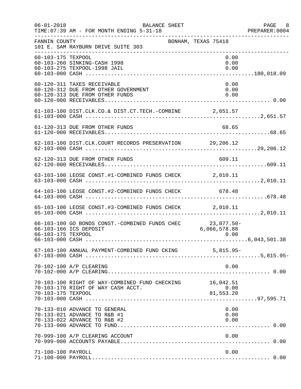| $06 - 01 - 2018$   | BALANCE SHEET<br>TIME: 07:39 AM - FOR MONTH ENDING 5-31-18                                             |                      | PAGE 8<br>PREPARER: 0004 |
|--------------------|--------------------------------------------------------------------------------------------------------|----------------------|--------------------------|
| FANNIN COUNTY      | 101 E. SAM RAYBURN DRIVE SUITE 303                                                                     | BONHAM, TEXAS 75418  |                          |
| 60-103-175 TEXPOOL | 60-103-260 SINKING-CASH 1998<br>60-103-275 TEXPOOL-1998 JAIL                                           | 0.00<br>0.00<br>0.00 |                          |
|                    | 60-120-311 TAXES RECEIVABLE<br>60-120-312 DUE FROM OTHER GOVERNMENT<br>60-120-313 DUE FROM OTHER FUNDS | 0.00<br>0.00<br>0.00 |                          |
|                    | 61-103-100 DIST.CLK.CO.& DIST.CT.TECH.-COMBINE 2,651.57                                                |                      |                          |
|                    | 61-120-313 DUE FROM OTHER FUNDS                                                                        | 68.65                |                          |
|                    | 62-103-100 DIST.CLK.COURT RECORDS PRESERVATION 29,206.12                                               |                      |                          |
|                    | 62-120-313 DUE FROM OTHER FUNDS                                                                        | 609.11               |                          |
|                    | 63-103-100 LEOSE CONST.#1-COMBINED FUNDS CHECK 2,010.11                                                |                      |                          |
|                    | 64-103-100 LEOSE CONST.#2-COMBINED FUNDS CHECK 678.48                                                  |                      |                          |
|                    | 65-103-100 LEOSE CONST.#3-COMBINED FUNDS CHECK 2,010.11                                                |                      |                          |
| 66-103-175 TEXPOOL | 66-103-100 GO BONDS CONST.-COMBINED FUNDS CHEC 23,077.50-<br>66-103-166 ICS DEPOSIT                    | 6,066,578.88<br>0.00 |                          |
|                    |                                                                                                        |                      |                          |
|                    | 70-102-100 A/P CLEARING                                                                                | 0.00                 |                          |
| 70-103-175 TEXPOOL | 70-103-100 RIGHT OF WAY-COMBINED FUND CHECKING 16,042.51<br>70-103-170 RIGHT OF WAY CASH ACCT.         | 0.00<br>81,553.20    |                          |
|                    | 70-133-010 ADVANCE TO GENERAL<br>70-133-021 ADVANCE TO R&B #1<br>70-133-022 ADVANCE TO R&B #2          | 0.00<br>0.00<br>0.00 |                          |
|                    | 70-999-100 A/P CLEARING ACCOUNT                                                                        | 0.00                 |                          |
| 71-100-100 PAYROLL |                                                                                                        | 0.00                 |                          |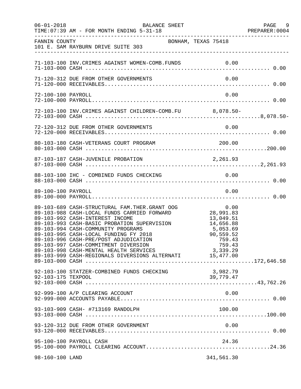| $06 - 01 - 2018$   | BALANCE SHEET<br>TIME: 07:39 AM - FOR MONTH ENDING 5-31-18                                                                                                                                                                                                                                                                                                                                                                                           |                                                                                                      | PAGE 9<br>PREPARER: 0004 |
|--------------------|------------------------------------------------------------------------------------------------------------------------------------------------------------------------------------------------------------------------------------------------------------------------------------------------------------------------------------------------------------------------------------------------------------------------------------------------------|------------------------------------------------------------------------------------------------------|--------------------------|
| FANNIN COUNTY      | BONHAM, TEXAS 75418<br>101 E. SAM RAYBURN DRIVE SUITE 303                                                                                                                                                                                                                                                                                                                                                                                            |                                                                                                      |                          |
|                    | 71-103-100 INV. CRIMES AGAINST WOMEN-COMB. FUNDS 0.00                                                                                                                                                                                                                                                                                                                                                                                                |                                                                                                      |                          |
|                    | 71-120-312 DUE FROM OTHER GOVERNMENTS                                                                                                                                                                                                                                                                                                                                                                                                                | 0.00                                                                                                 |                          |
| 72-100-100 PAYROLL |                                                                                                                                                                                                                                                                                                                                                                                                                                                      | 0.00                                                                                                 |                          |
|                    | 72-103-100 INV. CRIMES AGAINST CHILDREN-COMB. FU 8,078.50-                                                                                                                                                                                                                                                                                                                                                                                           |                                                                                                      |                          |
|                    |                                                                                                                                                                                                                                                                                                                                                                                                                                                      |                                                                                                      |                          |
|                    | 80-103-180 CASH-VETERANS COURT PROGRAM                                                                                                                                                                                                                                                                                                                                                                                                               | 200.00                                                                                               |                          |
|                    |                                                                                                                                                                                                                                                                                                                                                                                                                                                      |                                                                                                      |                          |
|                    |                                                                                                                                                                                                                                                                                                                                                                                                                                                      |                                                                                                      |                          |
| 89-100-100 PAYROLL |                                                                                                                                                                                                                                                                                                                                                                                                                                                      | 0.00                                                                                                 |                          |
|                    | 89-103-689 CASH-STRUCTURAL FAM.THER.GRANT OOG<br>89-103-988 CASH-LOCAL FUNDS CARRIED FORWARD<br>89-103-992 CASH-INTEREST INCOME<br>89-103-993 CASH-BASIC PROBATION SUPERVISION<br>89-103-994 CASH-COMMUNITY PROGRAMS<br>89-103-995 CASH-LOCAL FUNDING FY 2018<br>89-103-996 CASH-PRE/POST ADJUDICATION<br>89-103-997 CASH-COMMITMENT DIVERSION<br>89-103-998 CASH-MENTAL HEALTH SERVICES<br>89-103-999 CASH-REGIONALS DIVERSIONS ALTERNATI 15,477.00 | 0.00<br>28,991.83<br>13,049.51<br>14,656.88<br>5,053.69<br>90,559.52<br>759.43<br>759.43<br>3,339.29 |                          |
| 92-103-175 TEXPOOL | 92-103-100 STATZER-COMBINED FUNDS CHECKING                                                                                                                                                                                                                                                                                                                                                                                                           | 3,982.79<br>39,779.47                                                                                |                          |
|                    | 92-999-100 A/P CLEARING ACCOUNT                                                                                                                                                                                                                                                                                                                                                                                                                      | 0.00                                                                                                 |                          |
|                    | 93-103-909 CASH- #713169 RANDOLPH                                                                                                                                                                                                                                                                                                                                                                                                                    | 100.00                                                                                               |                          |
|                    | 93-120-312 DUE FROM OTHER GOVERNMENT                                                                                                                                                                                                                                                                                                                                                                                                                 | 0.00                                                                                                 |                          |
|                    | 95-100-100 PAYROLL CASH                                                                                                                                                                                                                                                                                                                                                                                                                              | 24.36                                                                                                |                          |
| 98-160-100 LAND    |                                                                                                                                                                                                                                                                                                                                                                                                                                                      | 341,561.30                                                                                           |                          |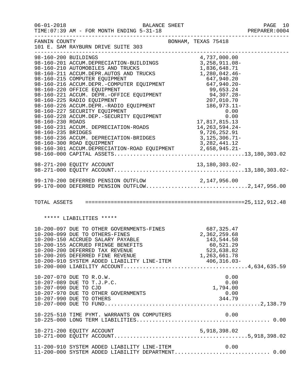| $06 - 01 - 2018$      | <b>BALANCE SHEET</b><br>TIME: 07:39 AM - FOR MONTH ENDING 5-31-18                                                                                                                                                                                                                                                                                                                                                     |                                                                                         | PAGE 10<br>PREPARER: 0004 |
|-----------------------|-----------------------------------------------------------------------------------------------------------------------------------------------------------------------------------------------------------------------------------------------------------------------------------------------------------------------------------------------------------------------------------------------------------------------|-----------------------------------------------------------------------------------------|---------------------------|
| FANNIN COUNTY         | 101 E. SAM RAYBURN DRIVE SUITE 303                                                                                                                                                                                                                                                                                                                                                                                    | BONHAM, TEXAS 75418                                                                     |                           |
| 98-160-235 BRIDGES    | 98-160-211 ACCUM.DEPR.AUTOS AND TRUCKS 1,280,042.46-<br>98-160-211 ACCOM.DEPR.A010S AND IROCAS<br>98-160-215 COMPUTER EQUIPMENT<br>98-160-216 ACCUM.DEPR.-COMPUTER EQUIPMENT<br>99,653.24<br>98-160-221 ACCUM.DEPR.-OFFICE EQUIPMENT<br>99,653.24<br>98-160-225 RADIO EQUIPMENT<br>99,653.24<br>98-160<br>98-160-231 ACCUM. DEPRECIATION-ROADS<br>98-160-236 ACCUM. DEPRECIATION-BRIDGES<br>98-160-300 ROAD EQUIPMENT | 3, 258, 911.08-<br>14, 263, 594. 24-<br>9,726,252.91<br>3,125,306.71-<br>3, 282, 441.12 |                           |
|                       |                                                                                                                                                                                                                                                                                                                                                                                                                       |                                                                                         |                           |
|                       | 99-170-200 DEFERRED PENSION OUTFLOW 2,147,956.00<br>99-170-000 DEFERRED PENSION OUTFLOW2,147,956.00                                                                                                                                                                                                                                                                                                                   |                                                                                         |                           |
|                       |                                                                                                                                                                                                                                                                                                                                                                                                                       |                                                                                         |                           |
|                       | ***** LIABILITIES *****                                                                                                                                                                                                                                                                                                                                                                                               |                                                                                         |                           |
|                       | 10-200-097 DUE TO OTHER GOVERNMENTS-FINES 687,325.47<br>10-200-099 DUE TO OTHERS-FINES 2,362,259.68<br>10-200-150 ACCRUED SALARY PAYABLE 143,544.58<br>10-200-155 ACCRUED FRINGE BENEFITS<br>10-200-200 DEFERRED TAX REVENUE                                                                                                                                                                                          | 60,521.29<br>523,638.82                                                                 |                           |
| 10-207-090 DUE TO CJD | 10-207-070 DUE TO R.O.W.<br>10-207-089 DUE TO T.J.P.C.<br>10-207-970 DUE TO OTHER GOVERNMENTS<br>10-207-990 DUE TO OTHERS                                                                                                                                                                                                                                                                                             | 0.00<br>0.00<br>1,794.00<br>0.00<br>344.79                                              |                           |
|                       | 10-225-510 TIME PYMT. WARRANTS ON COMPUTERS                                                                                                                                                                                                                                                                                                                                                                           | 0.00                                                                                    |                           |
|                       |                                                                                                                                                                                                                                                                                                                                                                                                                       |                                                                                         |                           |
|                       | 11-200-910 SYSTEM ADDED LIABILITY LINE-ITEM<br>11-200-000 SYSTEM ADDED LIABILITY DEPARTMENT 0.00                                                                                                                                                                                                                                                                                                                      | 0.00                                                                                    |                           |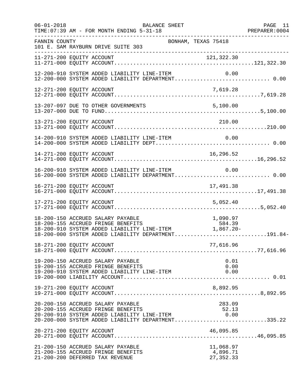| $06 - 01 - 2018$ | BALANCE SHEET<br>TIME: 07:39 AM - FOR MONTH ENDING 5-31-18                                                                                                                                                                                      | PAGE 11 |
|------------------|-------------------------------------------------------------------------------------------------------------------------------------------------------------------------------------------------------------------------------------------------|---------|
| FANNIN COUNTY    | BONHAM, TEXAS 75418<br>101 E. SAM RAYBURN DRIVE SUITE 303<br>-----------------------                                                                                                                                                            |         |
|                  | 11-271-200 EQUITY ACCOUNT                                                                                                                                                                                                                       |         |
|                  | 12-200-910 SYSTEM ADDED LIABILITY LINE-ITEM<br>0.00<br>12-200-910 SYSTEM ADDED LIABILITY LINE-ITEM          0.00<br>12-200-000 SYSTEM ADDED LIABILITY DEPARTMENT 0.00                                                                           |         |
|                  |                                                                                                                                                                                                                                                 |         |
|                  | 5,100.00<br>13-207-097 DUE TO OTHER GOVERNMENTS                                                                                                                                                                                                 |         |
|                  | 210.00<br>13-271-200 EQUITY ACCOUNT                                                                                                                                                                                                             |         |
|                  | 14-200-910 SYSTEM ADDED LIABILITY LINE-ITEM                                                                                                                                                                                                     |         |
|                  | 14-271-200 EQUITY ACCOUNT<br>16,296.52                                                                                                                                                                                                          |         |
|                  | 16-200-910 SYSTEM ADDED LIABILITY LINE-ITEM<br>0.00<br>16-200-000 SYSTEM ADDED LIABILITY DEPARTMENT 0.00                                                                                                                                        |         |
|                  | 16-271-200 EQUITY ACCOUNT<br>17,491.38                                                                                                                                                                                                          |         |
|                  | 5,052.40<br>17-271-200 EQUITY ACCOUNT                                                                                                                                                                                                           |         |
|                  | 18-200-150 ACCRUED SALARY PAYABLE<br>1,090.97<br>18-200-150 ACCRUED SALARY PAYABLE<br>18-200-155 ACCRUED FRINGE BENEFITS 584.39<br>18-200-910 SYSTEM ADDED LIABILITY LINE-ITEM 1,867.20-<br>18-200-000 SYSTEM ADDED LIABILITY DEPARTMENT191.84- |         |
|                  | 18-271-200 EQUITY ACCOUNT<br>77,616.96                                                                                                                                                                                                          |         |
|                  | 19-200-150 ACCRUED SALARY PAYABLE<br>0.01<br>19-200-155 ACCRUED FRINGE BENEFITS<br>0.00<br>19-200-910 SYSTEM ADDED LIABILITY LINE-ITEM<br>0.00                                                                                                  |         |
|                  | 19-271-200 EQUITY ACCOUNT<br>8,892.95                                                                                                                                                                                                           |         |
|                  | 20-200-150 ACCRUED SALARY PAYABLE<br>283.09<br>20-200-155 ACCRUED FRINGE BENEFITS<br>52.13<br>20-200-155 ACCROED FRINGE BENEFITS<br>20-200-910 SYSTEM ADDED LIABILITY LINE-ITEM 6.00<br>20-200-000 SYSTEM ADDED LIABILITY DEPARTMENT335.22      |         |
|                  | 20-271-200 EQUITY ACCOUNT<br>46,095.85                                                                                                                                                                                                          |         |
|                  | 21-200-150 ACCRUED SALARY PAYABLE<br>11,068.97<br>21-200-155 ACCRUED FRINGE BENEFITS<br>4,896.71<br>21-200-200 DEFERRED TAX REVENUE<br>27, 352.33                                                                                               |         |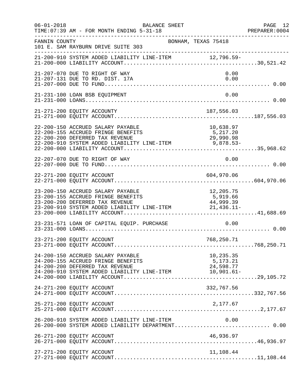| $06 - 01 - 2018$ | BALANCE SHEET<br>TIME: 07:39 AM - FOR MONTH ENDING 5-31-18                                                                                                                                                                |                                    | PAGE 12<br>PREPARER:0004 |
|------------------|---------------------------------------------------------------------------------------------------------------------------------------------------------------------------------------------------------------------------|------------------------------------|--------------------------|
| FANNIN COUNTY    | BONHAM, TEXAS 75418<br>101 E. SAM RAYBURN DRIVE SUITE 303                                                                                                                                                                 |                                    |                          |
|                  | 21-200-910 SYSTEM ADDED LIABILITY LINE-ITEM 12,796.59-                                                                                                                                                                    |                                    |                          |
|                  | 21-207-070 DUE TO RIGHT OF WAY<br>21-207-131 DUE TO RD. DIST. 17A                                                                                                                                                         | 0.00<br>0.00                       |                          |
|                  | 21-231-100 LOAN BSB EQUIPMENT                                                                                                                                                                                             | 0.00                               |                          |
|                  | 21-271-200 EQUITY ACCOUNTY                                                                                                                                                                                                | 187,556.03                         |                          |
|                  | 22-200-150 ACCRUED SALARY PAYABLE<br>22-200-155 ACCRUED FRINGE BENEFITS<br>22-200-200 DEFERRED TAX REVENUE<br>$22-200-200$ SPEERINGS TAX NEVEROGENCE INTERPRENT $22-200-910$ SYSTEM ADDED LIABILITY LINE-ITEM $9,878.53-$ | 10,638.97<br>5,217.20<br>29,990.98 |                          |
|                  | 22-207-070 DUE TO RIGHT OF WAY                                                                                                                                                                                            | 0.00                               |                          |
|                  | 22-271-200 EQUITY ACCOUNT                                                                                                                                                                                                 | 604,970.06                         |                          |
|                  | 23-200-150 ACCRUED SALARY PAYABLE<br>23-200-155 ACCRUED FRINGE BENEFITS<br>23-200-200 DEFERRED TAX REVENUE<br>23-200-910 SYSTEM ADDED LIABILITY LINE-ITEM 21,436.11-                                                      | 12,205.75<br>5,919.66<br>44,999.39 |                          |
|                  | 23-231-571 LOAN OF CAPITAL EQUIP. PURCHASE                                                                                                                                                                                | 0.00                               |                          |
|                  | 23-271-200 EQUITY ACCOUNT                                                                                                                                                                                                 | 768,250.71                         |                          |
|                  | 24-200-150 ACCRUED SALARY PAYABLE<br>24-200-155 ACCRUED FRINGE BENEFITS<br>24-200-200 DEFERRED TAX REVENUE                                                                                                                | 10,235.35<br>5,173.21<br>24,598.77 |                          |
|                  | 24-271-200 EQUITY ACCOUNT                                                                                                                                                                                                 | 332,767.56                         |                          |
|                  | 25-271-200 EQUITY ACCOUNT                                                                                                                                                                                                 | 2,177.67                           |                          |
|                  | 26-200-910 SYSTEM ADDED LIABILITY LINE-ITEM 0.00<br>26-200-000 SYSTEM ADDED LIABILITY DEPARTMENT 0.00                                                                                                                     |                                    |                          |
|                  | 26-271-200 EQUITY ACCOUNT                                                                                                                                                                                                 | 46,936.97                          |                          |
|                  | 27-271-200 EQUITY ACCOUNT                                                                                                                                                                                                 | 11,108.44                          |                          |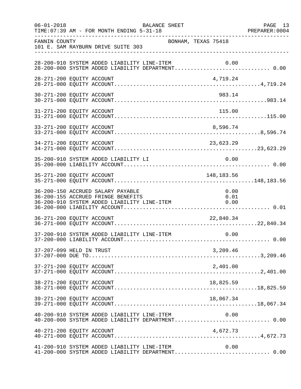| $06 - 01 - 2018$ | BALANCE SHEET<br>TIME: 07:39 AM - FOR MONTH ENDING 5-31-18                                                                                     | PAGE 13<br>PREPARER: 0004 |
|------------------|------------------------------------------------------------------------------------------------------------------------------------------------|---------------------------|
| FANNIN COUNTY    | BONHAM, TEXAS 75418<br>101 E. SAM RAYBURN DRIVE SUITE 303                                                                                      |                           |
|                  | 28-200-910 SYSTEM ADDED LIABILITY LINE-ITEM $0.00$<br>28-200-000 SYSTEM ADDED LIABILITY DEPARTMENT0.00                                         |                           |
|                  | 28-271-200 EQUITY ACCOUNT<br>4,719.24                                                                                                          |                           |
|                  | 30-271-200 EQUITY ACCOUNT<br>983.14                                                                                                            |                           |
|                  | 115.00<br>31-271-200 EQUITY ACCOUNT                                                                                                            |                           |
|                  |                                                                                                                                                |                           |
|                  |                                                                                                                                                |                           |
|                  | 35-200-910 SYSTEM ADDED LIABILITY LI<br>0.00                                                                                                   |                           |
|                  | 148,183.56<br>35-271-200 EQUITY ACCOUNT                                                                                                        |                           |
|                  | 36-200-150 ACCRUED SALARY PAYABLE<br>0.00<br>36-200-155 ACCRUED FRINGE BENEFITS<br>0.01<br>36-200-910 SYSTEM ADDED LIABILITY LINE-ITEM<br>0.00 |                           |
|                  | 36-271-200 EQUITY ACCOUNT<br>22,840.34                                                                                                         |                           |
|                  | 37-200-910 SYSTEM ADDED LIABILITY LINE-ITEM<br>0.00                                                                                            |                           |
|                  | 37-207-099 HELD IN TRUST<br>3,209.46                                                                                                           |                           |
|                  | 37-271-200 EQUITY ACCOUNT<br>2,401.00                                                                                                          |                           |
|                  | 38-271-200 EQUITY ACCOUNT<br>18,825.59                                                                                                         |                           |
|                  | 39-271-200 EQUITY ACCOUNT<br>18,067.34                                                                                                         |                           |
|                  | 0.00<br>40-200-910 SYSTEM ADDED LIABILITY LINE-ITEM<br>40-200-000 SYSTEM ADDED LIABILITY DEPARTMENT 0.00                                       |                           |
|                  | 40-271-200 EQUITY ACCOUNT<br>4,672.73                                                                                                          |                           |
|                  | 0.00<br>41-200-910 SYSTEM ADDED LIABILITY LINE-ITEM<br>41-200-000 SYSTEM ADDED LIABILITY DEPARTMENT 0.00                                       |                           |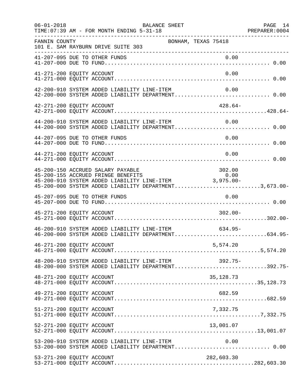| $06 - 01 - 2018$          | TIME: 07:39 AM - FOR MONTH ENDING 5-31-18                                | BALANCE SHEET                                                                                              |             | PAGE 14<br>PREPARER: 0004<br>--------------------- |
|---------------------------|--------------------------------------------------------------------------|------------------------------------------------------------------------------------------------------------|-------------|----------------------------------------------------|
| FANNIN COUNTY             | 101 E. SAM RAYBURN DRIVE SUITE 303<br>__________________________________ | BONHAM, TEXAS 75418                                                                                        |             |                                                    |
|                           |                                                                          |                                                                                                            |             |                                                    |
| 41-271-200 EQUITY ACCOUNT |                                                                          |                                                                                                            | 0.00        |                                                    |
|                           | 42-200-910 SYSTEM ADDED LIABILITY LINE-ITEM                              | 42-200-000 SYSTEM ADDED LIABILITY DEPARTMENT 0.00                                                          | 0.00        |                                                    |
| 42-271-200 EQUITY ACCOUNT |                                                                          |                                                                                                            | $428.64-$   |                                                    |
|                           |                                                                          | 44-200-910 SYSTEM ADDED LIABILITY LINE-ITEM 0.00<br>44-200-000 SYSTEM ADDED LIABILITY DEPARTMENT 0.00      |             |                                                    |
|                           | 44-207-095 DUE TO OTHER FUNDS                                            |                                                                                                            | 0.00        |                                                    |
| 44-271-200 EQUITY ACCOUNT |                                                                          |                                                                                                            | 0.00        |                                                    |
|                           | 45-200-150 ACCRUED SALARY PAYABLE                                        | 45-200-000 SYSTEM ADDED LIABILITY DEPARTMENT3,673.00-                                                      | 302.00      |                                                    |
|                           | 45-207-095 DUE TO OTHER FUNDS                                            |                                                                                                            | 0.00        |                                                    |
| 45-271-200 EQUITY ACCOUNT |                                                                          |                                                                                                            | $302.00 -$  |                                                    |
|                           |                                                                          | 46-200-910 SYSTEM ADDED LIABILITY LINE-ITEM<br>46-200-000 SYSTEM ADDED LIABILITY DEPARTMENT634.95-         | 634.95-     |                                                    |
| 46-271-200 EQUITY ACCOUNT |                                                                          |                                                                                                            | 5,574.20    |                                                    |
|                           |                                                                          | 48-200-910 SYSTEM ADDED LIABILITY LINE-ITEM 392.75-<br>48-200-000 SYSTEM ADDED LIABILITY DEPARTMENT392.75- |             |                                                    |
| 48-271-200 EQUITY ACCOUNT |                                                                          |                                                                                                            | 35, 128. 73 |                                                    |
| 49-271-200 EQUITY ACCOUNT |                                                                          |                                                                                                            | 682.59      |                                                    |
| 51-271-200 EQUITY ACCOUNT |                                                                          |                                                                                                            | 7,332.75    |                                                    |
| 52-271-200 EQUITY ACCOUNT |                                                                          |                                                                                                            | 13,001.07   |                                                    |
|                           | 53-200-910 SYSTEM ADDED LIABILITY LINE-ITEM                              | 53-200-000 SYSTEM ADDED LIABILITY DEPARTMENT 0.00                                                          | 0.00        |                                                    |
| 53-271-200 EQUITY ACCOUNT |                                                                          |                                                                                                            | 282,603.30  |                                                    |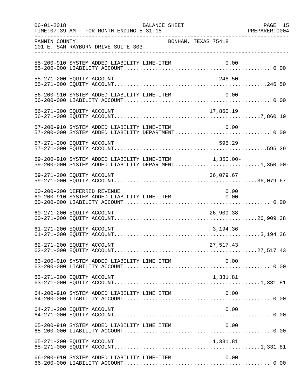| $06 - 01 - 2018$<br>____________________ | BALANCE SHEET<br>TIME: 07:39 AM - FOR MONTH ENDING 5-31-18                                                     |           | PAGE 15 |
|------------------------------------------|----------------------------------------------------------------------------------------------------------------|-----------|---------|
| FANNIN COUNTY                            | BONHAM, TEXAS 75418<br>101 E. SAM RAYBURN DRIVE SUITE 303<br>------------------------------                    |           |         |
|                                          |                                                                                                                |           |         |
|                                          | 55-271-200 EQUITY ACCOUNT                                                                                      | 246.50    |         |
|                                          | 56-200-910 SYSTEM ADDED LIABILITY LINE-ITEM                                                                    | 0.00      |         |
|                                          | 56-271-200 EQUITY ACCOUNT                                                                                      | 17,860.19 |         |
|                                          | 57-200-910 SYSTEM ADDED LIABILITY LINE-ITEM<br>57-200-000 SYSTEM ADDED LIABILITY DEPARTMENT 0.00               | 0.00      |         |
|                                          | 57-271-200 EQUITY ACCOUNT                                                                                      | 595.29    |         |
|                                          | 59-200-910 SYSTEM ADDED LIABILITY LINE-ITEM 1,350.00-<br>59-200-000 SYSTEM ADDED LIABILITY DEPARTMENT1,350.00- |           |         |
|                                          | 59-271-200 EQUITY ACCOUNT                                                                                      | 36,079.67 |         |
|                                          | 60-200-200 DEFERRED REVENUE<br>60-200-910 SYSTEM ADDED LIABILITY LINE-ITEM 0.00                                | 0.00      |         |
|                                          | 60-271-200 EQUITY ACCOUNT                                                                                      | 26,909.38 |         |
|                                          | 61-271-200 EQUITY ACCOUNT                                                                                      | 3,194.36  |         |
|                                          | 62-271-200 EQUITY ACCOUNT                                                                                      | 27,517.43 |         |
|                                          |                                                                                                                |           |         |
|                                          | 63-271-200 EQUITY ACCOUNT                                                                                      | 1,331.81  |         |
|                                          | 64-200-910 SYSTEM ADDED LIABILITY LINE ITEM                                                                    | 0.00      |         |
|                                          | 64-271-200 EQUITY ACCOUNT                                                                                      | 0.00      |         |
|                                          | 65-200-910 SYSTEM ADDED LIABILITY LINE ITEM                                                                    | 0.00      |         |
|                                          | 65-271-200 EQUITY ACCOUNT                                                                                      | 1,331.81  |         |
|                                          | 66-200-910 SYSTEM ADDED LIABILITY LINE-ITEM                                                                    | 0.00      |         |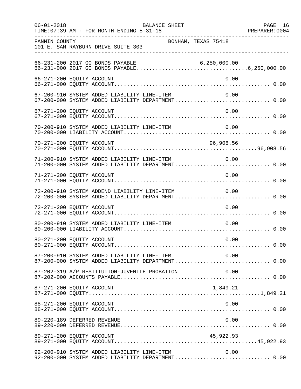| $06 - 01 - 2018$ | BALANCE SHEET<br>TIME: 07:39 AM - FOR MONTH ENDING 5-31-18                                               | PAGE 16<br>PREPARER: 0004 |
|------------------|----------------------------------------------------------------------------------------------------------|---------------------------|
| FANNIN COUNTY    | BONHAM, TEXAS 75418<br>101 E. SAM RAYBURN DRIVE SUITE 303                                                |                           |
|                  |                                                                                                          |                           |
|                  | 66-271-200 EQUITY ACCOUNT<br>0.00                                                                        |                           |
|                  | 67-200-910 SYSTEM ADDED LIABILITY LINE-ITEM<br>0.00<br>67-200-000 SYSTEM ADDED LIABILITY DEPARTMENT 0.00 |                           |
|                  | 0.00<br>67-271-200 EQUITY ACCOUNT                                                                        |                           |
|                  | 70-200-910 SYSTEM ADDED LIABILITY LINE-ITEM<br>0.00                                                      |                           |
|                  | 70-271-200 EQUITY ACCOUNT<br>96,908.56                                                                   |                           |
|                  | 0.00<br>71-200-910 SYSTEM ADDED LIABILITY LINE-ITEM<br>71-200-000 SYSTEM ADDED LIABILITY DEPARTMENT 0.00 |                           |
|                  | 0.00<br>71-271-200 EQUITY ACCOUNT                                                                        |                           |
|                  | 72-200-910 SYSTEM ADDEND LIABILITY LINE-ITEM<br>0.00                                                     |                           |
|                  | 72-271-200 EQUITY ACCOUNT<br>0.00                                                                        |                           |
|                  | 80-200-910 SYSTEM ADDED LIABILITY LINE-ITEM<br>0.00                                                      |                           |
|                  | 80-271-200 EQUITY ACCOUNT<br>0.00                                                                        |                           |
|                  | 87-200-910 SYSTEM ADDED LIABILITY LINE-ITEM 0.00<br>87-200-000 SYSTEM ADDED LIABILITY DEPARTMENT 0.00    |                           |
|                  | 87-202-319 A/P RESTITUTION-JUVENILE PROBATION<br>0.00                                                    |                           |
|                  | 87-271-200 EQUITY ACCOUNT<br>1,849.21                                                                    |                           |
|                  | 88-271-200 EQUITY ACCOUNT<br>0.00                                                                        |                           |
|                  | 89-220-189 DEFERRED REVENUE<br>0.00                                                                      |                           |
|                  | 89-271-200 EQUITY ACCOUNT<br>45,922.93                                                                   |                           |
|                  | 92-200-910 SYSTEM ADDED LIABILITY LINE-ITEM<br>0.00<br>92-200-000 SYSTEM ADDED LIABILITY DEPARTMENT 0.00 |                           |